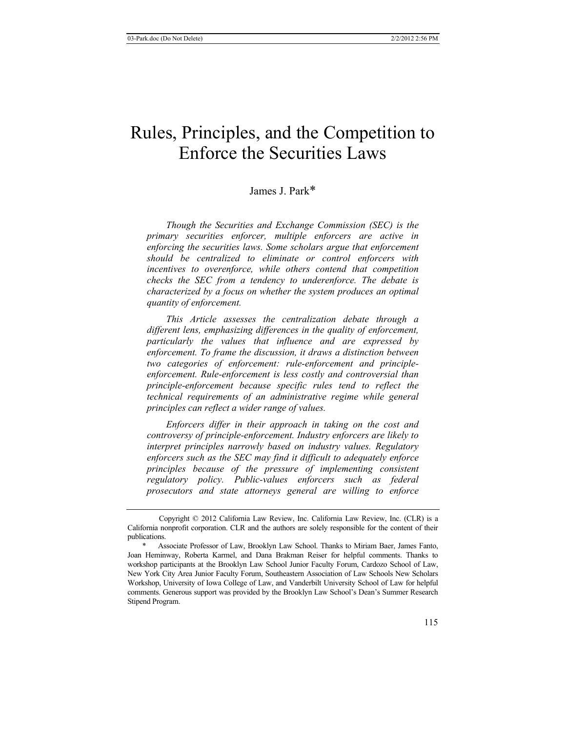# Rules, Principles, and the Competition to Enforce the Securities Laws

# James J. Park\*

*Though the Securities and Exchange Commission (SEC) is the primary securities enforcer, multiple enforcers are active in enforcing the securities laws. Some scholars argue that enforcement should be centralized to eliminate or control enforcers with incentives to overenforce, while others contend that competition checks the SEC from a tendency to underenforce. The debate is characterized by a focus on whether the system produces an optimal quantity of enforcement.* 

*This Article assesses the centralization debate through a different lens, emphasizing differences in the quality of enforcement, particularly the values that influence and are expressed by enforcement. To frame the discussion, it draws a distinction between two categories of enforcement: rule-enforcement and principleenforcement. Rule-enforcement is less costly and controversial than principle-enforcement because specific rules tend to reflect the technical requirements of an administrative regime while general principles can reflect a wider range of values.* 

*Enforcers differ in their approach in taking on the cost and controversy of principle-enforcement. Industry enforcers are likely to interpret principles narrowly based on industry values. Regulatory enforcers such as the SEC may find it difficult to adequately enforce principles because of the pressure of implementing consistent regulatory policy. Public-values enforcers such as federal prosecutors and state attorneys general are willing to enforce* 

Copyright © 2012 California Law Review, Inc. California Law Review, Inc. (CLR) is a California nonprofit corporation. CLR and the authors are solely responsible for the content of their publications.

<sup>\*</sup> Associate Professor of Law, Brooklyn Law School. Thanks to Miriam Baer, James Fanto, Joan Heminway, Roberta Karmel, and Dana Brakman Reiser for helpful comments. Thanks to workshop participants at the Brooklyn Law School Junior Faculty Forum, Cardozo School of Law, New York City Area Junior Faculty Forum, Southeastern Association of Law Schools New Scholars Workshop, University of Iowa College of Law, and Vanderbilt University School of Law for helpful comments. Generous support was provided by the Brooklyn Law School's Dean's Summer Research Stipend Program.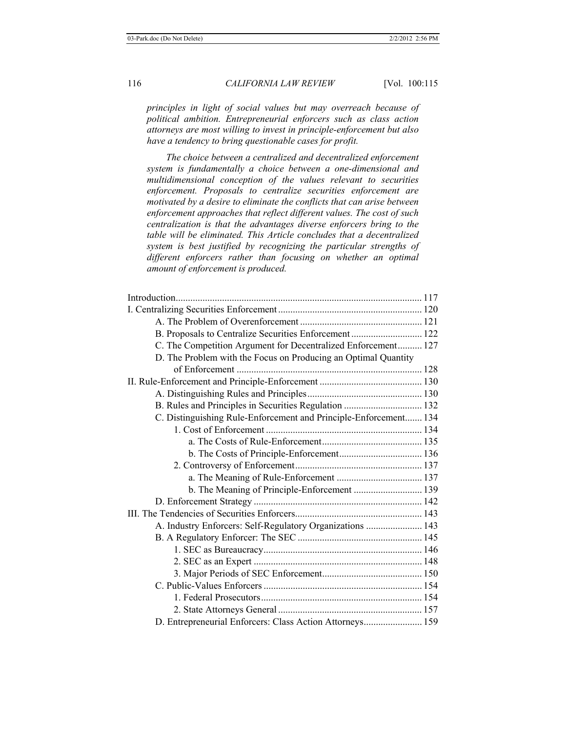*principles in light of social values but may overreach because of political ambition. Entrepreneurial enforcers such as class action attorneys are most willing to invest in principle-enforcement but also have a tendency to bring questionable cases for profit.* 

*The choice between a centralized and decentralized enforcement system is fundamentally a choice between a one-dimensional and multidimensional conception of the values relevant to securities enforcement. Proposals to centralize securities enforcement are motivated by a desire to eliminate the conflicts that can arise between enforcement approaches that reflect different values. The cost of such centralization is that the advantages diverse enforcers bring to the table will be eliminated. This Article concludes that a decentralized system is best justified by recognizing the particular strengths of different enforcers rather than focusing on whether an optimal amount of enforcement is produced.* 

| B. Proposals to Centralize Securities Enforcement  122           |  |
|------------------------------------------------------------------|--|
| C. The Competition Argument for Decentralized Enforcement 127    |  |
| D. The Problem with the Focus on Producing an Optimal Quantity   |  |
|                                                                  |  |
|                                                                  |  |
|                                                                  |  |
| B. Rules and Principles in Securities Regulation  132            |  |
| C. Distinguishing Rule-Enforcement and Principle-Enforcement 134 |  |
|                                                                  |  |
|                                                                  |  |
|                                                                  |  |
|                                                                  |  |
|                                                                  |  |
| b. The Meaning of Principle-Enforcement  139                     |  |
|                                                                  |  |
|                                                                  |  |
| A. Industry Enforcers: Self-Regulatory Organizations  143        |  |
|                                                                  |  |
|                                                                  |  |
|                                                                  |  |
|                                                                  |  |
|                                                                  |  |
|                                                                  |  |
|                                                                  |  |
| D. Entrepreneurial Enforcers: Class Action Attorneys 159         |  |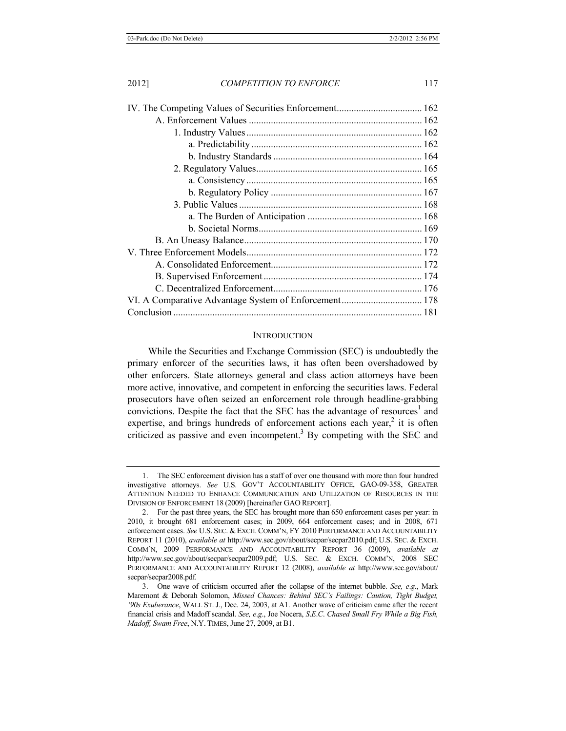#### **INTRODUCTION**

While the Securities and Exchange Commission (SEC) is undoubtedly the primary enforcer of the securities laws, it has often been overshadowed by other enforcers. State attorneys general and class action attorneys have been more active, innovative, and competent in enforcing the securities laws. Federal prosecutors have often seized an enforcement role through headline-grabbing convictions. Despite the fact that the SEC has the advantage of resources<sup>1</sup> and expertise, and brings hundreds of enforcement actions each year,<sup>2</sup> it is often criticized as passive and even incompetent.<sup>3</sup> By competing with the SEC and

<sup>1.</sup> The SEC enforcement division has a staff of over one thousand with more than four hundred investigative attorneys. *See* U.S. GOV'T ACCOUNTABILITY OFFICE, GAO-09-358, GREATER ATTENTION NEEDED TO ENHANCE COMMUNICATION AND UTILIZATION OF RESOURCES IN THE DIVISION OF ENFORCEMENT 18 (2009) [hereinafter GAO REPORT].

<sup>2.</sup> For the past three years, the SEC has brought more than 650 enforcement cases per year: in 2010, it brought 681 enforcement cases; in 2009, 664 enforcement cases; and in 2008, 671 enforcement cases. *See* U.S. SEC. & EXCH. COMM'N, FY 2010 PERFORMANCE AND ACCOUNTABILITY REPORT 11 (2010), *available at* http://www.sec.gov/about/secpar/secpar2010.pdf; U.S. SEC. & EXCH. COMM'N, 2009 PERFORMANCE AND ACCOUNTABILITY REPORT 36 (2009), *available at*  http://www.sec.gov/about/secpar/secpar2009.pdf; U.S. SEC. & EXCH. COMM'N, 2008 SEC PERFORMANCE AND ACCOUNTABILITY REPORT 12 (2008), *available at* http://www.sec.gov/about/ secpar/secpar2008.pdf*.*

<sup>3.</sup> One wave of criticism occurred after the collapse of the internet bubble. *See, e*.*g*., Mark Maremont & Deborah Solomon, *Missed Chances: Behind SEC's Failings: Caution, Tight Budget, '90s Exuberance*, WALL ST. J., Dec. 24, 2003, at A1. Another wave of criticism came after the recent financial crisis and Madoff scandal. *See, e*.*g*., Joe Nocera, *S*.*E*.*C*. *Chased Small Fry While a Big Fish, Madoff, Swam Free*, N.Y. TIMES, June 27, 2009, at B1.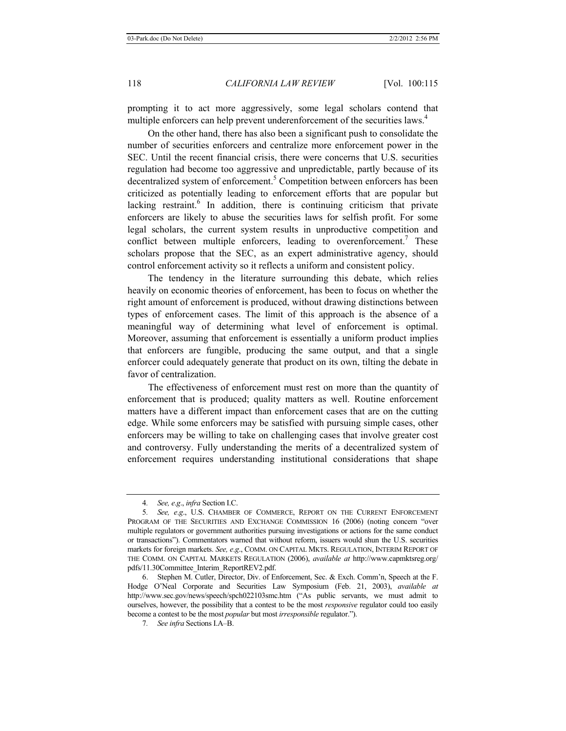prompting it to act more aggressively, some legal scholars contend that multiple enforcers can help prevent underenforcement of the securities laws.<sup>4</sup>

On the other hand, there has also been a significant push to consolidate the number of securities enforcers and centralize more enforcement power in the SEC. Until the recent financial crisis, there were concerns that U.S. securities regulation had become too aggressive and unpredictable, partly because of its decentralized system of enforcement.<sup>5</sup> Competition between enforcers has been criticized as potentially leading to enforcement efforts that are popular but lacking restraint.<sup>6</sup> In addition, there is continuing criticism that private enforcers are likely to abuse the securities laws for selfish profit. For some legal scholars, the current system results in unproductive competition and conflict between multiple enforcers, leading to overenforcement.<sup>7</sup> These scholars propose that the SEC, as an expert administrative agency, should control enforcement activity so it reflects a uniform and consistent policy.

The tendency in the literature surrounding this debate, which relies heavily on economic theories of enforcement, has been to focus on whether the right amount of enforcement is produced, without drawing distinctions between types of enforcement cases. The limit of this approach is the absence of a meaningful way of determining what level of enforcement is optimal. Moreover, assuming that enforcement is essentially a uniform product implies that enforcers are fungible, producing the same output, and that a single enforcer could adequately generate that product on its own, tilting the debate in favor of centralization.

The effectiveness of enforcement must rest on more than the quantity of enforcement that is produced; quality matters as well. Routine enforcement matters have a different impact than enforcement cases that are on the cutting edge. While some enforcers may be satisfied with pursuing simple cases, other enforcers may be willing to take on challenging cases that involve greater cost and controversy. Fully understanding the merits of a decentralized system of enforcement requires understanding institutional considerations that shape

<sup>4</sup>*. See, e*.*g*., *infra* Section I.C.

<sup>5</sup>*. See, e*.*g*., U.S. CHAMBER OF COMMERCE, REPORT ON THE CURRENT ENFORCEMENT PROGRAM OF THE SECURITIES AND EXCHANGE COMMISSION 16 (2006) (noting concern "over multiple regulators or government authorities pursuing investigations or actions for the same conduct or transactions"). Commentators warned that without reform, issuers would shun the U.S. securities markets for foreign markets. *See, e*.*g*., COMM. ON CAPITAL MKTS. REGULATION, INTERIM REPORT OF THE COMM. ON CAPITAL MARKETS REGULATION (2006), *available at* http://www.capmktsreg.org/ pdfs/11.30Committee\_Interim\_ReportREV2.pdf.

<sup>6.</sup> Stephen M. Cutler, Director, Div. of Enforcement, Sec. & Exch. Comm'n, Speech at the F. Hodge O'Neal Corporate and Securities Law Symposium (Feb. 21, 2003), *available at* http://www.sec.gov/news/speech/spch022103smc.htm ("As public servants, we must admit to ourselves, however, the possibility that a contest to be the most *responsive* regulator could too easily become a contest to be the most *popular* but most *irresponsible* regulator.").

<sup>7</sup>*. See infra* Sections I.A–B.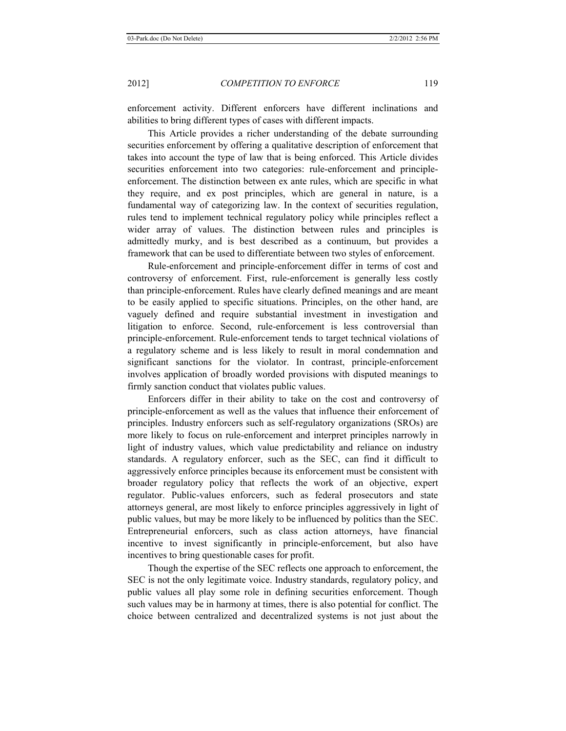enforcement activity. Different enforcers have different inclinations and abilities to bring different types of cases with different impacts.

This Article provides a richer understanding of the debate surrounding securities enforcement by offering a qualitative description of enforcement that takes into account the type of law that is being enforced. This Article divides securities enforcement into two categories: rule-enforcement and principleenforcement. The distinction between ex ante rules, which are specific in what they require, and ex post principles, which are general in nature, is a fundamental way of categorizing law. In the context of securities regulation, rules tend to implement technical regulatory policy while principles reflect a wider array of values. The distinction between rules and principles is admittedly murky, and is best described as a continuum, but provides a framework that can be used to differentiate between two styles of enforcement.

Rule-enforcement and principle-enforcement differ in terms of cost and controversy of enforcement. First, rule-enforcement is generally less costly than principle-enforcement. Rules have clearly defined meanings and are meant to be easily applied to specific situations. Principles, on the other hand, are vaguely defined and require substantial investment in investigation and litigation to enforce. Second, rule-enforcement is less controversial than principle-enforcement. Rule-enforcement tends to target technical violations of a regulatory scheme and is less likely to result in moral condemnation and significant sanctions for the violator. In contrast, principle-enforcement involves application of broadly worded provisions with disputed meanings to firmly sanction conduct that violates public values.

Enforcers differ in their ability to take on the cost and controversy of principle-enforcement as well as the values that influence their enforcement of principles. Industry enforcers such as self-regulatory organizations (SROs) are more likely to focus on rule-enforcement and interpret principles narrowly in light of industry values, which value predictability and reliance on industry standards. A regulatory enforcer, such as the SEC, can find it difficult to aggressively enforce principles because its enforcement must be consistent with broader regulatory policy that reflects the work of an objective, expert regulator. Public-values enforcers, such as federal prosecutors and state attorneys general, are most likely to enforce principles aggressively in light of public values, but may be more likely to be influenced by politics than the SEC. Entrepreneurial enforcers, such as class action attorneys, have financial incentive to invest significantly in principle-enforcement, but also have incentives to bring questionable cases for profit.

Though the expertise of the SEC reflects one approach to enforcement, the SEC is not the only legitimate voice. Industry standards, regulatory policy, and public values all play some role in defining securities enforcement. Though such values may be in harmony at times, there is also potential for conflict. The choice between centralized and decentralized systems is not just about the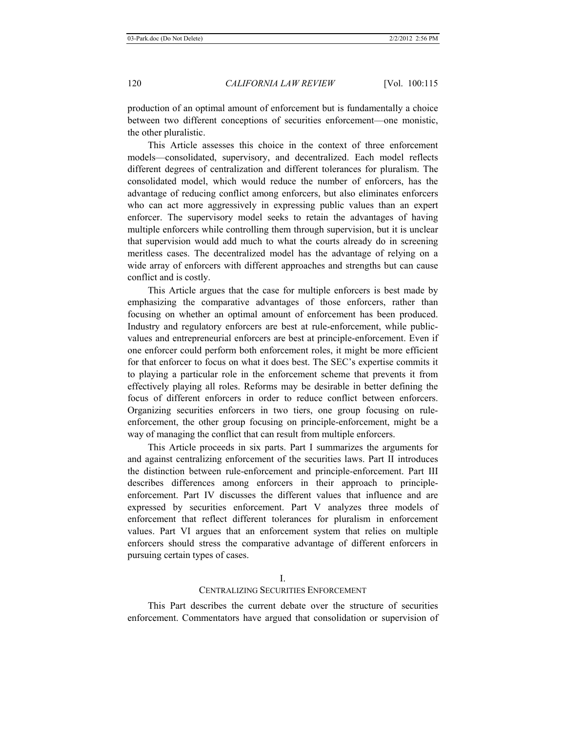production of an optimal amount of enforcement but is fundamentally a choice between two different conceptions of securities enforcement—one monistic, the other pluralistic.

This Article assesses this choice in the context of three enforcement models—consolidated, supervisory, and decentralized. Each model reflects different degrees of centralization and different tolerances for pluralism. The consolidated model, which would reduce the number of enforcers, has the advantage of reducing conflict among enforcers, but also eliminates enforcers who can act more aggressively in expressing public values than an expert enforcer. The supervisory model seeks to retain the advantages of having multiple enforcers while controlling them through supervision, but it is unclear that supervision would add much to what the courts already do in screening meritless cases. The decentralized model has the advantage of relying on a wide array of enforcers with different approaches and strengths but can cause conflict and is costly.

This Article argues that the case for multiple enforcers is best made by emphasizing the comparative advantages of those enforcers, rather than focusing on whether an optimal amount of enforcement has been produced. Industry and regulatory enforcers are best at rule-enforcement, while publicvalues and entrepreneurial enforcers are best at principle-enforcement. Even if one enforcer could perform both enforcement roles, it might be more efficient for that enforcer to focus on what it does best. The SEC's expertise commits it to playing a particular role in the enforcement scheme that prevents it from effectively playing all roles. Reforms may be desirable in better defining the focus of different enforcers in order to reduce conflict between enforcers. Organizing securities enforcers in two tiers, one group focusing on ruleenforcement, the other group focusing on principle-enforcement, might be a way of managing the conflict that can result from multiple enforcers.

This Article proceeds in six parts. Part I summarizes the arguments for and against centralizing enforcement of the securities laws. Part II introduces the distinction between rule-enforcement and principle-enforcement. Part III describes differences among enforcers in their approach to principleenforcement. Part IV discusses the different values that influence and are expressed by securities enforcement. Part V analyzes three models of enforcement that reflect different tolerances for pluralism in enforcement values. Part VI argues that an enforcement system that relies on multiple enforcers should stress the comparative advantage of different enforcers in pursuing certain types of cases.

#### CENTRALIZING SECURITIES ENFORCEMENT

This Part describes the current debate over the structure of securities enforcement. Commentators have argued that consolidation or supervision of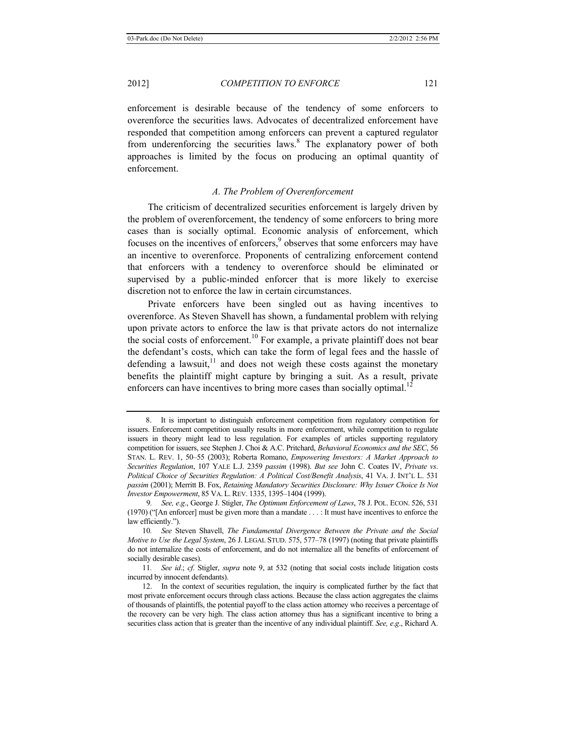enforcement is desirable because of the tendency of some enforcers to overenforce the securities laws. Advocates of decentralized enforcement have responded that competition among enforcers can prevent a captured regulator from underenforcing the securities laws.<sup>8</sup> The explanatory power of both approaches is limited by the focus on producing an optimal quantity of enforcement.

# *A. The Problem of Overenforcement*

The criticism of decentralized securities enforcement is largely driven by the problem of overenforcement, the tendency of some enforcers to bring more cases than is socially optimal. Economic analysis of enforcement, which focuses on the incentives of enforcers,<sup>9</sup> observes that some enforcers may have an incentive to overenforce. Proponents of centralizing enforcement contend that enforcers with a tendency to overenforce should be eliminated or supervised by a public-minded enforcer that is more likely to exercise discretion not to enforce the law in certain circumstances.

Private enforcers have been singled out as having incentives to overenforce. As Steven Shavell has shown, a fundamental problem with relying upon private actors to enforce the law is that private actors do not internalize the social costs of enforcement.<sup>10</sup> For example, a private plaintiff does not bear the defendant's costs, which can take the form of legal fees and the hassle of defending a lawsuit, $11$  and does not weigh these costs against the monetary benefits the plaintiff might capture by bringing a suit. As a result, private enforcers can have incentives to bring more cases than socially optimal.<sup>12</sup>

<sup>8.</sup> It is important to distinguish enforcement competition from regulatory competition for issuers. Enforcement competition usually results in more enforcement, while competition to regulate issuers in theory might lead to less regulation. For examples of articles supporting regulatory competition for issuers, see Stephen J. Choi & A.C. Pritchard, *Behavioral Economics and the SEC*, 56 STAN. L. REV. 1, 50–55 (2003); Roberta Romano, *Empowering Investors: A Market Approach to Securities Regulation*, 107 YALE L.J. 2359 *passim* (1998). *But see* John C. Coates IV, *Private vs*. *Political Choice of Securities Regulation: A Political Cost/Benefit Analysis*, 41 VA. J. INT'L L. 531 *passim* (2001); Merritt B. Fox, *Retaining Mandatory Securities Disclosure: Why Issuer Choice Is Not Investor Empowerment*, 85 VA. L. REV. 1335, 1395–1404 (1999).

9*. See, e*.*g*., George J. Stigler, *The Optimum Enforcement of Laws*, 78 J. POL. ECON. 526, 531 (1970) ("[An enforcer] must be given more than a mandate . . . : It must have incentives to enforce the law efficiently.").

<sup>10</sup>*. See* Steven Shavell, *The Fundamental Divergence Between the Private and the Social Motive to Use the Legal System*, 26 J. LEGAL STUD. 575, 577–78 (1997) (noting that private plaintiffs do not internalize the costs of enforcement, and do not internalize all the benefits of enforcement of socially desirable cases).

<sup>11</sup>*. See id*.; *cf*. Stigler, *supra* note 9, at 532 (noting that social costs include litigation costs incurred by innocent defendants).

<sup>12.</sup> In the context of securities regulation, the inquiry is complicated further by the fact that most private enforcement occurs through class actions. Because the class action aggregates the claims of thousands of plaintiffs, the potential payoff to the class action attorney who receives a percentage of the recovery can be very high. The class action attorney thus has a significant incentive to bring a securities class action that is greater than the incentive of any individual plaintiff. *See, e*.*g*., Richard A.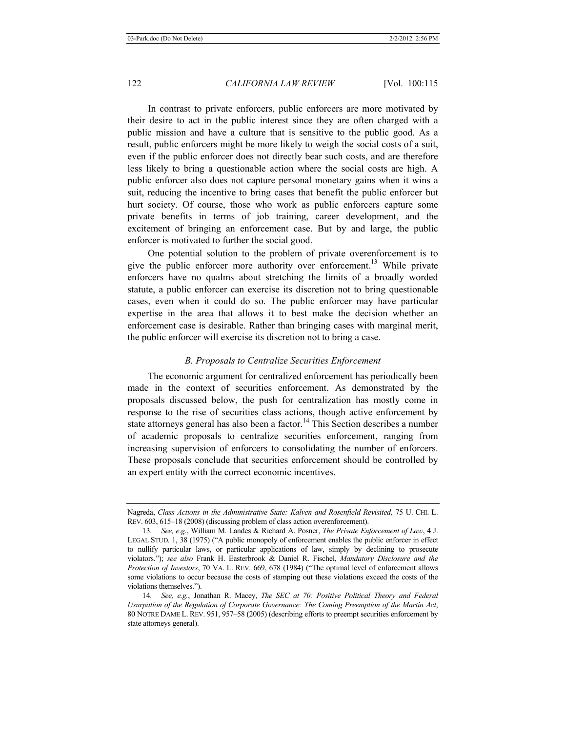In contrast to private enforcers, public enforcers are more motivated by their desire to act in the public interest since they are often charged with a public mission and have a culture that is sensitive to the public good. As a result, public enforcers might be more likely to weigh the social costs of a suit, even if the public enforcer does not directly bear such costs, and are therefore less likely to bring a questionable action where the social costs are high. A public enforcer also does not capture personal monetary gains when it wins a suit, reducing the incentive to bring cases that benefit the public enforcer but hurt society. Of course, those who work as public enforcers capture some private benefits in terms of job training, career development, and the excitement of bringing an enforcement case. But by and large, the public enforcer is motivated to further the social good.

One potential solution to the problem of private overenforcement is to give the public enforcer more authority over enforcement.<sup>13</sup> While private enforcers have no qualms about stretching the limits of a broadly worded statute, a public enforcer can exercise its discretion not to bring questionable cases, even when it could do so. The public enforcer may have particular expertise in the area that allows it to best make the decision whether an enforcement case is desirable. Rather than bringing cases with marginal merit, the public enforcer will exercise its discretion not to bring a case.

# *B. Proposals to Centralize Securities Enforcement*

The economic argument for centralized enforcement has periodically been made in the context of securities enforcement. As demonstrated by the proposals discussed below, the push for centralization has mostly come in response to the rise of securities class actions, though active enforcement by state attorneys general has also been a factor.<sup>14</sup> This Section describes a number of academic proposals to centralize securities enforcement, ranging from increasing supervision of enforcers to consolidating the number of enforcers. These proposals conclude that securities enforcement should be controlled by an expert entity with the correct economic incentives.

Nagreda, *Class Actions in the Administrative State: Kalven and Rosenfield Revisited*, 75 U. CHI. L. REV. 603, 615–18 (2008) (discussing problem of class action overenforcement).

<sup>13</sup>*. See, e*.*g*., William M. Landes & Richard A. Posner, *The Private Enforcement of Law*, 4 J. LEGAL STUD. 1, 38 (1975) ("A public monopoly of enforcement enables the public enforcer in effect to nullify particular laws, or particular applications of law, simply by declining to prosecute violators."); *see also* Frank H. Easterbrook & Daniel R. Fischel, *Mandatory Disclosure and the Protection of Investors*, 70 VA. L. REV. 669, 678 (1984) ("The optimal level of enforcement allows some violations to occur because the costs of stamping out these violations exceed the costs of the violations themselves.").

<sup>14</sup>*. See, e.g.*, Jonathan R. Macey, *The SEC at 70: Positive Political Theory and Federal Usurpation of the Regulation of Corporate Governance: The Coming Preemption of the Martin Act*, 80 NOTRE DAME L. REV. 951, 957–58 (2005) (describing efforts to preempt securities enforcement by state attorneys general).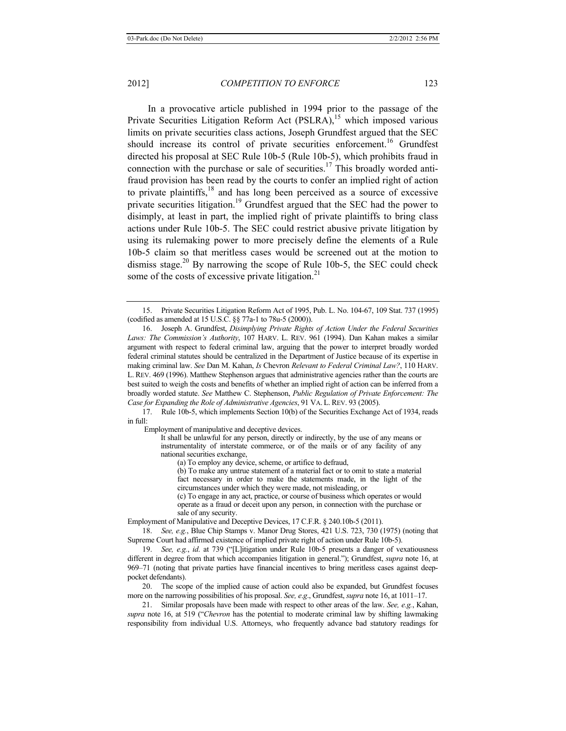In a provocative article published in 1994 prior to the passage of the Private Securities Litigation Reform Act (PSLRA),<sup>15</sup> which imposed various limits on private securities class actions, Joseph Grundfest argued that the SEC should increase its control of private securities enforcement.<sup>16</sup> Grundfest directed his proposal at SEC Rule 10b-5 (Rule 10b-5), which prohibits fraud in connection with the purchase or sale of securities.<sup>17</sup> This broadly worded antifraud provision has been read by the courts to confer an implied right of action to private plaintiffs, $18$  and has long been perceived as a source of excessive private securities litigation.<sup>19</sup> Grundfest argued that the SEC had the power to disimply, at least in part, the implied right of private plaintiffs to bring class actions under Rule 10b-5. The SEC could restrict abusive private litigation by using its rulemaking power to more precisely define the elements of a Rule 10b-5 claim so that meritless cases would be screened out at the motion to dismiss stage.<sup>20</sup> By narrowing the scope of Rule 10b-5, the SEC could check some of the costs of excessive private litigation.<sup>21</sup>

17. Rule 10b-5, which implements Section 10(b) of the Securities Exchange Act of 1934, reads in full:

Employment of manipulative and deceptive devices.

It shall be unlawful for any person, directly or indirectly, by the use of any means or instrumentality of interstate commerce, or of the mails or of any facility of any national securities exchange,

(a) To employ any device, scheme, or artifice to defraud,

(b) To make any untrue statement of a material fact or to omit to state a material fact necessary in order to make the statements made, in the light of the circumstances under which they were made, not misleading, or

(c) To engage in any act, practice, or course of business which operates or would operate as a fraud or deceit upon any person, in connection with the purchase or sale of any security.

Employment of Manipulative and Deceptive Devices, 17 C.F.R. § 240.10b-5 (2011).

18. *See, e.g.*, Blue Chip Stamps v. Manor Drug Stores, 421 U.S. 723, 730 (1975) (noting that Supreme Court had affirmed existence of implied private right of action under Rule 10b-5).

19. *See, e.g.*, *id*. at 739 ("[L]itigation under Rule 10b-5 presents a danger of vexatiousness different in degree from that which accompanies litigation in general."); Grundfest, *supra* note 16, at 969–71 (noting that private parties have financial incentives to bring meritless cases against deeppocket defendants).

20. The scope of the implied cause of action could also be expanded, but Grundfest focuses more on the narrowing possibilities of his proposal. *See, e*.*g*., Grundfest, *supra* note 16, at 1011–17.

21. Similar proposals have been made with respect to other areas of the law. *See, e.g.*, Kahan, *supra* note 16, at 519 ("*Chevron* has the potential to moderate criminal law by shifting lawmaking responsibility from individual U.S. Attorneys, who frequently advance bad statutory readings for

<sup>15.</sup> Private Securities Litigation Reform Act of 1995, Pub. L. No. 104-67, 109 Stat. 737 (1995) (codified as amended at 15 U.S.C. §§ 77a-1 to 78u-5 (2000)).

<sup>16.</sup> Joseph A. Grundfest, *Disimplying Private Rights of Action Under the Federal Securities Laws: The Commission's Authority*, 107 HARV. L. REV. 961 (1994). Dan Kahan makes a similar argument with respect to federal criminal law, arguing that the power to interpret broadly worded federal criminal statutes should be centralized in the Department of Justice because of its expertise in making criminal law. *See* Dan M. Kahan, *Is* Chevron *Relevant to Federal Criminal Law?*, 110 HARV. L. REV. 469 (1996). Matthew Stephenson argues that administrative agencies rather than the courts are best suited to weigh the costs and benefits of whether an implied right of action can be inferred from a broadly worded statute. *See* Matthew C. Stephenson, *Public Regulation of Private Enforcement: The Case for Expanding the Role of Administrative Agencies*, 91 VA. L. REV. 93 (2005).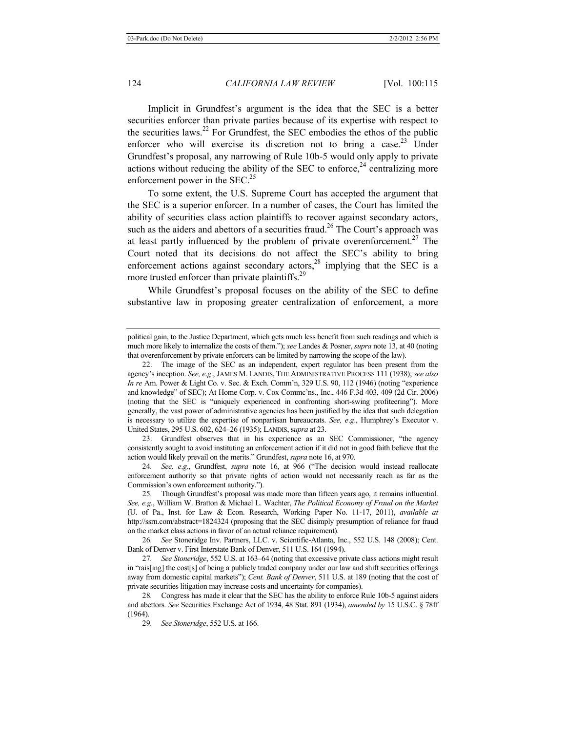Implicit in Grundfest's argument is the idea that the SEC is a better securities enforcer than private parties because of its expertise with respect to the securities laws.<sup>22</sup> For Grundfest, the SEC embodies the ethos of the public enforcer who will exercise its discretion not to bring a case.<sup>23</sup> Under Grundfest's proposal, any narrowing of Rule 10b-5 would only apply to private actions without reducing the ability of the SEC to enforce,  $24$  centralizing more enforcement power in the  $SEC.^{25}$ 

To some extent, the U.S. Supreme Court has accepted the argument that the SEC is a superior enforcer. In a number of cases, the Court has limited the ability of securities class action plaintiffs to recover against secondary actors, such as the aiders and abettors of a securities fraud.<sup>26</sup> The Court's approach was at least partly influenced by the problem of private overenforcement.<sup>27</sup> The Court noted that its decisions do not affect the SEC's ability to bring enforcement actions against secondary actors, $28$  implying that the SEC is a more trusted enforcer than private plaintiffs.<sup>29</sup>

While Grundfest's proposal focuses on the ability of the SEC to define substantive law in proposing greater centralization of enforcement, a more

23. Grundfest observes that in his experience as an SEC Commissioner, "the agency consistently sought to avoid instituting an enforcement action if it did not in good faith believe that the action would likely prevail on the merits." Grundfest, *supra* note 16, at 970.

24*. See, e*.*g*., Grundfest, *supra* note 16, at 966 ("The decision would instead reallocate enforcement authority so that private rights of action would not necessarily reach as far as the Commission's own enforcement authority.").

25*.* Though Grundfest's proposal was made more than fifteen years ago, it remains influential. *See, e.g.*, William W. Bratton & Michael L. Wachter, *The Political Economy of Fraud on the Market* (U. of Pa., Inst. for Law & Econ. Research, Working Paper No. 11-17, 2011), *available at* http://ssrn.com/abstract=1824324 (proposing that the SEC disimply presumption of reliance for fraud on the market class actions in favor of an actual reliance requirement).

26*. See* Stoneridge Inv. Partners, LLC. v. Scientific-Atlanta, Inc., 552 U.S. 148 (2008); Cent. Bank of Denver v. First Interstate Bank of Denver, 511 U.S. 164 (1994).

27*. See Stoneridge*, 552 U.S. at 163–64 (noting that excessive private class actions might result in "rais[ing] the cost[s] of being a publicly traded company under our law and shift securities offerings away from domestic capital markets"); *Cent. Bank of Denver*, 511 U.S. at 189 (noting that the cost of private securities litigation may increase costs and uncertainty for companies).

28*.* Congress has made it clear that the SEC has the ability to enforce Rule 10b-5 against aiders and abettors. *See* Securities Exchange Act of 1934, 48 Stat. 891 (1934), *amended by* 15 U.S.C. § 78ff (1964).

29*. See Stoneridge*, 552 U.S. at 166.

political gain, to the Justice Department, which gets much less benefit from such readings and which is much more likely to internalize the costs of them."); *see* Landes & Posner, *supra* note 13, at 40 (noting that overenforcement by private enforcers can be limited by narrowing the scope of the law).

<sup>22.</sup> The image of the SEC as an independent, expert regulator has been present from the agency's inception. *See, e*.*g*., JAMES M. LANDIS, THE ADMINISTRATIVE PROCESS 111 (1938); *see also In re* Am. Power & Light Co. v. Sec. & Exch. Comm'n, 329 U.S. 90, 112 (1946) (noting "experience and knowledge" of SEC); At Home Corp. v. Cox Commc'ns., Inc., 446 F.3d 403, 409 (2d Cir. 2006) (noting that the SEC is "uniquely experienced in confronting short-swing profiteering"). More generally, the vast power of administrative agencies has been justified by the idea that such delegation is necessary to utilize the expertise of nonpartisan bureaucrats. *See, e*.*g*., Humphrey's Executor v. United States, 295 U.S. 602, 624–26 (1935); LANDIS, s*upra* at 23.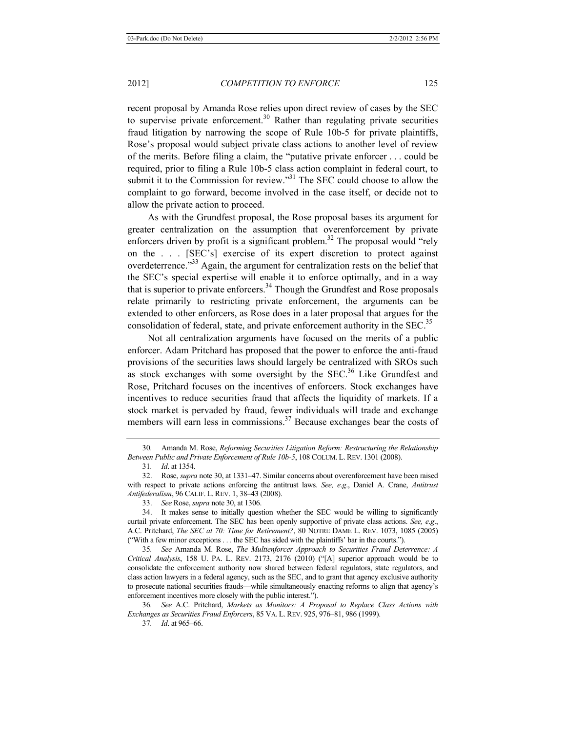recent proposal by Amanda Rose relies upon direct review of cases by the SEC to supervise private enforcement.<sup>30</sup> Rather than regulating private securities fraud litigation by narrowing the scope of Rule 10b-5 for private plaintiffs, Rose's proposal would subject private class actions to another level of review of the merits. Before filing a claim, the "putative private enforcer . . . could be required, prior to filing a Rule 10b-5 class action complaint in federal court, to submit it to the Commission for review."<sup>31</sup> The SEC could choose to allow the complaint to go forward, become involved in the case itself, or decide not to allow the private action to proceed.

As with the Grundfest proposal, the Rose proposal bases its argument for greater centralization on the assumption that overenforcement by private enforcers driven by profit is a significant problem.<sup>32</sup> The proposal would "rely" on the . . . [SEC's] exercise of its expert discretion to protect against overdeterrence."<sup>33</sup> Again, the argument for centralization rests on the belief that the SEC's special expertise will enable it to enforce optimally, and in a way that is superior to private enforcers.<sup>34</sup> Though the Grundfest and Rose proposals relate primarily to restricting private enforcement, the arguments can be extended to other enforcers, as Rose does in a later proposal that argues for the consolidation of federal, state, and private enforcement authority in the SEC.<sup>35</sup>

Not all centralization arguments have focused on the merits of a public enforcer. Adam Pritchard has proposed that the power to enforce the anti-fraud provisions of the securities laws should largely be centralized with SROs such as stock exchanges with some oversight by the SEC.<sup>36</sup> Like Grundfest and Rose, Pritchard focuses on the incentives of enforcers. Stock exchanges have incentives to reduce securities fraud that affects the liquidity of markets. If a stock market is pervaded by fraud, fewer individuals will trade and exchange members will earn less in commissions.<sup>37</sup> Because exchanges bear the costs of

<sup>30</sup>*.* Amanda M. Rose, *Reforming Securities Litigation Reform: Restructuring the Relationship Between Public and Private Enforcement of Rule 10b-5*, 108 COLUM. L. REV. 1301 (2008).

<sup>31</sup>*. Id*. at 1354.

<sup>32.</sup> Rose, *supra* note 30, at 1331–47. Similar concerns about overenforcement have been raised with respect to private actions enforcing the antitrust laws. *See, e*.*g*., Daniel A. Crane, *Antitrust Antifederalism*, 96 CALIF. L.REV. 1, 38–43 (2008).

<sup>33.</sup> *See* Rose, *supra* note 30, at 1306.

<sup>34.</sup> It makes sense to initially question whether the SEC would be willing to significantly curtail private enforcement. The SEC has been openly supportive of private class actions. *See, e*.*g*., A.C. Pritchard, *The SEC at 70: Time for Retirement?*, 80 NOTRE DAME L. REV. 1073, 1085 (2005) ("With a few minor exceptions . . . the SEC has sided with the plaintiffs' bar in the courts.").

<sup>35</sup>*. See* Amanda M. Rose, *The Multienforcer Approach to Securities Fraud Deterrence: A Critical Analysis*, 158 U. PA. L. REV. 2173, 2176 (2010) ("[A] superior approach would be to consolidate the enforcement authority now shared between federal regulators, state regulators, and class action lawyers in a federal agency, such as the SEC, and to grant that agency exclusive authority to prosecute national securities frauds—while simultaneously enacting reforms to align that agency's enforcement incentives more closely with the public interest.").

<sup>36</sup>*. See* A.C. Pritchard, *Markets as Monitors: A Proposal to Replace Class Actions with Exchanges as Securities Fraud Enforcers*, 85 VA. L. REV. 925, 976–81, 986 (1999).

<sup>37</sup>*. Id*. at 965–66.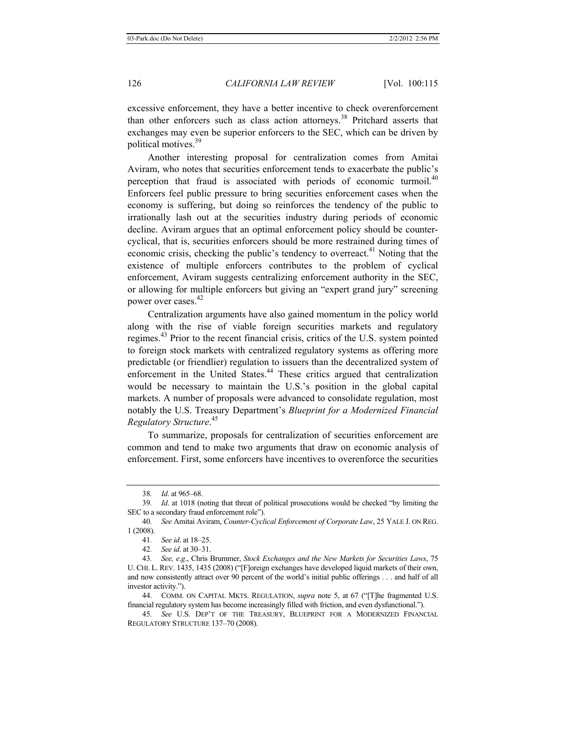excessive enforcement, they have a better incentive to check overenforcement than other enforcers such as class action attorneys.<sup>38</sup> Pritchard asserts that exchanges may even be superior enforcers to the SEC, which can be driven by political motives.<sup>39</sup>

Another interesting proposal for centralization comes from Amitai Aviram, who notes that securities enforcement tends to exacerbate the public's perception that fraud is associated with periods of economic turmoil. $40$ Enforcers feel public pressure to bring securities enforcement cases when the economy is suffering, but doing so reinforces the tendency of the public to irrationally lash out at the securities industry during periods of economic decline. Aviram argues that an optimal enforcement policy should be countercyclical, that is, securities enforcers should be more restrained during times of economic crisis, checking the public's tendency to overreact.<sup>41</sup> Noting that the existence of multiple enforcers contributes to the problem of cyclical enforcement, Aviram suggests centralizing enforcement authority in the SEC, or allowing for multiple enforcers but giving an "expert grand jury" screening power over cases. 42

Centralization arguments have also gained momentum in the policy world along with the rise of viable foreign securities markets and regulatory regimes.<sup>43</sup> Prior to the recent financial crisis, critics of the U.S. system pointed to foreign stock markets with centralized regulatory systems as offering more predictable (or friendlier) regulation to issuers than the decentralized system of enforcement in the United States.<sup>44</sup> These critics argued that centralization would be necessary to maintain the U.S.'s position in the global capital markets. A number of proposals were advanced to consolidate regulation, most notably the U.S. Treasury Department's *Blueprint for a Modernized Financial Regulatory Structure*. 45

To summarize, proposals for centralization of securities enforcement are common and tend to make two arguments that draw on economic analysis of enforcement. First, some enforcers have incentives to overenforce the securities

44. COMM. ON CAPITAL MKTS. REGULATION, *supra* note 5, at 67 ("[T]he fragmented U.S. financial regulatory system has become increasingly filled with friction, and even dysfunctional.").

45*. See* U.S. DEP'T OF THE TREASURY, BLUEPRINT FOR A MODERNIZED FINANCIAL REGULATORY STRUCTURE 137–70 (2008).

<sup>38</sup>*. Id*. at 965–68.

<sup>39</sup>*. Id*. at 1018 (noting that threat of political prosecutions would be checked "by limiting the SEC to a secondary fraud enforcement role").

<sup>40</sup>*. See* Amitai Aviram, *Counter-Cyclical Enforcement of Corporate Law*, 25 YALE J. ON REG. 1 (2008).

<sup>41</sup>*. See id*. at 18–25.

<sup>42</sup>*. See id*. at 30–31.

<sup>43</sup>*. See, e*.*g*., Chris Brummer, *Stock Exchanges and the New Markets for Securities Laws*, 75 U. CHI. L. REV. 1435, 1435 (2008) ("[F]oreign exchanges have developed liquid markets of their own, and now consistently attract over 90 percent of the world's initial public offerings . . . and half of all investor activity.").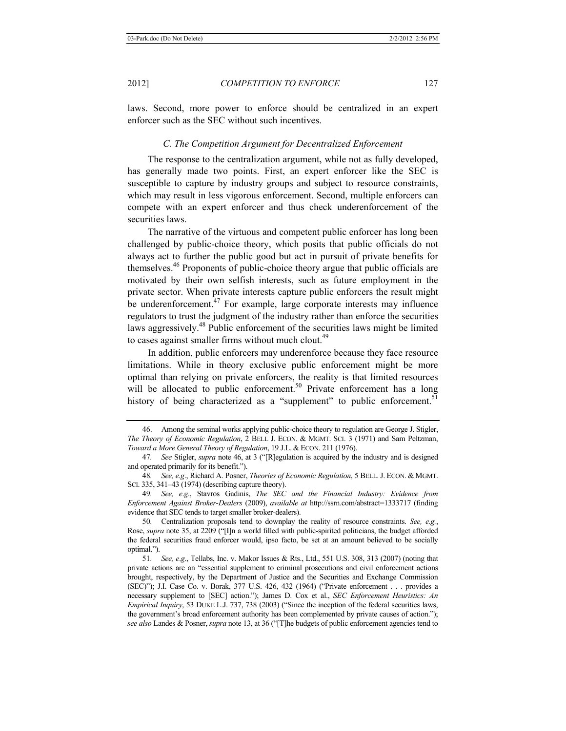laws. Second, more power to enforce should be centralized in an expert enforcer such as the SEC without such incentives.

# *C. The Competition Argument for Decentralized Enforcement*

The response to the centralization argument, while not as fully developed, has generally made two points. First, an expert enforcer like the SEC is susceptible to capture by industry groups and subject to resource constraints, which may result in less vigorous enforcement. Second, multiple enforcers can compete with an expert enforcer and thus check underenforcement of the securities laws.

The narrative of the virtuous and competent public enforcer has long been challenged by public-choice theory, which posits that public officials do not always act to further the public good but act in pursuit of private benefits for themselves.<sup>46</sup> Proponents of public-choice theory argue that public officials are motivated by their own selfish interests, such as future employment in the private sector. When private interests capture public enforcers the result might be underenforcement.<sup>47</sup> For example, large corporate interests may influence regulators to trust the judgment of the industry rather than enforce the securities laws aggressively.<sup>48</sup> Public enforcement of the securities laws might be limited to cases against smaller firms without much clout. $49$ 

In addition, public enforcers may underenforce because they face resource limitations. While in theory exclusive public enforcement might be more optimal than relying on private enforcers, the reality is that limited resources will be allocated to public enforcement.<sup>50</sup> Private enforcement has a long history of being characterized as a "supplement" to public enforcement.<sup>51</sup>

<sup>46.</sup> Among the seminal works applying public-choice theory to regulation are George J. Stigler, *The Theory of Economic Regulation*, 2 BELL J. ECON. & MGMT. SCI. 3 (1971) and Sam Peltzman, *Toward a More General Theory of Regulation*, 19 J.L. & ECON. 211 (1976).

<sup>47</sup>*. See* Stigler, *supra* note 46, at 3 ("[R]egulation is acquired by the industry and is designed and operated primarily for its benefit.").

<sup>48</sup>*. See, e*.*g*., Richard A. Posner, *Theories of Economic Regulation*, 5 BELL.J. ECON. & MGMT. SCI. 335, 341–43 (1974) (describing capture theory).

<sup>49</sup>*. See, e*.*g*., Stavros Gadinis, *The SEC and the Financial Industry: Evidence from Enforcement Against Broker-Dealers* (2009), *available at* http://ssrn.com/abstract=1333717 (finding evidence that SEC tends to target smaller broker-dealers).

<sup>50</sup>*.* Centralization proposals tend to downplay the reality of resource constraints. *See, e.g.*, Rose, *supra* note 35, at 2209 ("[I]n a world filled with public-spirited politicians, the budget afforded the federal securities fraud enforcer would, ipso facto, be set at an amount believed to be socially optimal.").

<sup>51</sup>*. See, e*.*g*., Tellabs, Inc. v. Makor Issues & Rts., Ltd., 551 U.S. 308, 313 (2007) (noting that private actions are an "essential supplement to criminal prosecutions and civil enforcement actions brought, respectively, by the Department of Justice and the Securities and Exchange Commission (SEC)"); J.I. Case Co. v. Borak, 377 U.S. 426, 432 (1964) ("Private enforcement . . . provides a necessary supplement to [SEC] action."); James D. Cox et al., *SEC Enforcement Heuristics: An Empirical Inquiry*, 53 DUKE L.J. 737, 738 (2003) ("Since the inception of the federal securities laws, the government's broad enforcement authority has been complemented by private causes of action."); *see also* Landes & Posner, *supra* note 13, at 36 ("[T]he budgets of public enforcement agencies tend to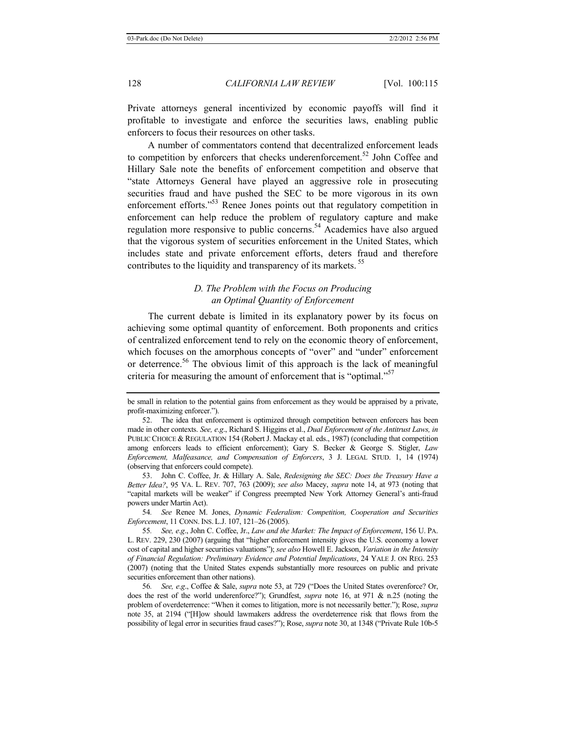Private attorneys general incentivized by economic payoffs will find it profitable to investigate and enforce the securities laws, enabling public enforcers to focus their resources on other tasks.

A number of commentators contend that decentralized enforcement leads to competition by enforcers that checks underenforcement.<sup>52</sup> John Coffee and Hillary Sale note the benefits of enforcement competition and observe that "state Attorneys General have played an aggressive role in prosecuting securities fraud and have pushed the SEC to be more vigorous in its own enforcement efforts."<sup>53</sup> Renee Jones points out that regulatory competition in enforcement can help reduce the problem of regulatory capture and make regulation more responsive to public concerns.<sup>54</sup> Academics have also argued that the vigorous system of securities enforcement in the United States, which includes state and private enforcement efforts, deters fraud and therefore contributes to the liquidity and transparency of its markets.<sup>55</sup>

# *D. The Problem with the Focus on Producing an Optimal Quantity of Enforcement*

The current debate is limited in its explanatory power by its focus on achieving some optimal quantity of enforcement. Both proponents and critics of centralized enforcement tend to rely on the economic theory of enforcement, which focuses on the amorphous concepts of "over" and "under" enforcement or deterrence.<sup>56</sup> The obvious limit of this approach is the lack of meaningful criteria for measuring the amount of enforcement that is "optimal."<sup>57</sup>

54*. See* Renee M. Jones, *Dynamic Federalism: Competition, Cooperation and Securities Enforcement*, 11 CONN. INS. L.J. 107, 121–26 (2005).

55*. See, e*.*g*., John C. Coffee, Jr., *Law and the Market: The Impact of Enforcement*, 156 U. PA. L. REV. 229, 230 (2007) (arguing that "higher enforcement intensity gives the U.S. economy a lower cost of capital and higher securities valuations"); *see also* Howell E. Jackson, *Variation in the Intensity of Financial Regulation: Preliminary Evidence and Potential Implications*, 24 YALE J. ON REG. 253 (2007) (noting that the United States expends substantially more resources on public and private securities enforcement than other nations).

56*. See, e*.*g*., Coffee & Sale, *supra* note 53, at 729 ("Does the United States overenforce? Or, does the rest of the world underenforce?"); Grundfest, *supra* note 16, at 971 & n.25 (noting the problem of overdeterrence: "When it comes to litigation, more is not necessarily better."); Rose, *supra* note 35, at 2194 ("[H]ow should lawmakers address the overdeterrence risk that flows from the possibility of legal error in securities fraud cases?"); Rose, *supra* note 30, at 1348 ("Private Rule 10b-5

be small in relation to the potential gains from enforcement as they would be appraised by a private, profit-maximizing enforcer.").

<sup>52.</sup> The idea that enforcement is optimized through competition between enforcers has been made in other contexts. *See, e*.*g*., Richard S. Higgins et al., *Dual Enforcement of the Antitrust Laws, in* PUBLIC CHOICE & REGULATION 154 (Robert J. Mackay et al. eds., 1987) (concluding that competition among enforcers leads to efficient enforcement); Gary S. Becker & George S. Stigler, *Law Enforcement, Malfeasance, and Compensation of Enforcers*, 3 J. LEGAL STUD. 1, 14 (1974) (observing that enforcers could compete).

<sup>53.</sup> John C. Coffee, Jr. & Hillary A. Sale, *Redesigning the SEC: Does the Treasury Have a Better Idea?*, 95 VA. L. REV. 707, 763 (2009); *see also* Macey, *supra* note 14, at 973 (noting that "capital markets will be weaker" if Congress preempted New York Attorney General's anti-fraud powers under Martin Act).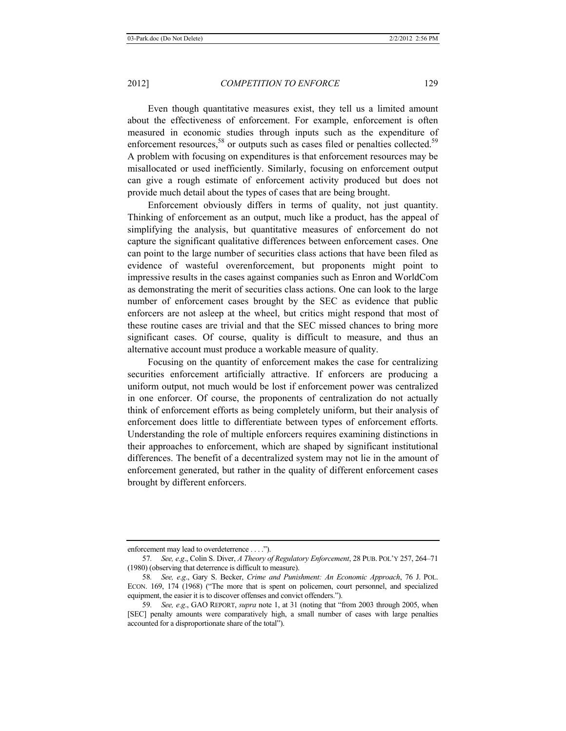Even though quantitative measures exist, they tell us a limited amount about the effectiveness of enforcement. For example, enforcement is often measured in economic studies through inputs such as the expenditure of enforcement resources,<sup>58</sup> or outputs such as cases filed or penalties collected.<sup>59</sup> A problem with focusing on expenditures is that enforcement resources may be misallocated or used inefficiently. Similarly, focusing on enforcement output can give a rough estimate of enforcement activity produced but does not provide much detail about the types of cases that are being brought.

Enforcement obviously differs in terms of quality, not just quantity. Thinking of enforcement as an output, much like a product, has the appeal of simplifying the analysis, but quantitative measures of enforcement do not capture the significant qualitative differences between enforcement cases. One can point to the large number of securities class actions that have been filed as evidence of wasteful overenforcement, but proponents might point to impressive results in the cases against companies such as Enron and WorldCom as demonstrating the merit of securities class actions. One can look to the large number of enforcement cases brought by the SEC as evidence that public enforcers are not asleep at the wheel, but critics might respond that most of these routine cases are trivial and that the SEC missed chances to bring more significant cases. Of course, quality is difficult to measure, and thus an alternative account must produce a workable measure of quality.

Focusing on the quantity of enforcement makes the case for centralizing securities enforcement artificially attractive. If enforcers are producing a uniform output, not much would be lost if enforcement power was centralized in one enforcer. Of course, the proponents of centralization do not actually think of enforcement efforts as being completely uniform, but their analysis of enforcement does little to differentiate between types of enforcement efforts. Understanding the role of multiple enforcers requires examining distinctions in their approaches to enforcement, which are shaped by significant institutional differences. The benefit of a decentralized system may not lie in the amount of enforcement generated, but rather in the quality of different enforcement cases brought by different enforcers.

enforcement may lead to overdeterrence . . . .").

<sup>57</sup>*. See, e*.*g*., Colin S. Diver, *A Theory of Regulatory Enforcement*, 28 PUB. POL'Y 257, 264–71 (1980) (observing that deterrence is difficult to measure).

<sup>58</sup>*. See, e*.*g*., Gary S. Becker, *Crime and Punishment: An Economic Approach*, 76 J. POL. ECON. 169, 174 (1968) ("The more that is spent on policemen, court personnel, and specialized equipment, the easier it is to discover offenses and convict offenders.").

<sup>59</sup>*. See, e*.*g*., GAO REPORT, *supra* note 1, at 31 (noting that "from 2003 through 2005, when [SEC] penalty amounts were comparatively high, a small number of cases with large penalties accounted for a disproportionate share of the total").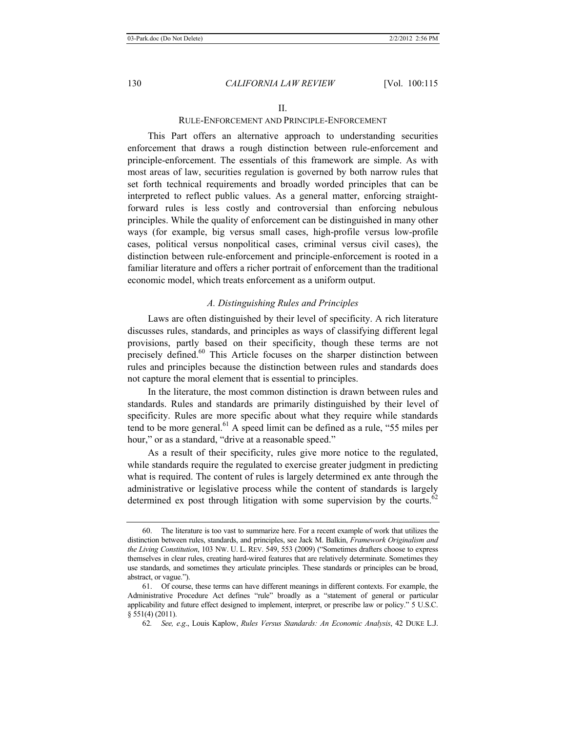# RULE-ENFORCEMENT AND PRINCIPLE-ENFORCEMENT

This Part offers an alternative approach to understanding securities enforcement that draws a rough distinction between rule-enforcement and principle-enforcement. The essentials of this framework are simple. As with most areas of law, securities regulation is governed by both narrow rules that set forth technical requirements and broadly worded principles that can be interpreted to reflect public values. As a general matter, enforcing straightforward rules is less costly and controversial than enforcing nebulous principles. While the quality of enforcement can be distinguished in many other ways (for example, big versus small cases, high-profile versus low-profile cases, political versus nonpolitical cases, criminal versus civil cases), the distinction between rule-enforcement and principle-enforcement is rooted in a familiar literature and offers a richer portrait of enforcement than the traditional economic model, which treats enforcement as a uniform output.

#### *A. Distinguishing Rules and Principles*

Laws are often distinguished by their level of specificity. A rich literature discusses rules, standards, and principles as ways of classifying different legal provisions, partly based on their specificity, though these terms are not precisely defined.<sup>60</sup> This Article focuses on the sharper distinction between rules and principles because the distinction between rules and standards does not capture the moral element that is essential to principles.

In the literature, the most common distinction is drawn between rules and standards. Rules and standards are primarily distinguished by their level of specificity. Rules are more specific about what they require while standards tend to be more general.<sup>61</sup> A speed limit can be defined as a rule, "55 miles per hour," or as a standard, "drive at a reasonable speed."

As a result of their specificity, rules give more notice to the regulated, while standards require the regulated to exercise greater judgment in predicting what is required. The content of rules is largely determined ex ante through the administrative or legislative process while the content of standards is largely determined ex post through litigation with some supervision by the courts.<sup>62</sup>

<sup>60.</sup> The literature is too vast to summarize here. For a recent example of work that utilizes the distinction between rules, standards, and principles, see Jack M. Balkin, *Framework Originalism and the Living Constitution*, 103 NW. U. L. REV. 549, 553 (2009) ("Sometimes drafters choose to express themselves in clear rules, creating hard-wired features that are relatively determinate. Sometimes they use standards, and sometimes they articulate principles. These standards or principles can be broad, abstract, or vague.").

<sup>61.</sup> Of course, these terms can have different meanings in different contexts. For example, the Administrative Procedure Act defines "rule" broadly as a "statement of general or particular applicability and future effect designed to implement, interpret, or prescribe law or policy." 5 U.S.C. § 551(4) (2011).

<sup>62</sup>*. See, e*.*g*., Louis Kaplow, *Rules Versus Standards: An Economic Analysis*, 42 DUKE L.J.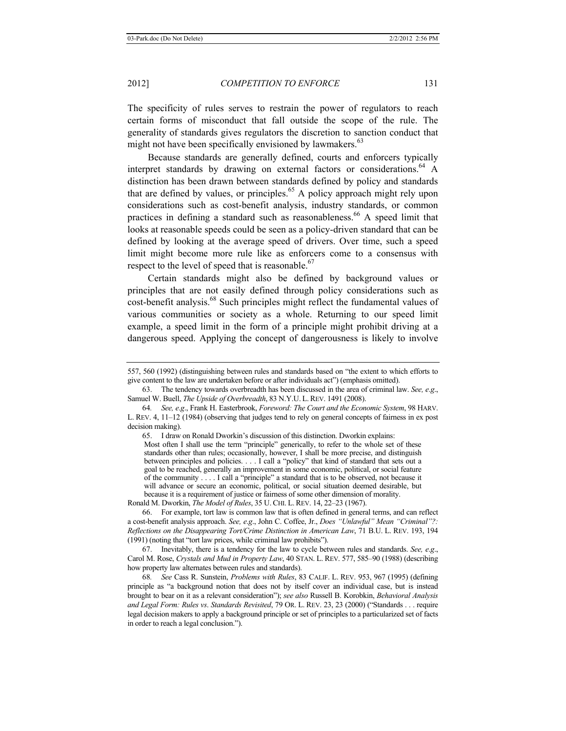The specificity of rules serves to restrain the power of regulators to reach certain forms of misconduct that fall outside the scope of the rule. The generality of standards gives regulators the discretion to sanction conduct that might not have been specifically envisioned by lawmakers. $63$ 

Because standards are generally defined, courts and enforcers typically interpret standards by drawing on external factors or considerations.<sup>64</sup> A distinction has been drawn between standards defined by policy and standards that are defined by values, or principles. $65$  A policy approach might rely upon considerations such as cost-benefit analysis, industry standards, or common practices in defining a standard such as reasonableness.<sup>66</sup> A speed limit that looks at reasonable speeds could be seen as a policy-driven standard that can be defined by looking at the average speed of drivers. Over time, such a speed limit might become more rule like as enforcers come to a consensus with respect to the level of speed that is reasonable.<sup>67</sup>

Certain standards might also be defined by background values or principles that are not easily defined through policy considerations such as cost-benefit analysis.<sup>68</sup> Such principles might reflect the fundamental values of various communities or society as a whole. Returning to our speed limit example, a speed limit in the form of a principle might prohibit driving at a dangerous speed. Applying the concept of dangerousness is likely to involve

65. I draw on Ronald Dworkin's discussion of this distinction. Dworkin explains: Most often I shall use the term "principle" generically, to refer to the whole set of these standards other than rules; occasionally, however, I shall be more precise, and distinguish between principles and policies. . . . I call a "policy" that kind of standard that sets out a goal to be reached, generally an improvement in some economic, political, or social feature of the community . . . . I call a "principle" a standard that is to be observed, not because it will advance or secure an economic, political, or social situation deemed desirable, but

because it is a requirement of justice or fairness of some other dimension of morality. Ronald M. Dworkin, *The Model of Rules*, 35 U.CHI. L. REV. 14, 22–23 (1967).

66. For example, tort law is common law that is often defined in general terms, and can reflect a cost-benefit analysis approach. *See, e*.*g*., John C. Coffee, Jr., *Does "Unlawful" Mean "Criminal"?: Reflections on the Disappearing Tort/Crime Distinction in American Law*, 71 B.U. L. REV. 193, 194 (1991) (noting that "tort law prices, while criminal law prohibits").

67. Inevitably, there is a tendency for the law to cycle between rules and standards. *See, e*.*g*., Carol M. Rose, *Crystals and Mud in Property Law*, 40 STAN. L. REV. 577, 585–90 (1988) (describing how property law alternates between rules and standards).

68*. See* Cass R. Sunstein, *Problems with Rules*, 83 CALIF. L. REV. 953, 967 (1995) (defining principle as "a background notion that does not by itself cover an individual case, but is instead brought to bear on it as a relevant consideration"); *see also* Russell B. Korobkin, *Behavioral Analysis and Legal Form: Rules vs*. *Standards Revisited*, 79 OR. L. REV. 23, 23 (2000) ("Standards . . . require legal decision makers to apply a background principle or set of principles to a particularized set of facts in order to reach a legal conclusion.").

<sup>557, 560 (1992) (</sup>distinguishing between rules and standards based on "the extent to which efforts to give content to the law are undertaken before or after individuals act") (emphasis omitted).

<sup>63.</sup> The tendency towards overbreadth has been discussed in the area of criminal law. *See, e*.*g*., Samuel W. Buell, *The Upside of Overbreadth*, 83 N.Y.U. L. REV. 1491 (2008).

<sup>64</sup>*. See, e*.*g*., Frank H. Easterbrook, *Foreword: The Court and the Economic System*, 98 HARV. L. REV. 4, 11–12 (1984) (observing that judges tend to rely on general concepts of fairness in ex post decision making).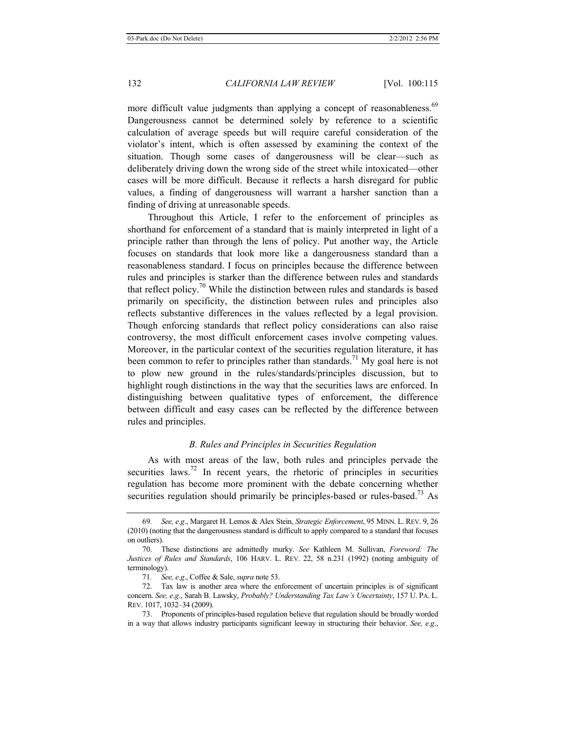more difficult value judgments than applying a concept of reasonableness.<sup>69</sup> Dangerousness cannot be determined solely by reference to a scientific calculation of average speeds but will require careful consideration of the violator's intent, which is often assessed by examining the context of the situation. Though some cases of dangerousness will be clear—such as deliberately driving down the wrong side of the street while intoxicated—other cases will be more difficult. Because it reflects a harsh disregard for public values, a finding of dangerousness will warrant a harsher sanction than a finding of driving at unreasonable speeds.

Throughout this Article, I refer to the enforcement of principles as shorthand for enforcement of a standard that is mainly interpreted in light of a principle rather than through the lens of policy. Put another way, the Article focuses on standards that look more like a dangerousness standard than a reasonableness standard. I focus on principles because the difference between rules and principles is starker than the difference between rules and standards that reflect policy.<sup>70</sup> While the distinction between rules and standards is based primarily on specificity, the distinction between rules and principles also reflects substantive differences in the values reflected by a legal provision. Though enforcing standards that reflect policy considerations can also raise controversy, the most difficult enforcement cases involve competing values. Moreover, in the particular context of the securities regulation literature, it has been common to refer to principles rather than standards.<sup>71</sup> My goal here is not to plow new ground in the rules/standards/principles discussion, but to highlight rough distinctions in the way that the securities laws are enforced. In distinguishing between qualitative types of enforcement, the difference between difficult and easy cases can be reflected by the difference between rules and principles.

# *B. Rules and Principles in Securities Regulation*

As with most areas of the law, both rules and principles pervade the securities laws.<sup>72</sup> In recent years, the rhetoric of principles in securities regulation has become more prominent with the debate concerning whether securities regulation should primarily be principles-based or rules-based.<sup>73</sup> As

<sup>69</sup>*. See, e*.*g*., Margaret H. Lemos & Alex Stein, *Strategic Enforcement*, 95 MINN. L. REV. 9, 26 (2010) (noting that the dangerousness standard is difficult to apply compared to a standard that focuses on outliers).

<sup>70.</sup> These distinctions are admittedly murky. *See* Kathleen M. Sullivan, *Foreword: The Justices of Rules and Standards*, 106 HARV. L. REV. 22, 58 n.231 (1992) (noting ambiguity of terminology).

<sup>71</sup>*. See, e*.*g*., Coffee & Sale, *supra* note 53.

<sup>72.</sup> Tax law is another area where the enforcement of uncertain principles is of significant concern. *See, e*.*g*., Sarah B. Lawsky, *Probably? Understanding Tax Law's Uncertainty*, 157 U. PA. L. REV. 1017, 1032–34 (2009).

<sup>73.</sup> Proponents of principles-based regulation believe that regulation should be broadly worded in a way that allows industry participants significant leeway in structuring their behavior. *See, e*.*g*.,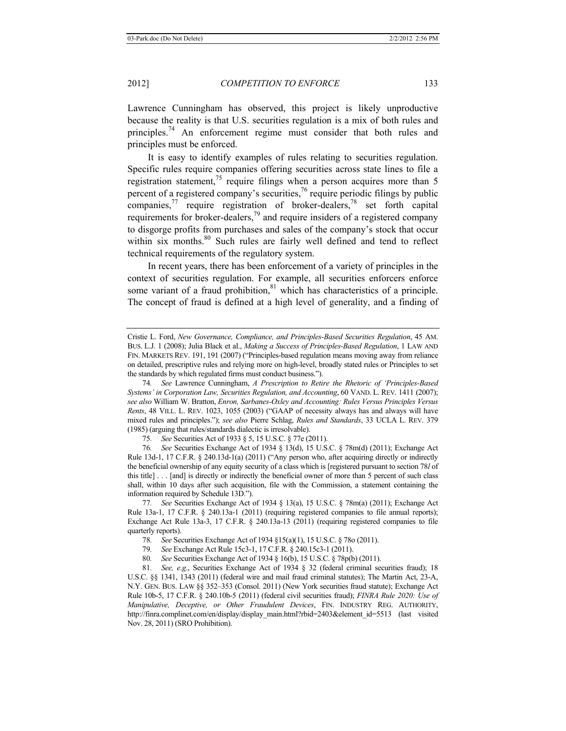Lawrence Cunningham has observed, this project is likely unproductive because the reality is that U.S. securities regulation is a mix of both rules and principles.<sup>74</sup> An enforcement regime must consider that both rules and principles must be enforced.

It is easy to identify examples of rules relating to securities regulation. Specific rules require companies offering securities across state lines to file a registration statement,<sup>75</sup> require filings when a person acquires more than 5 percent of a registered company's securities,<sup>76</sup> require periodic filings by public companies, $^{77}$  require registration of broker-dealers, $^{78}$  set forth capital requirements for broker-dealers,<sup>79</sup> and require insiders of a registered company to disgorge profits from purchases and sales of the company's stock that occur within six months.<sup>80</sup> Such rules are fairly well defined and tend to reflect technical requirements of the regulatory system.

In recent years, there has been enforcement of a variety of principles in the context of securities regulation. For example, all securities enforcers enforce some variant of a fraud prohibition, $81$  which has characteristics of a principle. The concept of fraud is defined at a high level of generality, and a finding of

75*. See* Securities Act of 1933 § 5, 15 U.S.C. § 77e (2011).

76*. See* Securities Exchange Act of 1934 § 13(d), 15 U.S.C. § 78m(d) (2011); Exchange Act Rule 13d-1, 17 C.F.R. § 240.13d-1(a) (2011) ("Any person who, after acquiring directly or indirectly the beneficial ownership of any equity security of a class which is [registered pursuant to section 78*l* of this title] . . . [and] is directly or indirectly the beneficial owner of more than 5 percent of such class shall, within 10 days after such acquisition, file with the Commission, a statement containing the information required by Schedule 13D.").

77*. See* Securities Exchange Act of 1934 § 13(a), 15 U.S.C. § 78m(a) (2011); Exchange Act Rule 13a-1, 17 C.F.R. § 240.13a-1 (2011) (requiring registered companies to file annual reports); Exchange Act Rule 13a-3, 17 C.F.R. § 240.13a-13 (2011) (requiring registered companies to file quarterly reports).

78*. See* Securities Exchange Act of 1934 §15(a)(1), 15 U.S.C. § 78o (2011).

79*. See* Exchange Act Rule 15c3-1, 17 C.F.R. § 240.15c3-1 (2011).

80*. See* Securities Exchange Act of 1934 § 16(b), 15 U.S.C. § 78p(b) (2011).

81*. See, e*.*g*., Securities Exchange Act of 1934 § 32 (federal criminal securities fraud); 18 U.S.C. §§ 1341, 1343 (2011) (federal wire and mail fraud criminal statutes); The Martin Act, 23-A, N.Y. GEN. BUS. LAW §§ 352–353 (Consol. 2011) (New York securities fraud statute); Exchange Act Rule 10b-5, 17 C.F.R. § 240.10b-5 (2011) (federal civil securities fraud); *FINRA Rule 2020: Use of Manipulative, Deceptive, or Other Fraudulent Devices*, FIN. INDUSTRY REG. AUTHORITY, http://finra.complinet.com/en/display/display\_main.html?rbid=2403&element\_id=5513 (last visited Nov. 28, 2011) (SRO Prohibition).

Cristie L. Ford, *New Governance, Compliance, and Principles-Based Securities Regulation*, 45 AM. BUS. L.J. 1 (2008); Julia Black et al., *Making a Success of Principles-Based Regulation*, 1 LAW AND FIN. MARKETS REV. 191, 191 (2007) ("Principles-based regulation means moving away from reliance on detailed, prescriptive rules and relying more on high-level, broadly stated rules or Principles to set the standards by which regulated firms must conduct business.").

<sup>74</sup>*. See* Lawrence Cunningham, *A Prescription to Retire the Rhetoric of 'Principles-Based Systems' in Corporation Law, Securities Regulation, and Accounting*, 60 VAND. L. REV. 1411 (2007); *see also* William W. Bratton, *Enron, Sarbanes-Oxley and Accounting: Rules Versus Principles Versus Rents*, 48 VILL. L. REV. 1023, 1055 (2003) ("GAAP of necessity always has and always will have mixed rules and principles."); *see also* Pierre Schlag, *Rules and Standards*, 33 UCLA L. REV. 379 (1985) (arguing that rules/standards dialectic is irresolvable).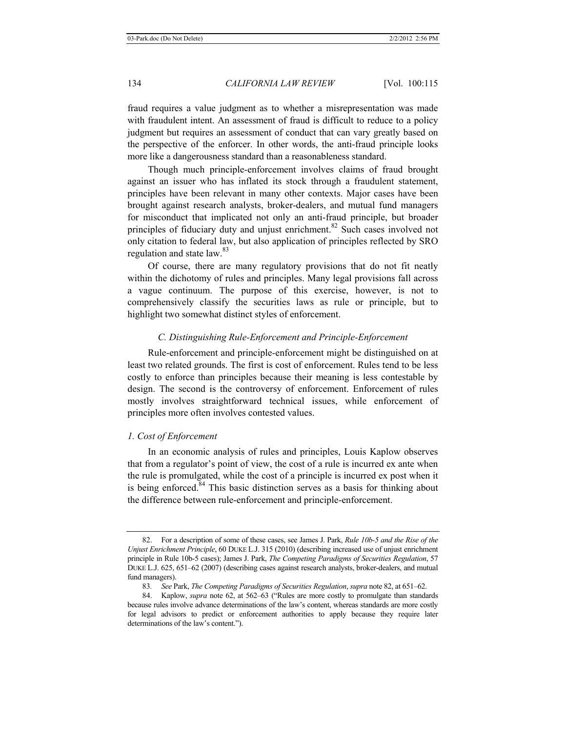fraud requires a value judgment as to whether a misrepresentation was made with fraudulent intent. An assessment of fraud is difficult to reduce to a policy judgment but requires an assessment of conduct that can vary greatly based on the perspective of the enforcer. In other words, the anti-fraud principle looks more like a dangerousness standard than a reasonableness standard.

Though much principle-enforcement involves claims of fraud brought against an issuer who has inflated its stock through a fraudulent statement, principles have been relevant in many other contexts. Major cases have been brought against research analysts, broker-dealers, and mutual fund managers for misconduct that implicated not only an anti-fraud principle, but broader principles of fiduciary duty and unjust enrichment.<sup>82</sup> Such cases involved not only citation to federal law, but also application of principles reflected by SRO regulation and state law.<sup>83</sup>

Of course, there are many regulatory provisions that do not fit neatly within the dichotomy of rules and principles. Many legal provisions fall across a vague continuum. The purpose of this exercise, however, is not to comprehensively classify the securities laws as rule or principle, but to highlight two somewhat distinct styles of enforcement.

# *C. Distinguishing Rule-Enforcement and Principle-Enforcement*

Rule-enforcement and principle-enforcement might be distinguished on at least two related grounds. The first is cost of enforcement. Rules tend to be less costly to enforce than principles because their meaning is less contestable by design. The second is the controversy of enforcement. Enforcement of rules mostly involves straightforward technical issues, while enforcement of principles more often involves contested values.

#### *1. Cost of Enforcement*

In an economic analysis of rules and principles, Louis Kaplow observes that from a regulator's point of view, the cost of a rule is incurred ex ante when the rule is promulgated, while the cost of a principle is incurred ex post when it is being enforced.<sup>84</sup> This basic distinction serves as a basis for thinking about the difference between rule-enforcement and principle-enforcement.

<sup>82.</sup> For a description of some of these cases, see James J. Park, *Rule 10b-5 and the Rise of the Unjust Enrichment Principle*, 60 DUKE L.J. 315 (2010) (describing increased use of unjust enrichment principle in Rule 10b-5 cases); James J. Park, *The Competing Paradigms of Securities Regulation*, 57 DUKE L.J. 625, 651–62 (2007) (describing cases against research analysts, broker-dealers, and mutual fund managers).

<sup>83</sup>*. See* Park, *The Competing Paradigms of Securities Regulation*, *supra* note 82, at 651–62.

<sup>84.</sup> Kaplow, *supra* note 62, at 562–63 ("Rules are more costly to promulgate than standards because rules involve advance determinations of the law's content, whereas standards are more costly for legal advisors to predict or enforcement authorities to apply because they require later determinations of the law's content.").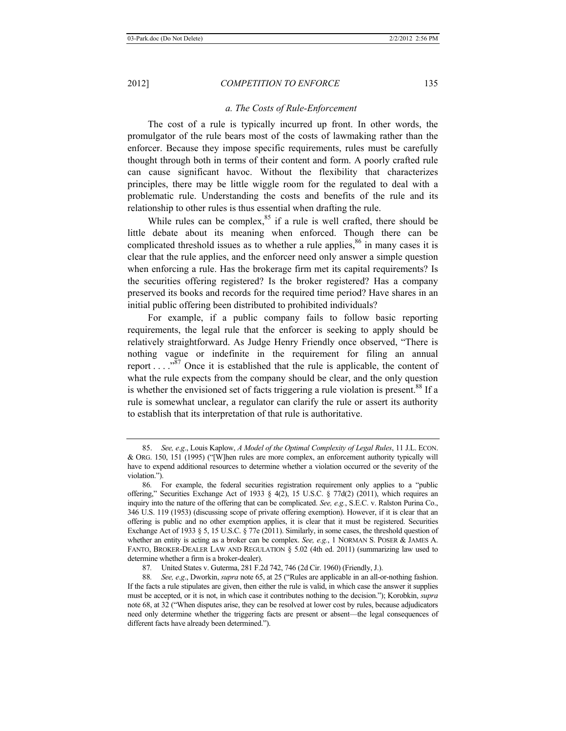#### *a. The Costs of Rule-Enforcement*

The cost of a rule is typically incurred up front. In other words, the promulgator of the rule bears most of the costs of lawmaking rather than the enforcer. Because they impose specific requirements, rules must be carefully thought through both in terms of their content and form. A poorly crafted rule can cause significant havoc. Without the flexibility that characterizes principles, there may be little wiggle room for the regulated to deal with a problematic rule. Understanding the costs and benefits of the rule and its relationship to other rules is thus essential when drafting the rule.

While rules can be complex, $85$  if a rule is well crafted, there should be little debate about its meaning when enforced. Though there can be complicated threshold issues as to whether a rule applies, $86$  in many cases it is clear that the rule applies, and the enforcer need only answer a simple question when enforcing a rule. Has the brokerage firm met its capital requirements? Is the securities offering registered? Is the broker registered? Has a company preserved its books and records for the required time period? Have shares in an initial public offering been distributed to prohibited individuals?

For example, if a public company fails to follow basic reporting requirements, the legal rule that the enforcer is seeking to apply should be relatively straightforward. As Judge Henry Friendly once observed, "There is nothing vague or indefinite in the requirement for filing an annual report  $\dots$   $\cdot$ <sup>87</sup>. Once it is established that the rule is applicable, the content of what the rule expects from the company should be clear, and the only question is whether the envisioned set of facts triggering a rule violation is present.<sup>88</sup> If a rule is somewhat unclear, a regulator can clarify the rule or assert its authority to establish that its interpretation of that rule is authoritative.

87*.* United States v. Guterma, 281 F.2d 742, 746 (2d Cir. 1960) (Friendly, J.).

<sup>85.</sup> *See, e*.*g*., Louis Kaplow, *A Model of the Optimal Complexity of Legal Rules*, 11 J.L. ECON. & ORG. 150, 151 (1995) ("[W]hen rules are more complex, an enforcement authority typically will have to expend additional resources to determine whether a violation occurred or the severity of the violation.").

<sup>86</sup>*.* For example, the federal securities registration requirement only applies to a "public offering," Securities Exchange Act of 1933  $\frac{6}{3}$  4(2), 15 U.S.C.  $\frac{8}{37d(2)}$  (2011), which requires an inquiry into the nature of the offering that can be complicated. *See, e.g.*, S.E.C. v. Ralston Purina Co., 346 U.S. 119 (1953) (discussing scope of private offering exemption). However, if it is clear that an offering is public and no other exemption applies, it is clear that it must be registered. Securities Exchange Act of 1933 § 5, 15 U.S.C. § 77e (2011). Similarly, in some cases, the threshold question of whether an entity is acting as a broker can be complex. *See, e.g.*, 1 NORMAN S. POSER & JAMES A. FANTO, BROKER-DEALER LAW AND REGULATION  $\S$  5.02 (4th ed. 2011) (summarizing law used to determine whether a firm is a broker-dealer).

<sup>88</sup>*. See, e*.*g*., Dworkin, *supra* note 65, at 25 ("Rules are applicable in an all-or-nothing fashion. If the facts a rule stipulates are given, then either the rule is valid, in which case the answer it supplies must be accepted, or it is not, in which case it contributes nothing to the decision."); Korobkin, *supra* note 68, at 32 ("When disputes arise, they can be resolved at lower cost by rules, because adjudicators need only determine whether the triggering facts are present or absent—the legal consequences of different facts have already been determined.").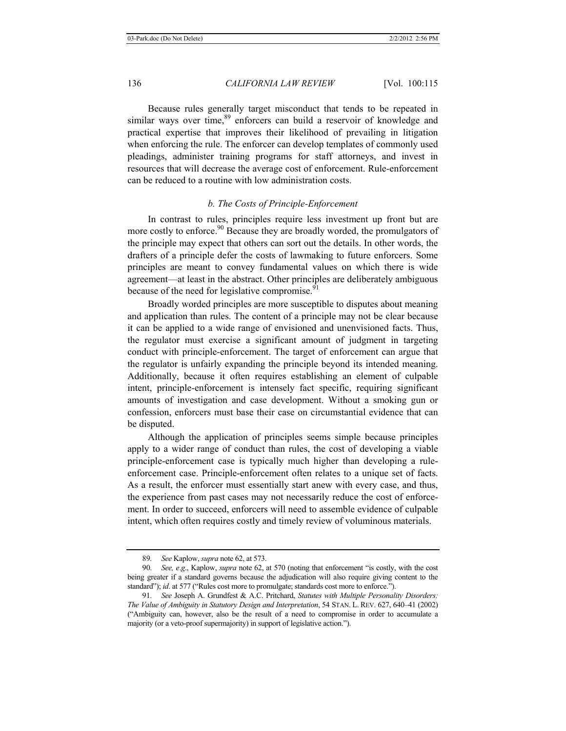Because rules generally target misconduct that tends to be repeated in similar ways over time,<sup>89</sup> enforcers can build a reservoir of knowledge and practical expertise that improves their likelihood of prevailing in litigation when enforcing the rule. The enforcer can develop templates of commonly used pleadings, administer training programs for staff attorneys, and invest in resources that will decrease the average cost of enforcement. Rule-enforcement can be reduced to a routine with low administration costs.

# *b. The Costs of Principle-Enforcement*

In contrast to rules, principles require less investment up front but are more costly to enforce.<sup>90</sup> Because they are broadly worded, the promulgators of the principle may expect that others can sort out the details. In other words, the drafters of a principle defer the costs of lawmaking to future enforcers. Some principles are meant to convey fundamental values on which there is wide agreement—at least in the abstract. Other principles are deliberately ambiguous because of the need for legislative compromise.<sup>91</sup>

Broadly worded principles are more susceptible to disputes about meaning and application than rules. The content of a principle may not be clear because it can be applied to a wide range of envisioned and unenvisioned facts. Thus, the regulator must exercise a significant amount of judgment in targeting conduct with principle-enforcement. The target of enforcement can argue that the regulator is unfairly expanding the principle beyond its intended meaning. Additionally, because it often requires establishing an element of culpable intent, principle-enforcement is intensely fact specific, requiring significant amounts of investigation and case development. Without a smoking gun or confession, enforcers must base their case on circumstantial evidence that can be disputed.

Although the application of principles seems simple because principles apply to a wider range of conduct than rules, the cost of developing a viable principle-enforcement case is typically much higher than developing a ruleenforcement case. Principle-enforcement often relates to a unique set of facts. As a result, the enforcer must essentially start anew with every case, and thus, the experience from past cases may not necessarily reduce the cost of enforcement. In order to succeed, enforcers will need to assemble evidence of culpable intent, which often requires costly and timely review of voluminous materials.

<sup>89</sup>*. See* Kaplow, *supra* note 62, at 573.

<sup>90</sup>*. See, e*.*g*., Kaplow, *supra* note 62, at 570 (noting that enforcement "is costly, with the cost being greater if a standard governs because the adjudication will also require giving content to the standard"); *id.* at 577 ("Rules cost more to promulgate; standards cost more to enforce.").

<sup>91</sup>*. See* Joseph A. Grundfest & A.C. Pritchard, *Statutes with Multiple Personality Disorders: The Value of Ambiguity in Statutory Design and Interpretation*, 54 STAN. L. REV. 627, 640–41 (2002) ("Ambiguity can, however, also be the result of a need to compromise in order to accumulate a majority (or a veto-proof supermajority) in support of legislative action.").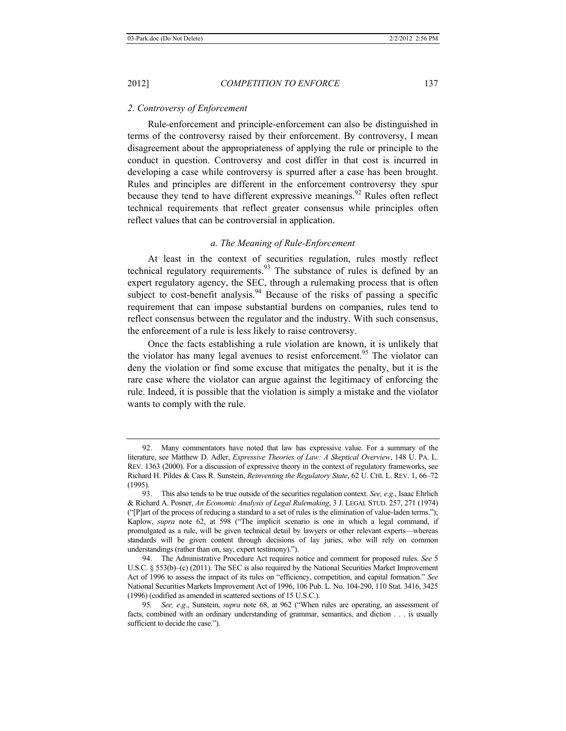#### *2. Controversy of Enforcement*

Rule-enforcement and principle-enforcement can also be distinguished in terms of the controversy raised by their enforcement. By controversy, I mean disagreement about the appropriateness of applying the rule or principle to the conduct in question. Controversy and cost differ in that cost is incurred in developing a case while controversy is spurred after a case has been brought. Rules and principles are different in the enforcement controversy they spur because they tend to have different expressive meanings.<sup>92</sup> Rules often reflect technical requirements that reflect greater consensus while principles often reflect values that can be controversial in application.

# *a. The Meaning of Rule-Enforcement*

At least in the context of securities regulation, rules mostly reflect technical regulatory requirements. $93$  The substance of rules is defined by an expert regulatory agency, the SEC, through a rulemaking process that is often subject to cost-benefit analysis.<sup>94</sup> Because of the risks of passing a specific requirement that can impose substantial burdens on companies, rules tend to reflect consensus between the regulator and the industry. With such consensus, the enforcement of a rule is less likely to raise controversy.

Once the facts establishing a rule violation are known, it is unlikely that the violator has many legal avenues to resist enforcement.<sup>95</sup> The violator can deny the violation or find some excuse that mitigates the penalty, but it is the rare case where the violator can argue against the legitimacy of enforcing the rule. Indeed, it is possible that the violation is simply a mistake and the violator wants to comply with the rule.

<sup>92.</sup> Many commentators have noted that law has expressive value. For a summary of the literature, see Matthew D. Adler, *Expressive Theories of Law: A Skeptical Overview*, 148 U. PA. L. REV. 1363 (2000). For a discussion of expressive theory in the context of regulatory frameworks, see Richard H. Pildes & Cass R. Sunstein, *Reinventing the Regulatory State*, 62 U. CHI. L. REV. 1, 66–72 (1995).

<sup>93.</sup> This also tends to be true outside of the securities regulation context. *See, e*.*g*., Isaac Ehrlich & Richard A. Posner, *An Economic Analysis of Legal Rulemaking*, 3 J. LEGAL STUD. 257, 271 (1974) ("[P]art of the process of reducing a standard to a set of rules is the elimination of value-laden terms."); Kaplow, *supra* note 62, at 598 ("The implicit scenario is one in which a legal command, if promulgated as a rule, will be given technical detail by lawyers or other relevant experts—whereas standards will be given content through decisions of lay juries, who will rely on common understandings (rather than on, say, expert testimony).").

<sup>94.</sup> The Administrative Procedure Act requires notice and comment for proposed rules. *See* 5 U.S.C. § 553(b)–(c) (2011). The SEC is also required by the National Securities Market Improvement Act of 1996 to assess the impact of its rules on "efficiency, competition, and capital formation." *See* National Securities Markets Improvement Act of 1996, 106 Pub. L. No. 104-290, 110 Stat. 3416, 3425 (1996) (codified as amended in scattered sections of 15 U.S.C.).

<sup>95</sup>*. See, e*.*g*., Sunstein, *supra* note 68, at 962 ("When rules are operating, an assessment of facts, combined with an ordinary understanding of grammar, semantics, and diction . . . is usually sufficient to decide the case.").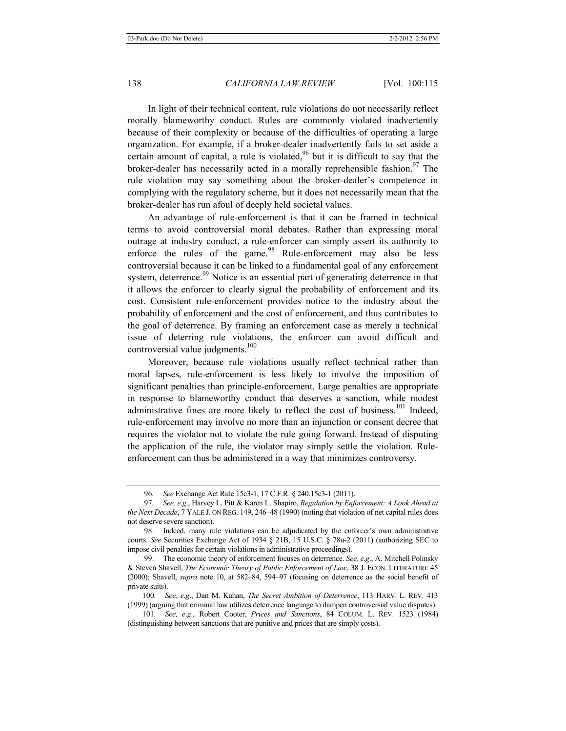In light of their technical content, rule violations do not necessarily reflect morally blameworthy conduct. Rules are commonly violated inadvertently because of their complexity or because of the difficulties of operating a large organization. For example, if a broker-dealer inadvertently fails to set aside a certain amount of capital, a rule is violated, $96$  but it is difficult to say that the broker-dealer has necessarily acted in a morally reprehensible fashion.<sup>97</sup> The rule violation may say something about the broker-dealer's competence in complying with the regulatory scheme, but it does not necessarily mean that the broker-dealer has run afoul of deeply held societal values.

An advantage of rule-enforcement is that it can be framed in technical terms to avoid controversial moral debates. Rather than expressing moral outrage at industry conduct, a rule-enforcer can simply assert its authority to enforce the rules of the game. $98$  Rule-enforcement may also be less controversial because it can be linked to a fundamental goal of any enforcement system, deterrence.<sup>99</sup> Notice is an essential part of generating deterrence in that it allows the enforcer to clearly signal the probability of enforcement and its cost. Consistent rule-enforcement provides notice to the industry about the probability of enforcement and the cost of enforcement, and thus contributes to the goal of deterrence. By framing an enforcement case as merely a technical issue of deterring rule violations, the enforcer can avoid difficult and controversial value judgments.<sup>100</sup>

Moreover, because rule violations usually reflect technical rather than moral lapses, rule-enforcement is less likely to involve the imposition of significant penalties than principle-enforcement. Large penalties are appropriate in response to blameworthy conduct that deserves a sanction, while modest administrative fines are more likely to reflect the cost of business.<sup>101</sup> Indeed, rule-enforcement may involve no more than an injunction or consent decree that requires the violator not to violate the rule going forward. Instead of disputing the application of the rule, the violator may simply settle the violation. Ruleenforcement can thus be administered in a way that minimizes controversy.

<sup>96</sup>*. See* Exchange Act Rule 15c3-1, 17 C.F.R. § 240.15c3-1 (2011).

<sup>97</sup>*. See, e*.*g*., Harvey L. Pitt & Karen L. Shapiro, *Regulation by Enforcement: A Look Ahead at the Next Decade*, 7 YALE J. ON REG. 149, 246–48 (1990) (noting that violation of net capital rules does not deserve severe sanction).

 <sup>98.</sup> Indeed, many rule violations can be adjudicated by the enforcer's own administrative courts. *See* Securities Exchange Act of 1934 § 21B, 15 U.S.C. § 78u-2 (2011) (authorizing SEC to impose civil penalties for certain violations in administrative proceedings).

 <sup>99.</sup> The economic theory of enforcement focuses on deterrence. *See, e*.*g*., A. Mitchell Polinsky & Steven Shavell, *The Economic Theory of Public Enforcement of Law*, 38 J. ECON. LITERATURE 45 (2000); Shavell, *supra* note 10, at 582–84, 594–97 (focusing on deterrence as the social benefit of private suits).

<sup>100</sup>*. See, e*.*g*., Dan M. Kahan, *The Secret Ambition of Deterrence*, 113 HARV. L. REV. 413 (1999) (arguing that criminal law utilizes deterrence language to dampen controversial value disputes).

<sup>101</sup>*. See, e*.*g*., Robert Cooter, *Prices and Sanctions*, 84 COLUM. L. REV. 1523 (1984) (distinguishing between sanctions that are punitive and prices that are simply costs).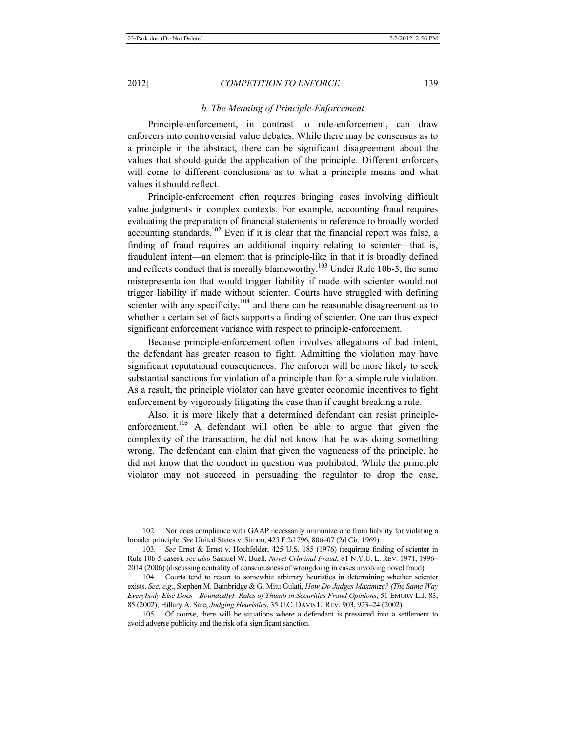#### *b. The Meaning of Principle-Enforcement*

Principle-enforcement, in contrast to rule-enforcement, can draw enforcers into controversial value debates. While there may be consensus as to a principle in the abstract, there can be significant disagreement about the values that should guide the application of the principle. Different enforcers will come to different conclusions as to what a principle means and what values it should reflect.

Principle-enforcement often requires bringing cases involving difficult value judgments in complex contexts. For example, accounting fraud requires evaluating the preparation of financial statements in reference to broadly worded accounting standards.<sup>102</sup> Even if it is clear that the financial report was false, a finding of fraud requires an additional inquiry relating to scienter—that is, fraudulent intent—an element that is principle-like in that it is broadly defined and reflects conduct that is morally blameworthy.<sup>103</sup> Under Rule 10b-5, the same misrepresentation that would trigger liability if made with scienter would not trigger liability if made without scienter. Courts have struggled with defining scienter with any specificity,  $104$  and there can be reasonable disagreement as to whether a certain set of facts supports a finding of scienter. One can thus expect significant enforcement variance with respect to principle-enforcement.

Because principle-enforcement often involves allegations of bad intent, the defendant has greater reason to fight. Admitting the violation may have significant reputational consequences. The enforcer will be more likely to seek substantial sanctions for violation of a principle than for a simple rule violation. As a result, the principle violator can have greater economic incentives to fight enforcement by vigorously litigating the case than if caught breaking a rule.

Also, it is more likely that a determined defendant can resist principleenforcement.<sup>105</sup> A defendant will often be able to argue that given the complexity of the transaction, he did not know that he was doing something wrong. The defendant can claim that given the vagueness of the principle, he did not know that the conduct in question was prohibited. While the principle violator may not succeed in persuading the regulator to drop the case,

<sup>102.</sup> Nor does compliance with GAAP necessarily immunize one from liability for violating a broader principle. *See* United States v. Simon, 425 F.2d 796, 806–07 (2d Cir. 1969).

<sup>103</sup>*. See* Ernst & Ernst v. Hochfelder, 425 U.S. 185 (1976) (requiring finding of scienter in Rule 10b-5 cases); *see also* Samuel W. Buell, *Novel Criminal Fraud*, 81 N.Y.U. L. REV. 1971, 1996– 2014 (2006) (discussing centrality of consciousness of wrongdoing in cases involving novel fraud).

<sup>104.</sup> Courts tend to resort to somewhat arbitrary heuristics in determining whether scienter exists. *See, e*.*g*., Stephen M. Bainbridge & G. Mitu Gulati, *How Do Judges Maximize? (The Same Way Everybody Else Does—Boundedly): Rules of Thumb in Securities Fraud Opinions*, 51 EMORY L.J. 83, 85 (2002); Hillary A. Sale, *Judging Heuristics*, 35 U.C. DAVIS L. REV. 903, 923–24 (2002).

<sup>105.</sup> Of course, there will be situations where a defendant is pressured into a settlement to avoid adverse publicity and the risk of a significant sanction.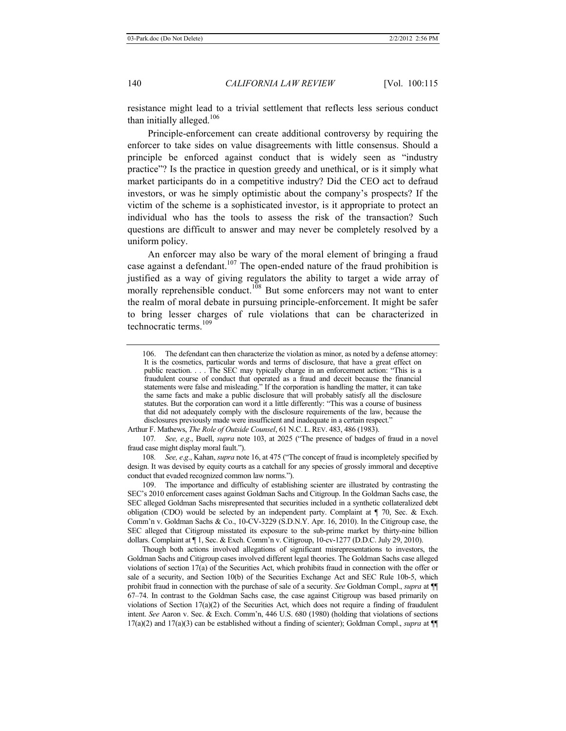resistance might lead to a trivial settlement that reflects less serious conduct than initially alleged.<sup>106</sup>

Principle-enforcement can create additional controversy by requiring the enforcer to take sides on value disagreements with little consensus. Should a principle be enforced against conduct that is widely seen as "industry practice"? Is the practice in question greedy and unethical, or is it simply what market participants do in a competitive industry? Did the CEO act to defraud investors, or was he simply optimistic about the company's prospects? If the victim of the scheme is a sophisticated investor, is it appropriate to protect an individual who has the tools to assess the risk of the transaction? Such questions are difficult to answer and may never be completely resolved by a uniform policy.

An enforcer may also be wary of the moral element of bringing a fraud case against a defendant.<sup>107</sup> The open-ended nature of the fraud prohibition is justified as a way of giving regulators the ability to target a wide array of morally reprehensible conduct.<sup>108</sup> But some enforcers may not want to enter the realm of moral debate in pursuing principle-enforcement. It might be safer to bring lesser charges of rule violations that can be characterized in technocratic terms.<sup>109</sup>

Arthur F. Mathews, *The Role of Outside Counsel*, 61 N.C. L.REV. 483, 486 (1983).

107*. See, e*.*g*., Buell, *supra* note 103, at 2025 ("The presence of badges of fraud in a novel fraud case might display moral fault.").

108*. See, e*.*g*., Kahan, *supra* note 16, at 475 ("The concept of fraud is incompletely specified by design. It was devised by equity courts as a catchall for any species of grossly immoral and deceptive conduct that evaded recognized common law norms.").

109. The importance and difficulty of establishing scienter are illustrated by contrasting the SEC's 2010 enforcement cases against Goldman Sachs and Citigroup. In the Goldman Sachs case, the SEC alleged Goldman Sachs misrepresented that securities included in a synthetic collateralized debt obligation (CDO) would be selected by an independent party. Complaint at  $\P$  70, Sec. & Exch. Comm'n v. Goldman Sachs & Co., 10-CV-3229 (S.D.N.Y. Apr. 16, 2010). In the Citigroup case, the SEC alleged that Citigroup misstated its exposure to the sub-prime market by thirty-nine billion dollars. Complaint at ¶ 1, Sec. & Exch. Comm'n v. Citigroup, 10-cv-1277 (D.D.C. July 29, 2010).

Though both actions involved allegations of significant misrepresentations to investors, the Goldman Sachs and Citigroup cases involved different legal theories. The Goldman Sachs case alleged violations of section 17(a) of the Securities Act, which prohibits fraud in connection with the offer or sale of a security, and Section 10(b) of the Securities Exchange Act and SEC Rule 10b-5, which prohibit fraud in connection with the purchase of sale of a security. *See* Goldman Compl., *supra* at ¶¶ 67–74. In contrast to the Goldman Sachs case, the case against Citigroup was based primarily on violations of Section  $17(a)(2)$  of the Securities Act, which does not require a finding of fraudulent intent. *See* Aaron v. Sec. & Exch. Comm'n, 446 U.S. 680 (1980) (holding that violations of sections 17(a)(2) and 17(a)(3) can be established without a finding of scienter); Goldman Compl., *supra* at ¶¶

<sup>106.</sup> The defendant can then characterize the violation as minor, as noted by a defense attorney: It is the cosmetics, particular words and terms of disclosure, that have a great effect on public reaction. . . . The SEC may typically charge in an enforcement action: "This is a fraudulent course of conduct that operated as a fraud and deceit because the financial statements were false and misleading." If the corporation is handling the matter, it can take the same facts and make a public disclosure that will probably satisfy all the disclosure statutes. But the corporation can word it a little differently: "This was a course of business that did not adequately comply with the disclosure requirements of the law, because the disclosures previously made were insufficient and inadequate in a certain respect."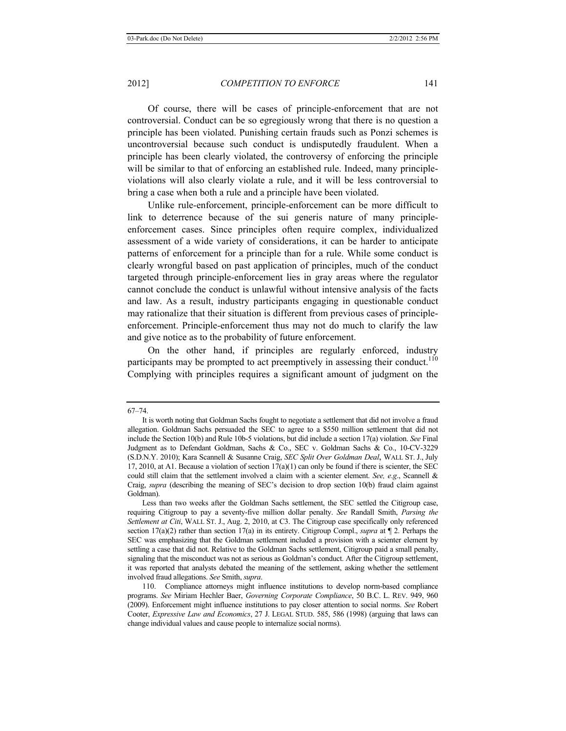Of course, there will be cases of principle-enforcement that are not controversial. Conduct can be so egregiously wrong that there is no question a principle has been violated. Punishing certain frauds such as Ponzi schemes is uncontroversial because such conduct is undisputedly fraudulent. When a principle has been clearly violated, the controversy of enforcing the principle will be similar to that of enforcing an established rule. Indeed, many principleviolations will also clearly violate a rule, and it will be less controversial to bring a case when both a rule and a principle have been violated.

Unlike rule-enforcement, principle-enforcement can be more difficult to link to deterrence because of the sui generis nature of many principleenforcement cases. Since principles often require complex, individualized assessment of a wide variety of considerations, it can be harder to anticipate patterns of enforcement for a principle than for a rule. While some conduct is clearly wrongful based on past application of principles, much of the conduct targeted through principle-enforcement lies in gray areas where the regulator cannot conclude the conduct is unlawful without intensive analysis of the facts and law. As a result, industry participants engaging in questionable conduct may rationalize that their situation is different from previous cases of principleenforcement. Principle-enforcement thus may not do much to clarify the law and give notice as to the probability of future enforcement.

On the other hand, if principles are regularly enforced, industry participants may be prompted to act preemptively in assessing their conduct.<sup>110</sup> Complying with principles requires a significant amount of judgment on the

<sup>67–74.</sup> 

It is worth noting that Goldman Sachs fought to negotiate a settlement that did not involve a fraud allegation. Goldman Sachs persuaded the SEC to agree to a \$550 million settlement that did not include the Section 10(b) and Rule 10b-5 violations, but did include a section 17(a) violation. *See* Final Judgment as to Defendant Goldman, Sachs & Co., SEC v. Goldman Sachs & Co., 10-CV-3229 (S.D.N.Y. 2010); Kara Scannell & Susanne Craig, *SEC Split Over Goldman Deal*, WALL ST. J., July 17, 2010, at A1. Because a violation of section  $17(a)(1)$  can only be found if there is scienter, the SEC could still claim that the settlement involved a claim with a scienter element. *See, e*.*g*., Scannell & Craig, *supra* (describing the meaning of SEC's decision to drop section 10(b) fraud claim against Goldman).

Less than two weeks after the Goldman Sachs settlement, the SEC settled the Citigroup case, requiring Citigroup to pay a seventy-five million dollar penalty. *See* Randall Smith, *Parsing the Settlement at Citi*, WALL ST. J., Aug. 2, 2010, at C3. The Citigroup case specifically only referenced section 17(a)(2) rather than section 17(a) in its entirety. Citigroup Compl., *supra* at ¶ 2. Perhaps the SEC was emphasizing that the Goldman settlement included a provision with a scienter element by settling a case that did not. Relative to the Goldman Sachs settlement, Citigroup paid a small penalty, signaling that the misconduct was not as serious as Goldman's conduct. After the Citigroup settlement, it was reported that analysts debated the meaning of the settlement, asking whether the settlement involved fraud allegations. *See* Smith, *supra*.

<sup>110.</sup> Compliance attorneys might influence institutions to develop norm-based compliance programs. *See* Miriam Hechler Baer, *Governing Corporate Compliance*, 50 B.C. L. REV. 949, 960 (2009). Enforcement might influence institutions to pay closer attention to social norms. *See* Robert Cooter, *Expressive Law and Economics*, 27 J. LEGAL STUD. 585, 586 (1998) (arguing that laws can change individual values and cause people to internalize social norms).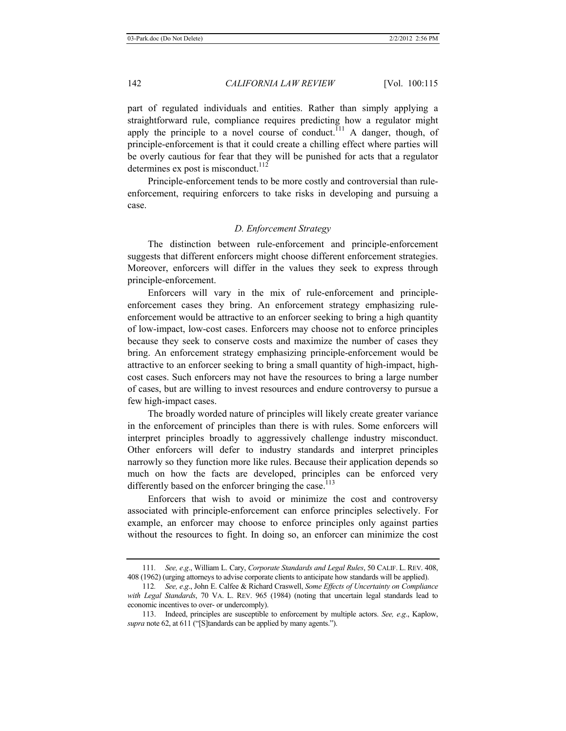part of regulated individuals and entities. Rather than simply applying a straightforward rule, compliance requires predicting how a regulator might apply the principle to a novel course of conduct.<sup> $111$ </sup> A danger, though, of principle-enforcement is that it could create a chilling effect where parties will be overly cautious for fear that they will be punished for acts that a regulator determines ex post is misconduct.<sup>112</sup>

Principle-enforcement tends to be more costly and controversial than ruleenforcement, requiring enforcers to take risks in developing and pursuing a case.

#### *D. Enforcement Strategy*

The distinction between rule-enforcement and principle-enforcement suggests that different enforcers might choose different enforcement strategies. Moreover, enforcers will differ in the values they seek to express through principle-enforcement.

Enforcers will vary in the mix of rule-enforcement and principleenforcement cases they bring. An enforcement strategy emphasizing ruleenforcement would be attractive to an enforcer seeking to bring a high quantity of low-impact, low-cost cases. Enforcers may choose not to enforce principles because they seek to conserve costs and maximize the number of cases they bring. An enforcement strategy emphasizing principle-enforcement would be attractive to an enforcer seeking to bring a small quantity of high-impact, highcost cases. Such enforcers may not have the resources to bring a large number of cases, but are willing to invest resources and endure controversy to pursue a few high-impact cases.

The broadly worded nature of principles will likely create greater variance in the enforcement of principles than there is with rules. Some enforcers will interpret principles broadly to aggressively challenge industry misconduct. Other enforcers will defer to industry standards and interpret principles narrowly so they function more like rules. Because their application depends so much on how the facts are developed, principles can be enforced very differently based on the enforcer bringing the case.<sup>113</sup>

Enforcers that wish to avoid or minimize the cost and controversy associated with principle-enforcement can enforce principles selectively. For example, an enforcer may choose to enforce principles only against parties without the resources to fight. In doing so, an enforcer can minimize the cost

<sup>111</sup>*. See, e*.*g*., William L. Cary, *Corporate Standards and Legal Rules*, 50 CALIF. L. REV. 408, 408 (1962) (urging attorneys to advise corporate clients to anticipate how standards will be applied).

<sup>112</sup>*. See, e*.*g*., John E. Calfee & Richard Craswell, *Some Effects of Uncertainty on Compliance with Legal Standards*, 70 VA. L. REV. 965 (1984) (noting that uncertain legal standards lead to economic incentives to over- or undercomply).

<sup>113.</sup> Indeed, principles are susceptible to enforcement by multiple actors. *See, e*.*g*., Kaplow, *supra* note 62, at 611 ("[S]tandards can be applied by many agents.").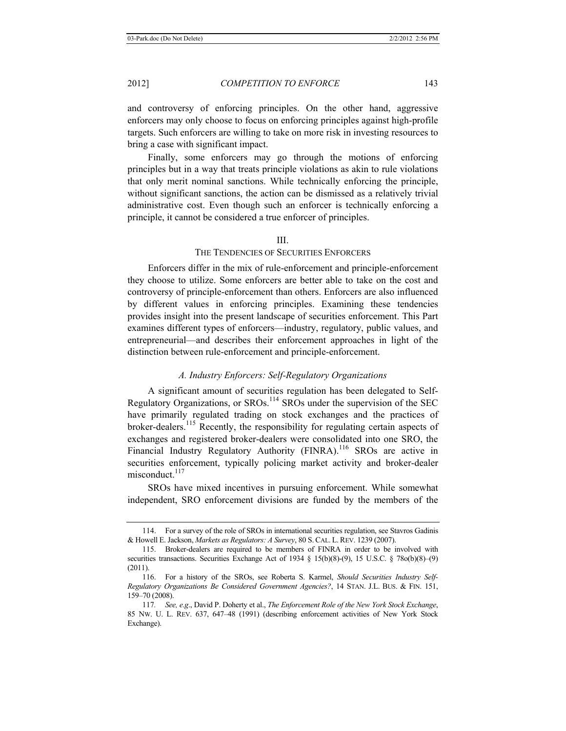and controversy of enforcing principles. On the other hand, aggressive enforcers may only choose to focus on enforcing principles against high-profile targets. Such enforcers are willing to take on more risk in investing resources to bring a case with significant impact.

Finally, some enforcers may go through the motions of enforcing principles but in a way that treats principle violations as akin to rule violations that only merit nominal sanctions. While technically enforcing the principle, without significant sanctions, the action can be dismissed as a relatively trivial administrative cost. Even though such an enforcer is technically enforcing a principle, it cannot be considered a true enforcer of principles.

# III.

# THE TENDENCIES OF SECURITIES ENFORCERS

Enforcers differ in the mix of rule-enforcement and principle-enforcement they choose to utilize. Some enforcers are better able to take on the cost and controversy of principle-enforcement than others. Enforcers are also influenced by different values in enforcing principles. Examining these tendencies provides insight into the present landscape of securities enforcement. This Part examines different types of enforcers—industry, regulatory, public values, and entrepreneurial—and describes their enforcement approaches in light of the distinction between rule-enforcement and principle-enforcement.

#### *A. Industry Enforcers: Self-Regulatory Organizations*

A significant amount of securities regulation has been delegated to Self-Regulatory Organizations, or SROs.114 SROs under the supervision of the SEC have primarily regulated trading on stock exchanges and the practices of broker-dealers.<sup>115</sup> Recently, the responsibility for regulating certain aspects of exchanges and registered broker-dealers were consolidated into one SRO, the Financial Industry Regulatory Authority (FINRA).<sup>116</sup> SROs are active in securities enforcement, typically policing market activity and broker-dealer misconduct.<sup>117</sup>

SROs have mixed incentives in pursuing enforcement. While somewhat independent, SRO enforcement divisions are funded by the members of the

<sup>114.</sup> For a survey of the role of SROs in international securities regulation, see Stavros Gadinis & Howell E. Jackson, *Markets as Regulators: A Survey*, 80 S.CAL. L. REV. 1239 (2007).

<sup>115.</sup> Broker-dealers are required to be members of FINRA in order to be involved with securities transactions. Securities Exchange Act of 1934 § 15(b)(8)-(9), 15 U.S.C. § 78o(b)(8)–(9) (2011).

<sup>116.</sup> For a history of the SROs, see Roberta S. Karmel, *Should Securities Industry Self-Regulatory Organizations Be Considered Government Agencies?*, 14 STAN. J.L. BUS. & FIN. 151, 159–70 (2008).

<sup>117</sup>*. See, e*.*g*., David P. Doherty et al., *The Enforcement Role of the New York Stock Exchange*, 85 NW. U. L. REV. 637, 647–48 (1991) (describing enforcement activities of New York Stock Exchange).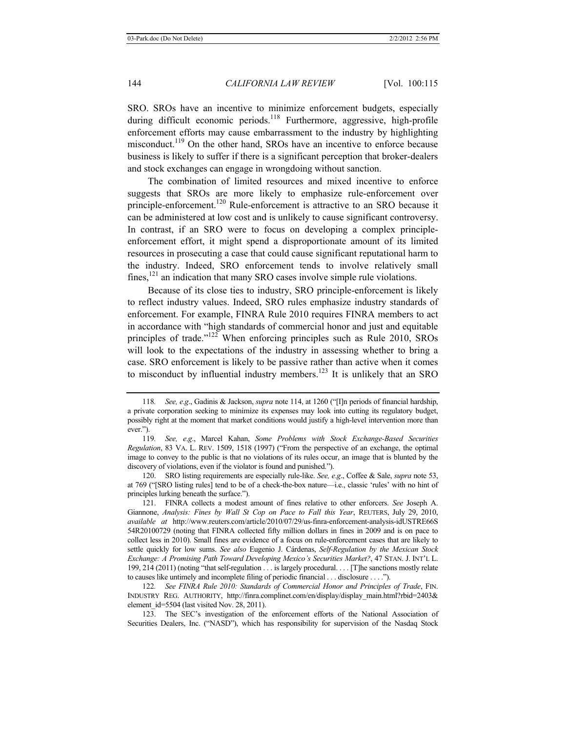SRO. SROs have an incentive to minimize enforcement budgets, especially during difficult economic periods.<sup>118</sup> Furthermore, aggressive, high-profile enforcement efforts may cause embarrassment to the industry by highlighting misconduct.<sup>119</sup> On the other hand, SROs have an incentive to enforce because business is likely to suffer if there is a significant perception that broker-dealers and stock exchanges can engage in wrongdoing without sanction.

The combination of limited resources and mixed incentive to enforce suggests that SROs are more likely to emphasize rule-enforcement over principle-enforcement.<sup>120</sup> Rule-enforcement is attractive to an SRO because it can be administered at low cost and is unlikely to cause significant controversy. In contrast, if an SRO were to focus on developing a complex principleenforcement effort, it might spend a disproportionate amount of its limited resources in prosecuting a case that could cause significant reputational harm to the industry. Indeed, SRO enforcement tends to involve relatively small fines, $121$  an indication that many SRO cases involve simple rule violations.

Because of its close ties to industry, SRO principle-enforcement is likely to reflect industry values. Indeed, SRO rules emphasize industry standards of enforcement. For example, FINRA Rule 2010 requires FINRA members to act in accordance with "high standards of commercial honor and just and equitable principles of trade."122 When enforcing principles such as Rule 2010, SROs will look to the expectations of the industry in assessing whether to bring a case. SRO enforcement is likely to be passive rather than active when it comes to misconduct by influential industry members.<sup>123</sup> It is unlikely that an SRO

<sup>118</sup>*. See, e*.*g*., Gadinis & Jackson, *supra* note 114, at 1260 ("[I]n periods of financial hardship, a private corporation seeking to minimize its expenses may look into cutting its regulatory budget, possibly right at the moment that market conditions would justify a high-level intervention more than ever.").

<sup>119</sup>*. See, e*.*g*., Marcel Kahan, *Some Problems with Stock Exchange-Based Securities Regulation*, 83 VA. L. REV. 1509, 1518 (1997) ("From the perspective of an exchange, the optimal image to convey to the public is that no violations of its rules occur, an image that is blunted by the discovery of violations, even if the violator is found and punished.").

<sup>120.</sup> SRO listing requirements are especially rule-like. *See, e*.*g*., Coffee & Sale, *supra* note 53, at 769 ("[SRO listing rules] tend to be of a check-the-box nature—i.e., classic 'rules' with no hint of principles lurking beneath the surface.").

<sup>121.</sup> FINRA collects a modest amount of fines relative to other enforcers. *See* Joseph A. Giannone, *Analysis: Fines by Wall St Cop on Pace to Fall this Year*, REUTERS, July 29, 2010, *available at* http://www.reuters.com/article/2010/07/29/us-finra-enforcement-analysis-idUSTRE66S 54R20100729 (noting that FINRA collected fifty million dollars in fines in 2009 and is on pace to collect less in 2010). Small fines are evidence of a focus on rule-enforcement cases that are likely to settle quickly for low sums. *See also* Eugenio J. Cárdenas, *Self-Regulation by the Mexican Stock Exchange: A Promising Path Toward Developing Mexico's Securities Market?*, 47 STAN. J. INT'L L. 199, 214 (2011) (noting "that self-regulation . . . is largely procedural. . . . [T]he sanctions mostly relate to causes like untimely and incomplete filing of periodic financial . . . disclosure . . . .").

<sup>122</sup>*. See FINRA Rule 2010: Standards of Commercial Honor and Principles of Trade*, FIN. INDUSTRY REG. AUTHORITY, http://finra.complinet.com/en/display/display\_main.html?rbid=2403& element id=5504 (last visited Nov. 28, 2011).

<sup>123.</sup> The SEC's investigation of the enforcement efforts of the National Association of Securities Dealers, Inc. ("NASD"), which has responsibility for supervision of the Nasdaq Stock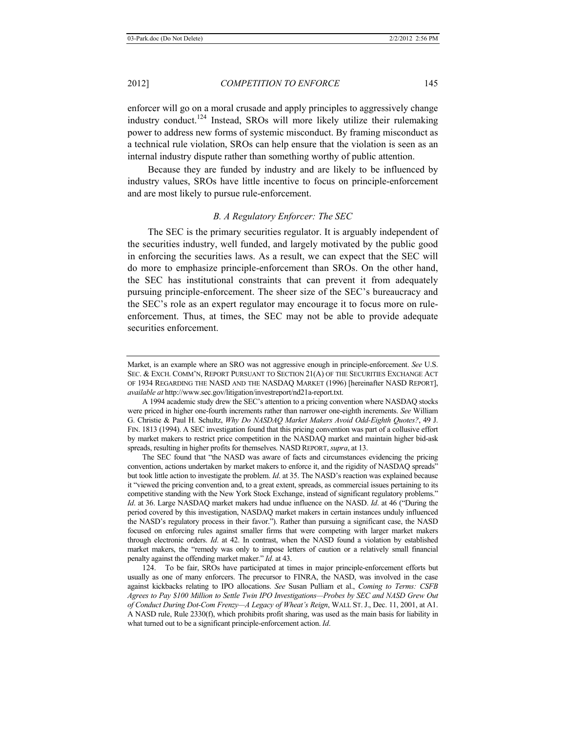enforcer will go on a moral crusade and apply principles to aggressively change industry conduct.<sup>124</sup> Instead, SROs will more likely utilize their rulemaking power to address new forms of systemic misconduct. By framing misconduct as a technical rule violation, SROs can help ensure that the violation is seen as an internal industry dispute rather than something worthy of public attention.

Because they are funded by industry and are likely to be influenced by industry values, SROs have little incentive to focus on principle-enforcement and are most likely to pursue rule-enforcement.

# *B. A Regulatory Enforcer: The SEC*

The SEC is the primary securities regulator. It is arguably independent of the securities industry, well funded, and largely motivated by the public good in enforcing the securities laws. As a result, we can expect that the SEC will do more to emphasize principle-enforcement than SROs. On the other hand, the SEC has institutional constraints that can prevent it from adequately pursuing principle-enforcement. The sheer size of the SEC's bureaucracy and the SEC's role as an expert regulator may encourage it to focus more on ruleenforcement. Thus, at times, the SEC may not be able to provide adequate securities enforcement.

The SEC found that "the NASD was aware of facts and circumstances evidencing the pricing convention, actions undertaken by market makers to enforce it, and the rigidity of NASDAQ spreads" but took little action to investigate the problem. *Id*. at 35. The NASD's reaction was explained because it "viewed the pricing convention and, to a great extent, spreads, as commercial issues pertaining to its competitive standing with the New York Stock Exchange, instead of significant regulatory problems." *Id*. at 36. Large NASDAQ market makers had undue influence on the NASD. *Id*. at 46 ("During the period covered by this investigation, NASDAQ market makers in certain instances unduly influenced the NASD's regulatory process in their favor."). Rather than pursuing a significant case, the NASD focused on enforcing rules against smaller firms that were competing with larger market makers through electronic orders. *Id*. at 42. In contrast, when the NASD found a violation by established market makers, the "remedy was only to impose letters of caution or a relatively small financial penalty against the offending market maker." *Id*. at 43.

124. To be fair, SROs have participated at times in major principle-enforcement efforts but usually as one of many enforcers. The precursor to FINRA, the NASD, was involved in the case against kickbacks relating to IPO allocations. *See* Susan Pulliam et al., *Coming to Terms: CSFB Agrees to Pay \$100 Million to Settle Twin IPO Investigations—Probes by SEC and NASD Grew Out of Conduct During Dot-Com Frenzy—A Legacy of Wheat's Reign*, WALL ST. J., Dec. 11, 2001, at A1. A NASD rule, Rule 2330(f), which prohibits profit sharing, was used as the main basis for liability in what turned out to be a significant principle-enforcement action. *Id*.

Market, is an example where an SRO was not aggressive enough in principle-enforcement. *See* U.S. SEC. & EXCH. COMM'N, REPORT PURSUANT TO SECTION 21(A) OF THE SECURITIES EXCHANGE ACT OF 1934 REGARDING THE NASD AND THE NASDAQ MARKET (1996) [hereinafter NASD REPORT], *available at* http://www.sec.gov/litigation/investreport/nd21a-report.txt.

A 1994 academic study drew the SEC's attention to a pricing convention where NASDAQ stocks were priced in higher one-fourth increments rather than narrower one-eighth increments. *See* William G. Christie & Paul H. Schultz, *Why Do NASDAQ Market Makers Avoid Odd-Eighth Quotes?*, 49 J. FIN. 1813 (1994). A SEC investigation found that this pricing convention was part of a collusive effort by market makers to restrict price competition in the NASDAQ market and maintain higher bid-ask spreads, resulting in higher profits for themselves. NASD REPORT, *supra*, at 13.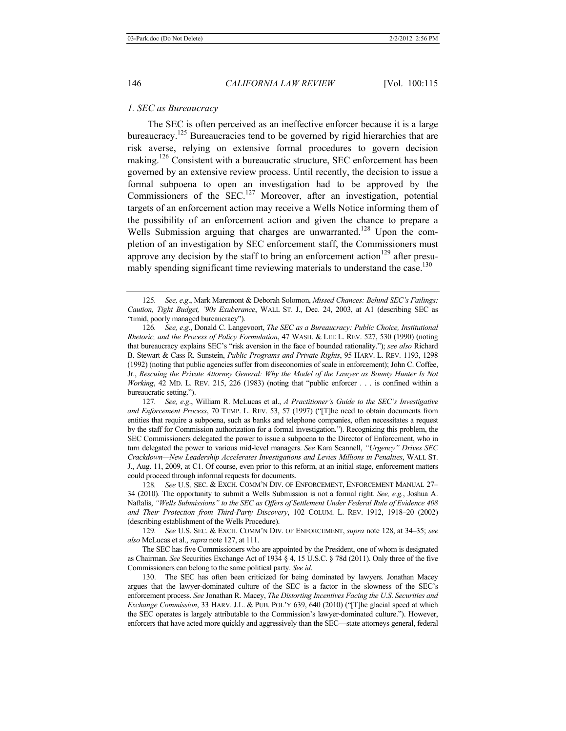#### *1. SEC as Bureaucracy*

The SEC is often perceived as an ineffective enforcer because it is a large bureaucracy.<sup>125</sup> Bureaucracies tend to be governed by rigid hierarchies that are risk averse, relying on extensive formal procedures to govern decision making.<sup>126</sup> Consistent with a bureaucratic structure, SEC enforcement has been governed by an extensive review process. Until recently, the decision to issue a formal subpoena to open an investigation had to be approved by the Commissioners of the SEC.<sup>127</sup> Moreover, after an investigation, potential targets of an enforcement action may receive a Wells Notice informing them of the possibility of an enforcement action and given the chance to prepare a Wells Submission arguing that charges are unwarranted.<sup>128</sup> Upon the completion of an investigation by SEC enforcement staff, the Commissioners must approve any decision by the staff to bring an enforcement action<sup>129</sup> after presumably spending significant time reviewing materials to understand the case.<sup>130</sup>

127*. See, e*.*g*., William R. McLucas et al., *A Practitioner's Guide to the SEC's Investigative and Enforcement Process*, 70 TEMP. L. REV. 53, 57 (1997) ("[T]he need to obtain documents from entities that require a subpoena, such as banks and telephone companies, often necessitates a request by the staff for Commission authorization for a formal investigation."). Recognizing this problem, the SEC Commissioners delegated the power to issue a subpoena to the Director of Enforcement, who in turn delegated the power to various mid-level managers. *See* Kara Scannell, *"Urgency" Drives SEC Crackdown—New Leadership Accelerates Investigations and Levies Millions in Penalties*, WALL ST. J., Aug. 11, 2009, at C1. Of course, even prior to this reform, at an initial stage, enforcement matters could proceed through informal requests for documents.

128*. See* U.S. SEC. & EXCH. COMM'N DIV. OF ENFORCEMENT, ENFORCEMENT MANUAL 27– 34 (2010). The opportunity to submit a Wells Submission is not a formal right. *See, e.g.*, Joshua A. Naftalis, *"Wells Submissions" to the SEC as Offers of Settlement Under Federal Rule of Evidence 408 and Their Protection from Third-Party Discovery*, 102 COLUM. L. REV. 1912, 1918–20 (2002) (describing establishment of the Wells Procedure).

129*. See* U.S. SEC. & EXCH. COMM'N DIV. OF ENFORCEMENT, *supra* note 128, at 34–35; *see also* McLucas et al., *supra* note 127, at 111.

The SEC has five Commissioners who are appointed by the President, one of whom is designated as Chairman. *See* Securities Exchange Act of 1934 § 4, 15 U.S.C. § 78d (2011). Only three of the five Commissioners can belong to the same political party. *See id*.

130. The SEC has often been criticized for being dominated by lawyers. Jonathan Macey argues that the lawyer-dominated culture of the SEC is a factor in the slowness of the SEC's enforcement process. *See* Jonathan R. Macey, *The Distorting Incentives Facing the U*.*S*. *Securities and Exchange Commission*, 33 HARV. J.L. & PUB. POL'Y 639, 640 (2010) ("[T]he glacial speed at which the SEC operates is largely attributable to the Commission's lawyer-dominated culture."). However, enforcers that have acted more quickly and aggressively than the SEC—state attorneys general, federal

<sup>125</sup>*. See, e*.*g*., Mark Maremont & Deborah Solomon, *Missed Chances: Behind SEC's Failings: Caution, Tight Budget, '90s Exuberance*, WALL ST. J., Dec. 24, 2003, at A1 (describing SEC as "timid, poorly managed bureaucracy").

<sup>126</sup>*. See, e*.*g*., Donald C. Langevoort, *The SEC as a Bureaucracy: Public Choice, Institutional Rhetoric, and the Process of Policy Formulation*, 47 WASH. & LEE L. REV. 527, 530 (1990) (noting that bureaucracy explains SEC's "risk aversion in the face of bounded rationality."); *see also* Richard B. Stewart & Cass R. Sunstein, *Public Programs and Private Rights*, 95 HARV. L. REV. 1193, 1298 (1992) (noting that public agencies suffer from diseconomies of scale in enforcement); John C. Coffee, Jr., *Rescuing the Private Attorney General: Why the Model of the Lawyer as Bounty Hunter Is Not Working*, 42 MD. L. REV. 215, 226 (1983) (noting that "public enforcer . . . is confined within a bureaucratic setting.").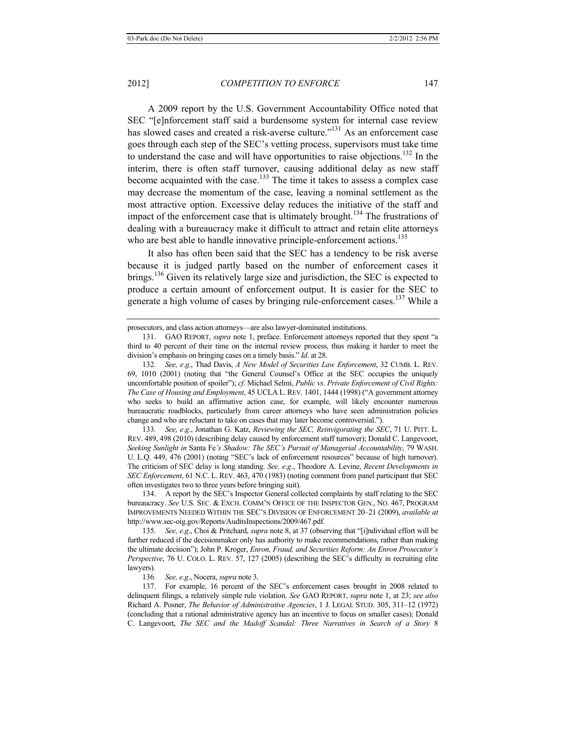A 2009 report by the U.S. Government Accountability Office noted that SEC "[e]nforcement staff said a burdensome system for internal case review has slowed cases and created a risk-averse culture."<sup>131</sup> As an enforcement case goes through each step of the SEC's vetting process, supervisors must take time to understand the case and will have opportunities to raise objections.<sup>132</sup> In the interim, there is often staff turnover, causing additional delay as new staff become acquainted with the case.<sup>133</sup> The time it takes to assess a complex case may decrease the momentum of the case, leaving a nominal settlement as the most attractive option. Excessive delay reduces the initiative of the staff and impact of the enforcement case that is ultimately brought.<sup>134</sup> The frustrations of dealing with a bureaucracy make it difficult to attract and retain elite attorneys who are best able to handle innovative principle-enforcement actions.<sup>135</sup>

It also has often been said that the SEC has a tendency to be risk averse because it is judged partly based on the number of enforcement cases it brings.<sup>136</sup> Given its relatively large size and jurisdiction, the SEC is expected to produce a certain amount of enforcement output. It is easier for the SEC to generate a high volume of cases by bringing rule-enforcement cases.<sup>137</sup> While a

133*. See, e*.*g*., Jonathan G. Katz, *Reviewing the SEC, Reinvigorating the SEC*, 71 U. PITT. L. REV. 489, 498 (2010) (describing delay caused by enforcement staff turnover); Donald C. Langevoort, *Seeking Sunlight in* Santa Fe*'s Shadow: The SEC's Pursuit of Managerial Accountability*, 79 WASH. U. L.Q. 449, 476 (2001) (noting "SEC's lack of enforcement resources" because of high turnover). The criticism of SEC delay is long standing. *See, e*.*g*., Theodore A. Levine, *Recent Developments in SEC Enforcement*, 61 N.C. L. REV. 463, 470 (1983) (noting comment from panel participant that SEC often investigates two to three years before bringing suit).

134. A report by the SEC's Inspector General collected complaints by staff relating to the SEC bureaucracy. *See* U.S. SEC. & EXCH. COMM'N OFFICE OF THE INSPECTOR GEN., NO. 467, PROGRAM IMPROVEMENTS NEEDED WITHIN THE SEC'S DIVISION OF ENFORCEMENT 20–21 (2009), *available at*  http://www.sec-oig.gov/Reports/AuditsInspections/2009/467.pdf.

135*. See, e*.*g*., Choi & Pritchard, *supra* note 8, at 37 (observing that "[i]ndividual effort will be further reduced if the decisionmaker only has authority to make recommendations, rather than making the ultimate decision"); John P. Kroger, *Enron, Fraud, and Securities Reform: An Enron Prosecutor's Perspective*, 76 U. COLO. L. REV. 57, 127 (2005) (describing the SEC's difficulty in recruiting elite lawyers).

136*. See, e*.*g*., Nocera, *supra* note 3.

137. For example, 16 percent of the SEC's enforcement cases brought in 2008 related to delinquent filings, a relatively simple rule violation. *See* GAO REPORT, *supra* note 1, at 23; *see also* Richard A. Posner, *The Behavior of Administrative Agencies*, 1 J. LEGAL STUD. 305, 311–12 (1972) (concluding that a rational administrative agency has an incentive to focus on smaller cases); Donald C. Langevoort, *The SEC and the Madoff Scandal: Three Narratives in Search of a Story* 8

prosecutors, and class action attorneys—are also lawyer-dominated institutions.

<sup>131.</sup> GAO REPORT, *supra* note 1, preface. Enforcement attorneys reported that they spent "a third to 40 percent of their time on the internal review process, thus making it harder to meet the division's emphasis on bringing cases on a timely basis." *Id*. at 28.

<sup>132</sup>*. See, e*.*g*., Thad Davis, *A New Model of Securities Law Enforcement*, 32 CUMB. L. REV. 69, 1010 (2001) (noting that "the General Counsel's Office at the SEC occupies the uniquely uncomfortable position of spoiler"); *cf*. Michael Selmi, *Public vs*. *Private Enforcement of Civil Rights: The Case of Housing and Employment*, 45 UCLA L. REV. 1401, 1444 (1998) ("A government attorney who seeks to build an affirmative action case, for example, will likely encounter numerous bureaucratic roadblocks, particularly from career attorneys who have seen administration policies change and who are reluctant to take on cases that may later become controversial.").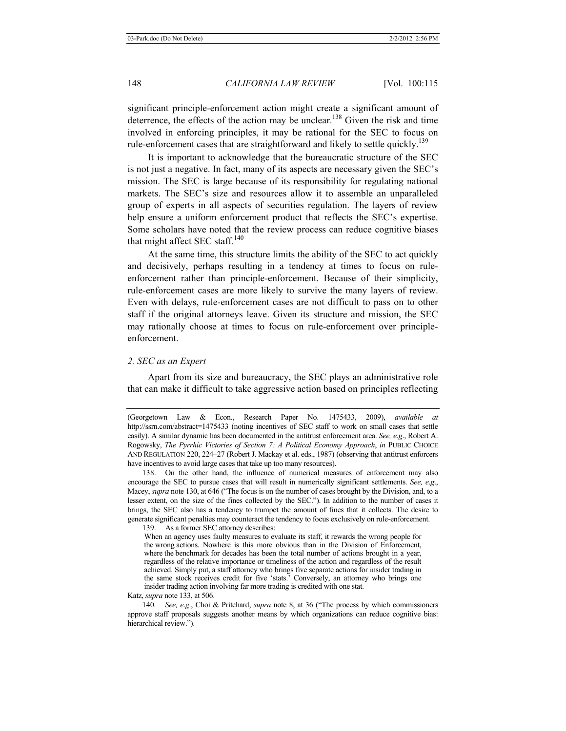significant principle-enforcement action might create a significant amount of deterrence, the effects of the action may be unclear.<sup>138</sup> Given the risk and time involved in enforcing principles, it may be rational for the SEC to focus on rule-enforcement cases that are straightforward and likely to settle quickly.<sup>139</sup>

It is important to acknowledge that the bureaucratic structure of the SEC is not just a negative. In fact, many of its aspects are necessary given the SEC's mission. The SEC is large because of its responsibility for regulating national markets. The SEC's size and resources allow it to assemble an unparalleled group of experts in all aspects of securities regulation. The layers of review help ensure a uniform enforcement product that reflects the SEC's expertise. Some scholars have noted that the review process can reduce cognitive biases that might affect SEC staff.<sup>140</sup>

At the same time, this structure limits the ability of the SEC to act quickly and decisively, perhaps resulting in a tendency at times to focus on ruleenforcement rather than principle-enforcement. Because of their simplicity, rule-enforcement cases are more likely to survive the many layers of review. Even with delays, rule-enforcement cases are not difficult to pass on to other staff if the original attorneys leave. Given its structure and mission, the SEC may rationally choose at times to focus on rule-enforcement over principleenforcement.

#### *2. SEC as an Expert*

Apart from its size and bureaucracy, the SEC plays an administrative role that can make it difficult to take aggressive action based on principles reflecting

139. As a former SEC attorney describes:

Katz, *supra* note 133, at 506.

<sup>(</sup>Georgetown Law & Econ., Research Paper No. 1475433, 2009), *available at* http://ssrn.com/abstract=1475433 (noting incentives of SEC staff to work on small cases that settle easily). A similar dynamic has been documented in the antitrust enforcement area. *See, e*.*g*., Robert A. Rogowsky, *The Pyrrhic Victories of Section 7: A Political Economy Approach*, *in* PUBLIC CHOICE AND REGULATION 220, 224–27 (Robert J. Mackay et al. eds., 1987) (observing that antitrust enforcers have incentives to avoid large cases that take up too many resources).

<sup>138.</sup> On the other hand, the influence of numerical measures of enforcement may also encourage the SEC to pursue cases that will result in numerically significant settlements. *See, e*.*g*., Macey, *supra* note 130, at 646 ("The focus is on the number of cases brought by the Division, and, to a lesser extent, on the size of the fines collected by the SEC."). In addition to the number of cases it brings, the SEC also has a tendency to trumpet the amount of fines that it collects. The desire to generate significant penalties may counteract the tendency to focus exclusively on rule-enforcement.

When an agency uses faulty measures to evaluate its staff, it rewards the wrong people for the wrong actions. Nowhere is this more obvious than in the Division of Enforcement, where the benchmark for decades has been the total number of actions brought in a year, regardless of the relative importance or timeliness of the action and regardless of the result achieved. Simply put, a staff attorney who brings five separate actions for insider trading in the same stock receives credit for five 'stats.' Conversely, an attorney who brings one insider trading action involving far more trading is credited with one stat.

<sup>140</sup>*. See, e*.*g*., Choi & Pritchard, *supra* note 8, at 36 ("The process by which commissioners approve staff proposals suggests another means by which organizations can reduce cognitive bias: hierarchical review.").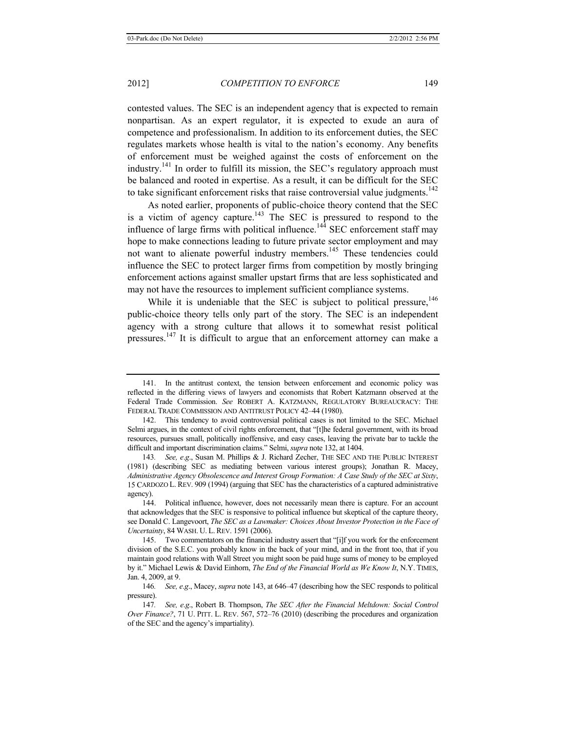contested values. The SEC is an independent agency that is expected to remain nonpartisan. As an expert regulator, it is expected to exude an aura of competence and professionalism. In addition to its enforcement duties, the SEC regulates markets whose health is vital to the nation's economy. Any benefits of enforcement must be weighed against the costs of enforcement on the industry.<sup>141</sup> In order to fulfill its mission, the SEC's regulatory approach must be balanced and rooted in expertise. As a result, it can be difficult for the SEC to take significant enforcement risks that raise controversial value judgments.<sup>142</sup>

As noted earlier, proponents of public-choice theory contend that the SEC is a victim of agency capture.<sup>143</sup> The SEC is pressured to respond to the influence of large firms with political influence.<sup>144</sup> SEC enforcement staff may hope to make connections leading to future private sector employment and may not want to alienate powerful industry members.<sup>145</sup> These tendencies could influence the SEC to protect larger firms from competition by mostly bringing enforcement actions against smaller upstart firms that are less sophisticated and may not have the resources to implement sufficient compliance systems.

While it is undeniable that the SEC is subject to political pressure,  $146$ public-choice theory tells only part of the story. The SEC is an independent agency with a strong culture that allows it to somewhat resist political pressures.<sup>147</sup> It is difficult to argue that an enforcement attorney can make a

<sup>141.</sup> In the antitrust context, the tension between enforcement and economic policy was reflected in the differing views of lawyers and economists that Robert Katzmann observed at the Federal Trade Commission. *See* ROBERT A. KATZMANN, REGULATORY BUREAUCRACY: THE FEDERAL TRADE COMMISSION AND ANTITRUST POLICY 42–44 (1980).

<sup>142.</sup> This tendency to avoid controversial political cases is not limited to the SEC. Michael Selmi argues, in the context of civil rights enforcement, that "[t]he federal government, with its broad resources, pursues small, politically inoffensive, and easy cases, leaving the private bar to tackle the difficult and important discrimination claims." Selmi, *supra* note 132, at 1404.

<sup>143</sup>*. See, e*.*g*., Susan M. Phillips & J. Richard Zecher, THE SEC AND THE PUBLIC INTEREST (1981) (describing SEC as mediating between various interest groups); Jonathan R. Macey, *Administrative Agency Obsolescence and Interest Group Formation: A Case Study of the SEC at Sixty*, 15 CARDOZO L. REV. 909 (1994) (arguing that SEC has the characteristics of a captured administrative agency).

<sup>144.</sup> Political influence, however, does not necessarily mean there is capture. For an account that acknowledges that the SEC is responsive to political influence but skeptical of the capture theory, see Donald C. Langevoort, *The SEC as a Lawmaker: Choices About Investor Protection in the Face of Uncertainty*, 84 WASH. U. L.REV. 1591 (2006).

<sup>145.</sup> Two commentators on the financial industry assert that "[i]f you work for the enforcement division of the S.E.C. you probably know in the back of your mind, and in the front too, that if you maintain good relations with Wall Street you might soon be paid huge sums of money to be employed by it." Michael Lewis & David Einhorn, *The End of the Financial World as We Know It*, N.Y. TIMES, Jan. 4, 2009, at 9.

<sup>146</sup>*. See, e*.*g*., Macey, *supra* note 143, at 646–47 (describing how the SEC responds to political pressure).

<sup>147</sup>*. See, e*.*g*., Robert B. Thompson, *The SEC After the Financial Meltdown: Social Control Over Finance?*, 71 U. PITT. L. REV. 567, 572–76 (2010) (describing the procedures and organization of the SEC and the agency's impartiality).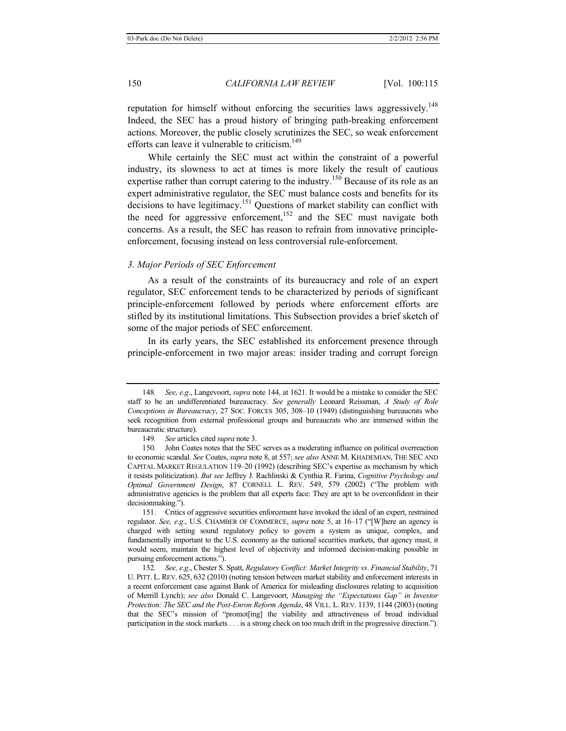reputation for himself without enforcing the securities laws aggressively.<sup>148</sup> Indeed, the SEC has a proud history of bringing path-breaking enforcement actions. Moreover, the public closely scrutinizes the SEC, so weak enforcement efforts can leave it vulnerable to criticism.<sup>149</sup>

While certainly the SEC must act within the constraint of a powerful industry, its slowness to act at times is more likely the result of cautious expertise rather than corrupt catering to the industry.<sup>150</sup> Because of its role as an expert administrative regulator, the SEC must balance costs and benefits for its decisions to have legitimacy.151 Questions of market stability can conflict with the need for aggressive enforcement,<sup>152</sup> and the SEC must navigate both concerns. As a result, the SEC has reason to refrain from innovative principleenforcement, focusing instead on less controversial rule-enforcement.

#### *3. Major Periods of SEC Enforcement*

As a result of the constraints of its bureaucracy and role of an expert regulator, SEC enforcement tends to be characterized by periods of significant principle-enforcement followed by periods where enforcement efforts are stifled by its institutional limitations. This Subsection provides a brief sketch of some of the major periods of SEC enforcement.

In its early years, the SEC established its enforcement presence through principle-enforcement in two major areas: insider trading and corrupt foreign

151. Critics of aggressive securities enforcement have invoked the ideal of an expert, restrained regulator. *See, e*.*g*., U.S. CHAMBER OF COMMERCE, *supra* note 5, at 16–17 ("[W]here an agency is charged with setting sound regulatory policy to govern a system as unique, complex, and fundamentally important to the U.S. economy as the national securities markets, that agency must, it would seem, maintain the highest level of objectivity and informed decision-making possible in pursuing enforcement actions.").

<sup>148</sup>*. See, e*.*g*., Langevoort, *supra* note 144, at 1621. It would be a mistake to consider the SEC staff to be an undifferentiated bureaucracy. *See generally* Leonard Reissman, *A Study of Role Conceptions in Bureaucracy*, 27 SOC. FORCES 305, 308–10 (1949) (distinguishing bureaucrats who seek recognition from external professional groups and bureaucrats who are immersed within the bureaucratic structure).

<sup>149</sup>*. See* articles cited *supra* note 3.

<sup>150</sup>*.* John Coates notes that the SEC serves as a moderating influence on political overreaction to economic scandal. *See* Coates, *supra* note 8, at 557; *see also* ANNE M. KHADEMIAN, THE SEC AND CAPITAL MARKET REGULATION 119–20 (1992) (describing SEC's expertise as mechanism by which it resists politicization). *But see* Jeffrey J. Rachlinski & Cynthia R. Farina, *Cognitive Psychology and Optimal Government Design*, 87 CORNELL L. REV. 549, 579 (2002) ("The problem with administrative agencies is the problem that all experts face: They are apt to be overconfident in their decisionmaking.").

<sup>152</sup>*. See, e*.*g*., Chester S. Spatt, *Regulatory Conflict: Market Integrity vs*. *Financial Stability*, 71 U. PITT. L. REV. 625, 632 (2010) (noting tension between market stability and enforcement interests in a recent enforcement case against Bank of America for misleading disclosures relating to acquisition of Merrill Lynch); *see also* Donald C. Langevoort, *Managing the "Expectations Gap" in Investor Protection: The SEC and the Post-Enron Reform Agenda*, 48 VILL. L. REV. 1139, 1144 (2003) (noting that the SEC's mission of "promot[ing] the viability and attractiveness of broad individual participation in the stock markets . . . is a strong check on too much drift in the progressive direction.").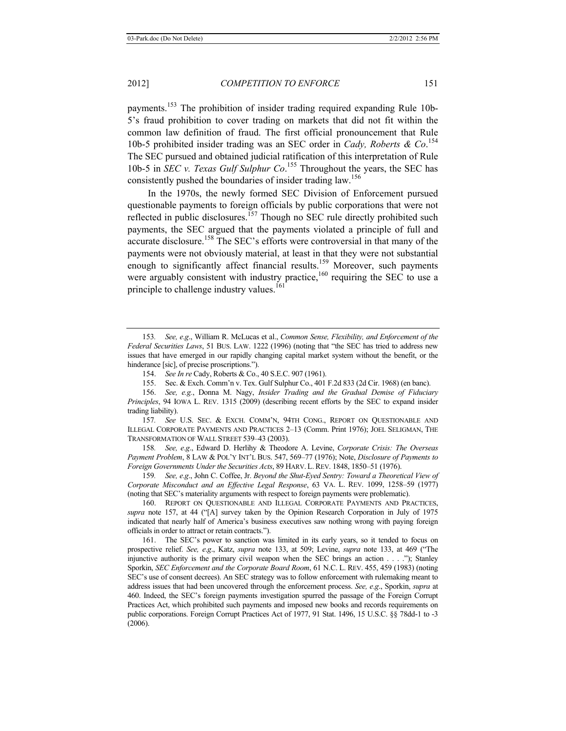payments.<sup>153</sup> The prohibition of insider trading required expanding Rule 10b-5's fraud prohibition to cover trading on markets that did not fit within the common law definition of fraud. The first official pronouncement that Rule 10b-5 prohibited insider trading was an SEC order in *Cady, Roberts & Co*. 154 The SEC pursued and obtained judicial ratification of this interpretation of Rule 10b-5 in *SEC v. Texas Gulf Sulphur Co*.<sup>155</sup> Throughout the years, the SEC has consistently pushed the boundaries of insider trading law.<sup>156</sup>

In the 1970s, the newly formed SEC Division of Enforcement pursued questionable payments to foreign officials by public corporations that were not reflected in public disclosures.<sup>157</sup> Though no SEC rule directly prohibited such payments, the SEC argued that the payments violated a principle of full and accurate disclosure.<sup>158</sup> The SEC's efforts were controversial in that many of the payments were not obviously material, at least in that they were not substantial enough to significantly affect financial results.<sup>159</sup> Moreover, such payments were arguably consistent with industry practice, $160$  requiring the SEC to use a principle to challenge industry values.<sup>161</sup>

155. Sec. & Exch. Comm'n v. Tex. Gulf Sulphur Co., 401 F.2d 833 (2d Cir. 1968) (en banc).

156. *See, e.g.*, Donna M. Nagy, *Insider Trading and the Gradual Demise of Fiduciary Principles*, 94 IOWA L. REV. 1315 (2009) (describing recent efforts by the SEC to expand insider trading liability).

157*. See* U.S. SEC. & EXCH. COMM'N, 94TH CONG., REPORT ON QUESTIONABLE AND ILLEGAL CORPORATE PAYMENTS AND PRACTICES 2–13 (Comm. Print 1976); JOEL SELIGMAN, THE TRANSFORMATION OF WALL STREET 539–43 (2003).

158*. See, e*.*g*., Edward D. Herlihy & Theodore A. Levine, *Corporate Crisis: The Overseas Payment Problem*, 8 LAW & POL'Y INT'L BUS. 547, 569–77 (1976); Note, *Disclosure of Payments to Foreign Governments Under the Securities Acts*, 89 HARV. L. REV. 1848, 1850–51 (1976).

159*. See, e*.*g*., John C. Coffee, Jr. *Beyond the Shut-Eyed Sentry: Toward a Theoretical View of Corporate Misconduct and an Effective Legal Response*, 63 VA. L. REV. 1099, 1258–59 (1977) (noting that SEC's materiality arguments with respect to foreign payments were problematic).

160. REPORT ON QUESTIONABLE AND ILLEGAL CORPORATE PAYMENTS AND PRACTICES, *supra* note 157, at 44 ("[A] survey taken by the Opinion Research Corporation in July of 1975 indicated that nearly half of America's business executives saw nothing wrong with paying foreign officials in order to attract or retain contracts.").

161. The SEC's power to sanction was limited in its early years, so it tended to focus on prospective relief. *See, e*.*g*., Katz, *supra* note 133, at 509; Levine, *supra* note 133, at 469 ("The injunctive authority is the primary civil weapon when the SEC brings an action . . . ."); Stanley Sporkin, *SEC Enforcement and the Corporate Board Room*, 61 N.C. L. REV. 455, 459 (1983) (noting SEC's use of consent decrees). An SEC strategy was to follow enforcement with rulemaking meant to address issues that had been uncovered through the enforcement process. *See, e*.*g*., Sporkin, *supra* at 460. Indeed, the SEC's foreign payments investigation spurred the passage of the Foreign Corrupt Practices Act, which prohibited such payments and imposed new books and records requirements on public corporations. Foreign Corrupt Practices Act of 1977, 91 Stat. 1496, 15 U.S.C. §§ 78dd-1 to -3 (2006).

<sup>153</sup>*. See, e*.*g*., William R. McLucas et al., *Common Sense, Flexibility, and Enforcement of the Federal Securities Laws*, 51 BUS. LAW. 1222 (1996) (noting that "the SEC has tried to address new issues that have emerged in our rapidly changing capital market system without the benefit, or the hinderance [sic], of precise proscriptions.").

<sup>154.</sup> *See In re* Cady, Roberts & Co., 40 S.E.C. 907 (1961).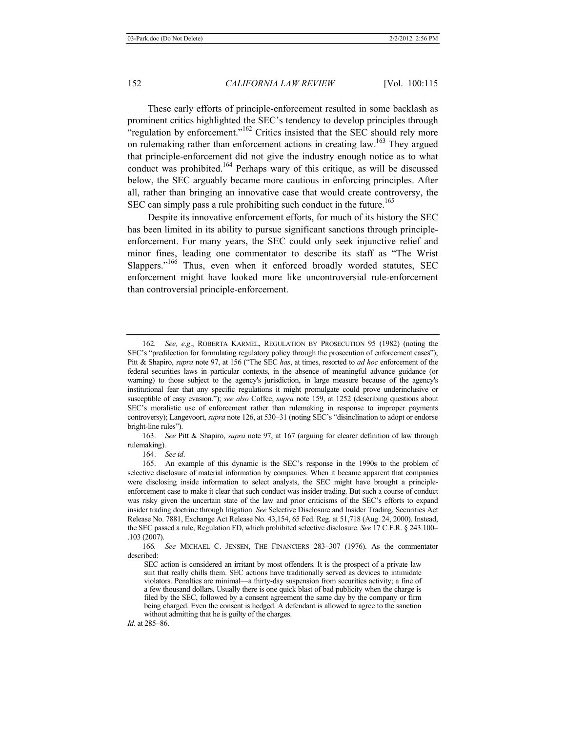These early efforts of principle-enforcement resulted in some backlash as prominent critics highlighted the SEC's tendency to develop principles through "regulation by enforcement."<sup>162</sup> Critics insisted that the SEC should rely more on rulemaking rather than enforcement actions in creating law.<sup>163</sup> They argued that principle-enforcement did not give the industry enough notice as to what conduct was prohibited.164 Perhaps wary of this critique, as will be discussed below, the SEC arguably became more cautious in enforcing principles. After all, rather than bringing an innovative case that would create controversy, the SEC can simply pass a rule prohibiting such conduct in the future.<sup>165</sup>

Despite its innovative enforcement efforts, for much of its history the SEC has been limited in its ability to pursue significant sanctions through principleenforcement. For many years, the SEC could only seek injunctive relief and minor fines, leading one commentator to describe its staff as "The Wrist Slappers."<sup>166</sup> Thus, even when it enforced broadly worded statutes, SEC enforcement might have looked more like uncontroversial rule-enforcement than controversial principle-enforcement.

163. *See* Pitt & Shapiro, *supra* note 97, at 167 (arguing for clearer definition of law through rulemaking).

164. *See id*.

<sup>162</sup>*. See, e*.*g*., ROBERTA KARMEL, REGULATION BY PROSECUTION 95 (1982) (noting the SEC's "predilection for formulating regulatory policy through the prosecution of enforcement cases"); Pitt & Shapiro, *supra* note 97, at 156 ("The SEC *has*, at times, resorted to *ad hoc* enforcement of the federal securities laws in particular contexts, in the absence of meaningful advance guidance (or warning) to those subject to the agency's jurisdiction, in large measure because of the agency's institutional fear that any specific regulations it might promulgate could prove underinclusive or susceptible of easy evasion."); *see also* Coffee, *supra* note 159, at 1252 (describing questions about SEC's moralistic use of enforcement rather than rulemaking in response to improper payments controversy); Langevoort, *supra* note 126, at 530–31 (noting SEC's "disinclination to adopt or endorse bright-line rules").

<sup>165.</sup> An example of this dynamic is the SEC's response in the 1990s to the problem of selective disclosure of material information by companies. When it became apparent that companies were disclosing inside information to select analysts, the SEC might have brought a principleenforcement case to make it clear that such conduct was insider trading. But such a course of conduct was risky given the uncertain state of the law and prior criticisms of the SEC's efforts to expand insider trading doctrine through litigation. *See* Selective Disclosure and Insider Trading, Securities Act Release No. 7881, Exchange Act Release No. 43,154, 65 Fed. Reg. at 51,718 (Aug. 24, 2000). Instead, the SEC passed a rule, Regulation FD, which prohibited selective disclosure. *See* 17 C.F.R. § 243.100– .103 (2007).

<sup>166</sup>*. See* MICHAEL C. JENSEN, THE FINANCIERS 283–307 (1976). As the commentator described:

SEC action is considered an irritant by most offenders. It is the prospect of a private law suit that really chills them. SEC actions have traditionally served as devices to intimidate violators. Penalties are minimal—a thirty-day suspension from securities activity; a fine of a few thousand dollars. Usually there is one quick blast of bad publicity when the charge is filed by the SEC, followed by a consent agreement the same day by the company or firm being charged. Even the consent is hedged. A defendant is allowed to agree to the sanction without admitting that he is guilty of the charges.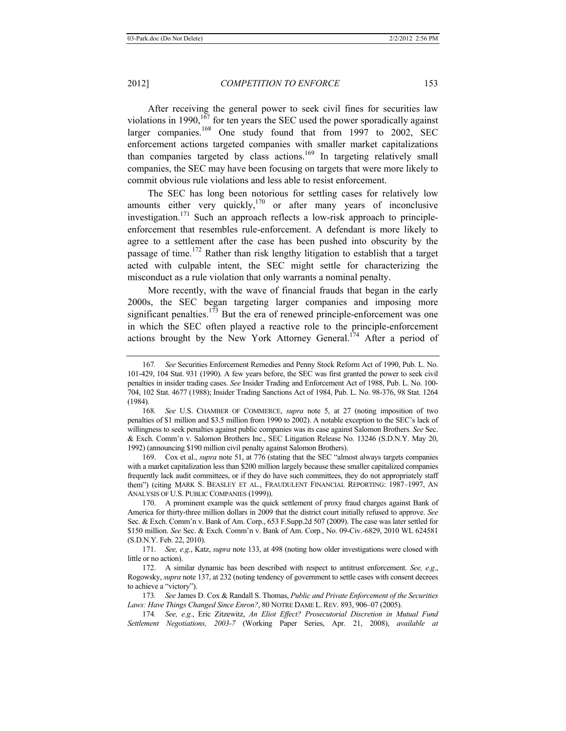After receiving the general power to seek civil fines for securities law violations in 1990,<sup>167</sup> for ten years the SEC used the power sporadically against larger companies.<sup>168</sup> One study found that from 1997 to 2002, SEC enforcement actions targeted companies with smaller market capitalizations than companies targeted by class actions.<sup>169</sup> In targeting relatively small companies, the SEC may have been focusing on targets that were more likely to commit obvious rule violations and less able to resist enforcement.

The SEC has long been notorious for settling cases for relatively low amounts either very quickly, $170$  or after many years of inconclusive investigation.<sup>171</sup> Such an approach reflects a low-risk approach to principleenforcement that resembles rule-enforcement. A defendant is more likely to agree to a settlement after the case has been pushed into obscurity by the passage of time.<sup>172</sup> Rather than risk lengthy litigation to establish that a target acted with culpable intent, the SEC might settle for characterizing the misconduct as a rule violation that only warrants a nominal penalty.

More recently, with the wave of financial frauds that began in the early 2000s, the SEC began targeting larger companies and imposing more significant penalties. $173$  But the era of renewed principle-enforcement was one in which the SEC often played a reactive role to the principle-enforcement actions brought by the New York Attorney General.<sup>174</sup> After a period of

169. Cox et al., *supra* note 51, at 776 (stating that the SEC "almost always targets companies with a market capitalization less than \$200 million largely because these smaller capitalized companies frequently lack audit committees, or if they do have such committees, they do not appropriately staff them") (citing MARK S. BEASLEY ET AL., FRAUDULENT FINANCIAL REPORTING: 1987–1997, AN ANALYSIS OF U.S. PUBLIC COMPANIES (1999)).

170. A prominent example was the quick settlement of proxy fraud charges against Bank of America for thirty-three million dollars in 2009 that the district court initially refused to approve. *See* Sec. & Exch. Comm'n v. Bank of Am. Corp., 653 F.Supp.2d 507 (2009). The case was later settled for \$150 million. *See* Sec. & Exch. Comm'n v. Bank of Am. Corp., No. 09-Civ.-6829, 2010 WL 624581 (S.D.N.Y. Feb. 22, 2010).

171. *See, e.g.*, Katz, *supra* note 133, at 498 (noting how older investigations were closed with little or no action).

172. A similar dynamic has been described with respect to antitrust enforcement. *See, e*.*g*., Rogowsky, *supra* note 137, at 232 (noting tendency of government to settle cases with consent decrees to achieve a "victory").

173*. See* James D. Cox & Randall S. Thomas, *Public and Private Enforcement of the Securities Laws: Have Things Changed Since Enron?*, 80 NOTRE DAME L.REV. 893, 906–07 (2005).

174*. See, e.g.*, Eric Zitzewitz, *An Eliot Effect? Prosecutorial Discretion in Mutual Fund Settlement Negotiations, 2003-7* (Working Paper Series, Apr. 21, 2008), *available at*

<sup>167</sup>*. See* Securities Enforcement Remedies and Penny Stock Reform Act of 1990, Pub. L. No. 101-429, 104 Stat. 931 (1990). A few years before, the SEC was first granted the power to seek civil penalties in insider trading cases. *See* Insider Trading and Enforcement Act of 1988, Pub. L. No. 100- 704, 102 Stat. 4677 (1988); Insider Trading Sanctions Act of 1984, Pub. L. No. 98-376, 98 Stat. 1264 (1984).

<sup>168</sup>*. See* U.S. CHAMBER OF COMMERCE, *supra* note 5, at 27 (noting imposition of two penalties of \$1 million and \$3.5 million from 1990 to 2002). A notable exception to the SEC's lack of willingness to seek penalties against public companies was its case against Salomon Brothers. *See* Sec. & Exch. Comm'n v. Salomon Brothers Inc., SEC Litigation Release No. 13246 (S.D.N.Y. May 20, 1992) (announcing \$190 million civil penalty against Salomon Brothers).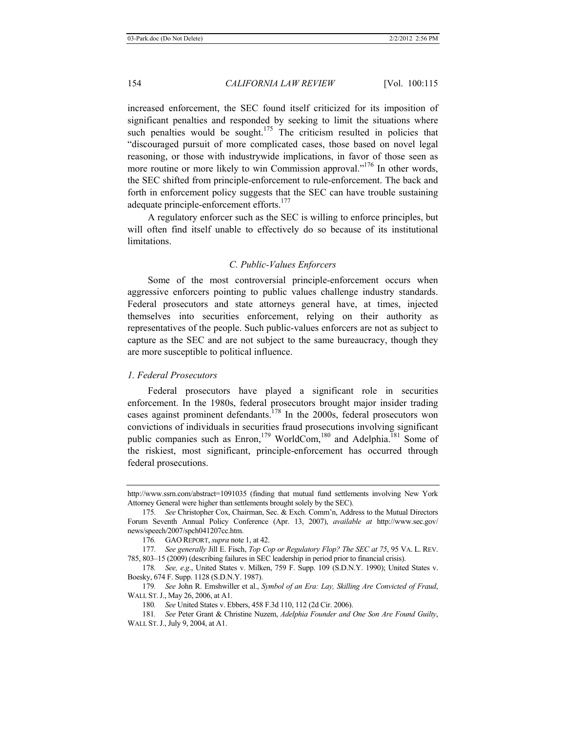increased enforcement, the SEC found itself criticized for its imposition of significant penalties and responded by seeking to limit the situations where such penalties would be sought.<sup>175</sup> The criticism resulted in policies that "discouraged pursuit of more complicated cases, those based on novel legal reasoning, or those with industrywide implications, in favor of those seen as more routine or more likely to win Commission approval."<sup>176</sup> In other words, the SEC shifted from principle-enforcement to rule-enforcement. The back and forth in enforcement policy suggests that the SEC can have trouble sustaining adequate principle-enforcement efforts.<sup>177</sup>

A regulatory enforcer such as the SEC is willing to enforce principles, but will often find itself unable to effectively do so because of its institutional limitations.

# *C. Public-Values Enforcers*

Some of the most controversial principle-enforcement occurs when aggressive enforcers pointing to public values challenge industry standards. Federal prosecutors and state attorneys general have, at times, injected themselves into securities enforcement, relying on their authority as representatives of the people. Such public-values enforcers are not as subject to capture as the SEC and are not subject to the same bureaucracy, though they are more susceptible to political influence.

# *1. Federal Prosecutors*

Federal prosecutors have played a significant role in securities enforcement. In the 1980s, federal prosecutors brought major insider trading cases against prominent defendants.<sup>178</sup> In the 2000s, federal prosecutors won convictions of individuals in securities fraud prosecutions involving significant public companies such as Enron,<sup>179</sup> WorldCom,<sup>180</sup> and Adelphia.<sup>181</sup> Some of the riskiest, most significant, principle-enforcement has occurred through federal prosecutions.

http://www.ssrn.com/abstract=1091035 (finding that mutual fund settlements involving New York Attorney General were higher than settlements brought solely by the SEC).

<sup>175</sup>*. See* Christopher Cox, Chairman, Sec. & Exch. Comm'n, Address to the Mutual Directors Forum Seventh Annual Policy Conference (Apr. 13, 2007), *available at* http://www.sec.gov/ news/speech/2007/spch041207cc.htm.

<sup>176</sup>*.* GAO REPORT, *supra* note 1, at 42.

<sup>177</sup>*. See generally* Jill E. Fisch, *Top Cop or Regulatory Flop? The SEC at 75*, 95 VA. L. REV. 785, 803–15 (2009) (describing failures in SEC leadership in period prior to financial crisis).

<sup>178</sup>*. See, e*.*g*., United States v. Milken, 759 F. Supp. 109 (S.D.N.Y. 1990); United States v. Boesky, 674 F. Supp. 1128 (S.D.N.Y. 1987).

<sup>179</sup>*. See* John R. Emshwiller et al., *Symbol of an Era: Lay, Skilling Are Convicted of Fraud*, WALL ST.J., May 26, 2006, at A1.

<sup>180</sup>*. See* United States v. Ebbers, 458 F.3d 110, 112 (2d Cir. 2006).

<sup>181</sup>*. See* Peter Grant & Christine Nuzem, *Adelphia Founder and One Son Are Found Guilty*, WALL ST.J., July 9, 2004, at A1.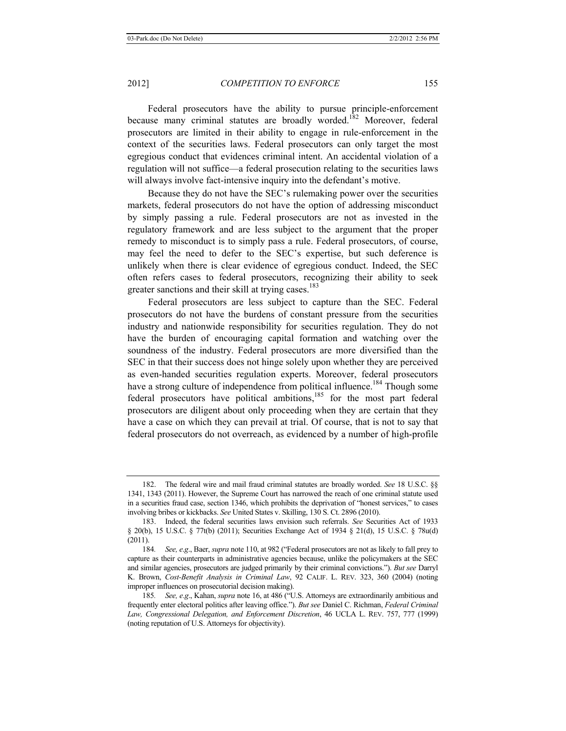Federal prosecutors have the ability to pursue principle-enforcement because many criminal statutes are broadly worded.<sup>182</sup> Moreover, federal prosecutors are limited in their ability to engage in rule-enforcement in the context of the securities laws. Federal prosecutors can only target the most egregious conduct that evidences criminal intent. An accidental violation of a regulation will not suffice—a federal prosecution relating to the securities laws will always involve fact-intensive inquiry into the defendant's motive.

Because they do not have the SEC's rulemaking power over the securities markets, federal prosecutors do not have the option of addressing misconduct by simply passing a rule. Federal prosecutors are not as invested in the regulatory framework and are less subject to the argument that the proper remedy to misconduct is to simply pass a rule. Federal prosecutors, of course, may feel the need to defer to the SEC's expertise, but such deference is unlikely when there is clear evidence of egregious conduct. Indeed, the SEC often refers cases to federal prosecutors, recognizing their ability to seek greater sanctions and their skill at trying cases.<sup>183</sup>

Federal prosecutors are less subject to capture than the SEC. Federal prosecutors do not have the burdens of constant pressure from the securities industry and nationwide responsibility for securities regulation. They do not have the burden of encouraging capital formation and watching over the soundness of the industry. Federal prosecutors are more diversified than the SEC in that their success does not hinge solely upon whether they are perceived as even-handed securities regulation experts. Moreover, federal prosecutors have a strong culture of independence from political influence.<sup>184</sup> Though some federal prosecutors have political ambitions,<sup>185</sup> for the most part federal prosecutors are diligent about only proceeding when they are certain that they have a case on which they can prevail at trial. Of course, that is not to say that federal prosecutors do not overreach, as evidenced by a number of high-profile

<sup>182.</sup> The federal wire and mail fraud criminal statutes are broadly worded. *See* 18 U.S.C. §§ 1341, 1343 (2011). However, the Supreme Court has narrowed the reach of one criminal statute used in a securities fraud case, section 1346, which prohibits the deprivation of "honest services," to cases involving bribes or kickbacks. *See* United States v. Skilling, 130 S. Ct. 2896 (2010).

<sup>183.</sup> Indeed, the federal securities laws envision such referrals. *See* Securities Act of 1933 § 20(b), 15 U.S.C. § 77t(b) (2011); Securities Exchange Act of 1934 § 21(d), 15 U.S.C. § 78u(d) (2011).

<sup>184</sup>*. See, e*.*g*., Baer, *supra* note 110, at 982 ("Federal prosecutors are not as likely to fall prey to capture as their counterparts in administrative agencies because, unlike the policymakers at the SEC and similar agencies, prosecutors are judged primarily by their criminal convictions."). *But see* Darryl K. Brown, *Cost-Benefit Analysis in Criminal Law*, 92 CALIF. L. REV. 323, 360 (2004) (noting improper influences on prosecutorial decision making).

<sup>185</sup>*. See, e*.*g*., Kahan, *supra* note 16, at 486 ("U.S. Attorneys are extraordinarily ambitious and frequently enter electoral politics after leaving office."). *But see* Daniel C. Richman, *Federal Criminal Law, Congressional Delegation, and Enforcement Discretion*, 46 UCLA L. REV. 757, 777 (1999) (noting reputation of U.S. Attorneys for objectivity).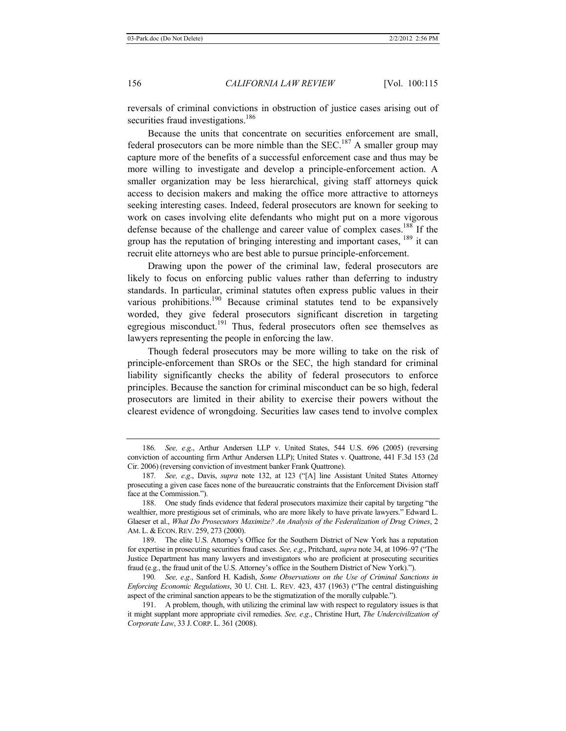reversals of criminal convictions in obstruction of justice cases arising out of securities fraud investigations.<sup>186</sup>

Because the units that concentrate on securities enforcement are small, federal prosecutors can be more nimble than the  $SEC.^{187}$  A smaller group may capture more of the benefits of a successful enforcement case and thus may be more willing to investigate and develop a principle-enforcement action. A smaller organization may be less hierarchical, giving staff attorneys quick access to decision makers and making the office more attractive to attorneys seeking interesting cases. Indeed, federal prosecutors are known for seeking to work on cases involving elite defendants who might put on a more vigorous defense because of the challenge and career value of complex cases.188 If the group has the reputation of bringing interesting and important cases, <sup>189</sup> it can recruit elite attorneys who are best able to pursue principle-enforcement.

Drawing upon the power of the criminal law, federal prosecutors are likely to focus on enforcing public values rather than deferring to industry standards. In particular, criminal statutes often express public values in their various prohibitions.<sup>190</sup> Because criminal statutes tend to be expansively worded, they give federal prosecutors significant discretion in targeting egregious misconduct.<sup>191</sup> Thus, federal prosecutors often see themselves as lawyers representing the people in enforcing the law.

Though federal prosecutors may be more willing to take on the risk of principle-enforcement than SROs or the SEC, the high standard for criminal liability significantly checks the ability of federal prosecutors to enforce principles. Because the sanction for criminal misconduct can be so high, federal prosecutors are limited in their ability to exercise their powers without the clearest evidence of wrongdoing. Securities law cases tend to involve complex

<sup>186</sup>*. See, e*.*g*., Arthur Andersen LLP v. United States, 544 U.S. 696 (2005) (reversing conviction of accounting firm Arthur Andersen LLP); United States v. Quattrone, 441 F.3d 153 (2d Cir. 2006) (reversing conviction of investment banker Frank Quattrone).

<sup>187</sup>*. See, e*.*g*., Davis, *supra* note 132, at 123 ("[A] line Assistant United States Attorney prosecuting a given case faces none of the bureaucratic constraints that the Enforcement Division staff face at the Commission.").

<sup>188.</sup> One study finds evidence that federal prosecutors maximize their capital by targeting "the wealthier, more prestigious set of criminals, who are more likely to have private lawyers." Edward L. Glaeser et al., *What Do Prosecutors Maximize? An Analysis of the Federalization of Drug Crimes*, 2 AM. L. & ECON. REV. 259, 273 (2000).

<sup>189.</sup> The elite U.S. Attorney's Office for the Southern District of New York has a reputation for expertise in prosecuting securities fraud cases. *See, e*.*g*., Pritchard, *supra* note 34, at 1096–97 ("The Justice Department has many lawyers and investigators who are proficient at prosecuting securities fraud (e.g., the fraud unit of the U.S. Attorney's office in the Southern District of New York).").

<sup>190</sup>*. See, e*.*g*., Sanford H. Kadish, *Some Observations on the Use of Criminal Sanctions in Enforcing Economic Regulations*, 30 U. CHI. L. REV. 423, 437 (1963) ("The central distinguishing aspect of the criminal sanction appears to be the stigmatization of the morally culpable.").

<sup>191.</sup> A problem, though, with utilizing the criminal law with respect to regulatory issues is that it might supplant more appropriate civil remedies. *See, e*.*g*., Christine Hurt, *The Undercivilization of Corporate Law*, 33 J.CORP. L. 361 (2008).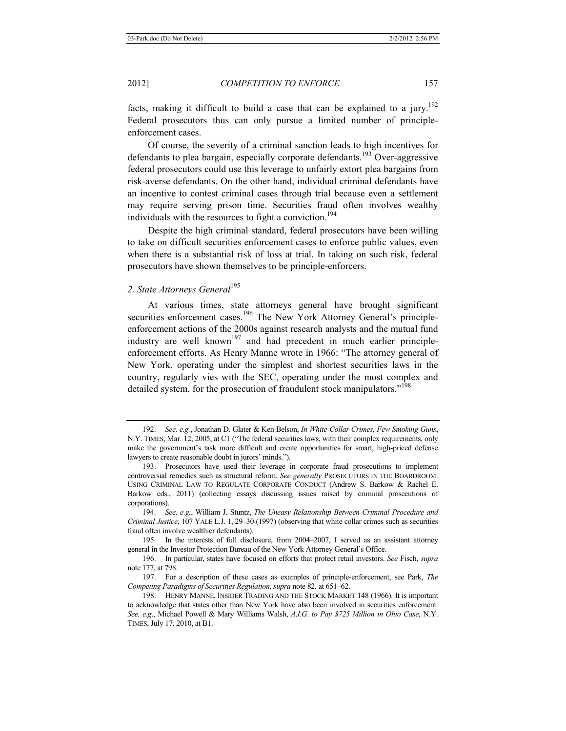facts, making it difficult to build a case that can be explained to a jury.<sup>192</sup> Federal prosecutors thus can only pursue a limited number of principleenforcement cases.

Of course, the severity of a criminal sanction leads to high incentives for defendants to plea bargain, especially corporate defendants.<sup>193</sup> Over-aggressive federal prosecutors could use this leverage to unfairly extort plea bargains from risk-averse defendants. On the other hand, individual criminal defendants have an incentive to contest criminal cases through trial because even a settlement may require serving prison time. Securities fraud often involves wealthy individuals with the resources to fight a conviction.<sup>194</sup>

Despite the high criminal standard, federal prosecutors have been willing to take on difficult securities enforcement cases to enforce public values, even when there is a substantial risk of loss at trial. In taking on such risk, federal prosecutors have shown themselves to be principle-enforcers.

# 2. State Attorneys General<sup>195</sup>

At various times, state attorneys general have brought significant securities enforcement cases.<sup>196</sup> The New York Attorney General's principleenforcement actions of the 2000s against research analysts and the mutual fund industry are well known<sup>197</sup> and had precedent in much earlier principleenforcement efforts. As Henry Manne wrote in 1966: "The attorney general of New York, operating under the simplest and shortest securities laws in the country, regularly vies with the SEC, operating under the most complex and detailed system, for the prosecution of fraudulent stock manipulators."<sup>198</sup>

<sup>192.</sup> *See, e.g.*, Jonathan D. Glater & Ken Belson, *In White-Collar Crimes, Few Smoking Guns*, N.Y. TIMES, Mar. 12, 2005, at C1 ("The federal securities laws, with their complex requirements, only make the government's task more difficult and create opportunities for smart, high-priced defense lawyers to create reasonable doubt in jurors' minds.").

<sup>193.</sup> Prosecutors have used their leverage in corporate fraud prosecutions to implement controversial remedies such as structural reform. *See generally* PROSECUTORS IN THE BOARDROOM: USING CRIMINAL LAW TO REGULATE CORPORATE CONDUCT (Andrew S. Barkow & Rachel E. Barkow eds., 2011) (collecting essays discussing issues raised by criminal prosecutions of corporations).

<sup>194.</sup> *See, e.g.*, William J. Stuntz, *The Uneasy Relationship Between Criminal Procedure and Criminal Justice*, 107 YALE L.J. 1, 29–30 (1997) (observing that white collar crimes such as securities fraud often involve wealthier defendants).

<sup>195.</sup> In the interests of full disclosure, from 2004–2007, I served as an assistant attorney general in the Investor Protection Bureau of the New York Attorney General's Office.

<sup>196.</sup> In particular, states have focused on efforts that protect retail investors. *See* Fisch, *supra* note 177, at 798.

<sup>197.</sup> For a description of these cases as examples of principle-enforcement, see Park, *The Competing Paradigms of Securities Regulation*, *supra* note 82, at 651–62.

<sup>198.</sup> HENRY MANNE, INSIDER TRADING AND THE STOCK MARKET 148 (1966). It is important to acknowledge that states other than New York have also been involved in securities enforcement. *See, e*.*g*., Michael Powell & Mary Williams Walsh, *A*.*I*.*G*. *to Pay \$725 Million in Ohio Case*, N.Y. TIMES, July 17, 2010, at B1.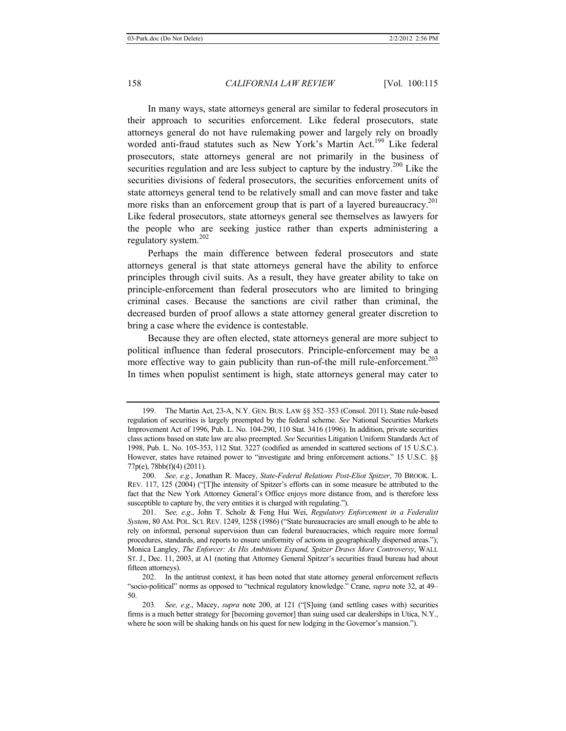In many ways, state attorneys general are similar to federal prosecutors in their approach to securities enforcement. Like federal prosecutors, state attorneys general do not have rulemaking power and largely rely on broadly worded anti-fraud statutes such as New York's Martin Act.<sup>199</sup> Like federal prosecutors, state attorneys general are not primarily in the business of securities regulation and are less subject to capture by the industry.<sup>200</sup> Like the securities divisions of federal prosecutors, the securities enforcement units of state attorneys general tend to be relatively small and can move faster and take more risks than an enforcement group that is part of a layered bureaucracy.<sup>201</sup> Like federal prosecutors, state attorneys general see themselves as lawyers for the people who are seeking justice rather than experts administering a regulatory system.<sup>202</sup>

Perhaps the main difference between federal prosecutors and state attorneys general is that state attorneys general have the ability to enforce principles through civil suits. As a result, they have greater ability to take on principle-enforcement than federal prosecutors who are limited to bringing criminal cases. Because the sanctions are civil rather than criminal, the decreased burden of proof allows a state attorney general greater discretion to bring a case where the evidence is contestable.

Because they are often elected, state attorneys general are more subject to political influence than federal prosecutors. Principle-enforcement may be a more effective way to gain publicity than run-of-the mill rule-enforcement.<sup>203</sup> In times when populist sentiment is high, state attorneys general may cater to

<sup>199.</sup> The Martin Act, 23-A, N.Y. GEN. BUS. LAW §§ 352–353 (Consol. 2011). State rule-based regulation of securities is largely preempted by the federal scheme. *See* National Securities Markets Improvement Act of 1996, Pub. L. No. 104-290, 110 Stat. 3416 (1996). In addition, private securities class actions based on state law are also preempted. *See* Securities Litigation Uniform Standards Act of 1998, Pub. L. No. 105-353, 112 Stat. 3227 (codified as amended in scattered sections of 15 U.S.C.). However, states have retained power to "investigate and bring enforcement actions." 15 U.S.C. §§ 77p(e), 78bb(f)(4) (2011).

<sup>200.</sup> *See, e.g.*, Jonathan R. Macey, *State-Federal Relations Post-Eliot Spitzer*, 70 BROOK. L. REV. 117, 125 (2004) ("[T]he intensity of Spitzer's efforts can in some measure be attributed to the fact that the New York Attorney General's Office enjoys more distance from, and is therefore less susceptible to capture by, the very entities it is charged with regulating.").

<sup>201.</sup> S*ee, e*.*g*., John T. Scholz & Feng Hui Wei, *Regulatory Enforcement in a Federalist System*, 80 AM. POL. SCI. REV. 1249, 1258 (1986) ("State bureaucracies are small enough to be able to rely on informal, personal supervision than can federal bureaucracies, which require more formal procedures, standards, and reports to ensure uniformity of actions in geographically dispersed areas."); Monica Langley, *The Enforcer: As His Ambitions Expand, Spitzer Draws More Controversy*, WALL ST. J., Dec. 11, 2003, at A1 (noting that Attorney General Spitzer's securities fraud bureau had about fifteen attorneys).

<sup>202.</sup> In the antitrust context, it has been noted that state attorney general enforcement reflects "socio-political" norms as opposed to "technical regulatory knowledge." Crane, *supra* note 32, at 49– 50.

<sup>203</sup>*. See, e*.*g*., Macey, *supra* note 200, at 121 ("[S]uing (and settling cases with) securities firms is a much better strategy for [becoming governor] than suing used car dealerships in Utica, N.Y., where he soon will be shaking hands on his quest for new lodging in the Governor's mansion.").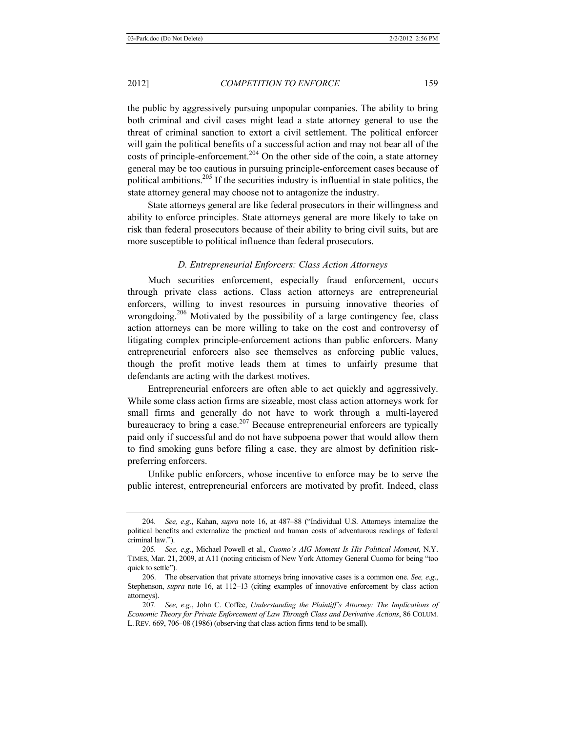the public by aggressively pursuing unpopular companies. The ability to bring both criminal and civil cases might lead a state attorney general to use the threat of criminal sanction to extort a civil settlement. The political enforcer will gain the political benefits of a successful action and may not bear all of the costs of principle-enforcement.<sup>204</sup> On the other side of the coin, a state attorney general may be too cautious in pursuing principle-enforcement cases because of political ambitions.<sup>205</sup> If the securities industry is influential in state politics, the state attorney general may choose not to antagonize the industry.

State attorneys general are like federal prosecutors in their willingness and ability to enforce principles. State attorneys general are more likely to take on risk than federal prosecutors because of their ability to bring civil suits, but are more susceptible to political influence than federal prosecutors.

# *D. Entrepreneurial Enforcers: Class Action Attorneys*

Much securities enforcement, especially fraud enforcement, occurs through private class actions. Class action attorneys are entrepreneurial enforcers, willing to invest resources in pursuing innovative theories of wrongdoing.<sup>206</sup> Motivated by the possibility of a large contingency fee, class action attorneys can be more willing to take on the cost and controversy of litigating complex principle-enforcement actions than public enforcers. Many entrepreneurial enforcers also see themselves as enforcing public values, though the profit motive leads them at times to unfairly presume that defendants are acting with the darkest motives.

Entrepreneurial enforcers are often able to act quickly and aggressively. While some class action firms are sizeable, most class action attorneys work for small firms and generally do not have to work through a multi-layered bureaucracy to bring a case.<sup>207</sup> Because entrepreneurial enforcers are typically paid only if successful and do not have subpoena power that would allow them to find smoking guns before filing a case, they are almost by definition riskpreferring enforcers.

Unlike public enforcers, whose incentive to enforce may be to serve the public interest, entrepreneurial enforcers are motivated by profit. Indeed, class

<sup>204</sup>*. See, e*.*g*., Kahan, *supra* note 16, at 487–88 ("Individual U.S. Attorneys internalize the political benefits and externalize the practical and human costs of adventurous readings of federal criminal law.").

<sup>205</sup>*. See, e*.*g*., Michael Powell et al., *Cuomo's AIG Moment Is His Political Moment*, N.Y. TIMES, Mar. 21, 2009, at A11 (noting criticism of New York Attorney General Cuomo for being "too quick to settle").

<sup>206.</sup> The observation that private attorneys bring innovative cases is a common one. *See, e*.*g*., Stephenson, *supra* note 16, at 112–13 (citing examples of innovative enforcement by class action attorneys).

<sup>207</sup>*. See, e*.*g*., John C. Coffee, *Understanding the Plaintiff's Attorney: The Implications of Economic Theory for Private Enforcement of Law Through Class and Derivative Actions*, 86 COLUM. L.REV. 669, 706–08 (1986) (observing that class action firms tend to be small).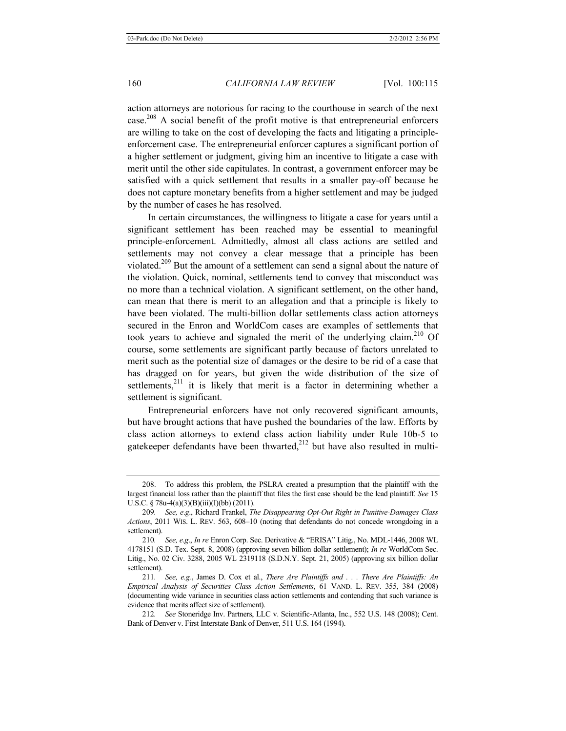action attorneys are notorious for racing to the courthouse in search of the next case.<sup>208</sup> A social benefit of the profit motive is that entrepreneurial enforcers are willing to take on the cost of developing the facts and litigating a principleenforcement case. The entrepreneurial enforcer captures a significant portion of a higher settlement or judgment, giving him an incentive to litigate a case with merit until the other side capitulates. In contrast, a government enforcer may be satisfied with a quick settlement that results in a smaller pay-off because he does not capture monetary benefits from a higher settlement and may be judged by the number of cases he has resolved.

In certain circumstances, the willingness to litigate a case for years until a significant settlement has been reached may be essential to meaningful principle-enforcement. Admittedly, almost all class actions are settled and settlements may not convey a clear message that a principle has been violated.209 But the amount of a settlement can send a signal about the nature of the violation. Quick, nominal, settlements tend to convey that misconduct was no more than a technical violation. A significant settlement, on the other hand, can mean that there is merit to an allegation and that a principle is likely to have been violated. The multi-billion dollar settlements class action attorneys secured in the Enron and WorldCom cases are examples of settlements that took years to achieve and signaled the merit of the underlying claim.<sup>210</sup> Of course, some settlements are significant partly because of factors unrelated to merit such as the potential size of damages or the desire to be rid of a case that has dragged on for years, but given the wide distribution of the size of settlements, $2^{11}$  it is likely that merit is a factor in determining whether a settlement is significant.

Entrepreneurial enforcers have not only recovered significant amounts, but have brought actions that have pushed the boundaries of the law. Efforts by class action attorneys to extend class action liability under Rule 10b-5 to gatekeeper defendants have been thwarted, $2^{12}$  but have also resulted in multi-

<sup>208.</sup> To address this problem, the PSLRA created a presumption that the plaintiff with the largest financial loss rather than the plaintiff that files the first case should be the lead plaintiff. *See* 15 U.S.C. § 78u-4(a)(3)(B)(iii)(I)(bb) (2011).

<sup>209</sup>*. See, e*.*g*., Richard Frankel, *The Disappearing Opt-Out Right in Punitive-Damages Class Actions*, 2011 WIS. L. REV. 563, 608–10 (noting that defendants do not concede wrongdoing in a settlement).

<sup>210</sup>*. See, e*.*g*., *In re* Enron Corp. Sec. Derivative & "ERISA" Litig., No. MDL-1446, 2008 WL 4178151 (S.D. Tex. Sept. 8, 2008) (approving seven billion dollar settlement); *In re* WorldCom Sec. Litig., No. 02 Civ. 3288, 2005 WL 2319118 (S.D.N.Y. Sept. 21, 2005) (approving six billion dollar settlement).

<sup>211</sup>*. See, e.g.*, James D. Cox et al., *There Are Plaintiffs and . . . There Are Plaintiffs: An Empirical Analysis of Securities Class Action Settlements*, 61 VAND. L. REV. 355, 384 (2008) (documenting wide variance in securities class action settlements and contending that such variance is evidence that merits affect size of settlement).

<sup>212</sup>*. See* Stoneridge Inv. Partners, LLC v. Scientific-Atlanta, Inc., 552 U.S. 148 (2008); Cent. Bank of Denver v. First Interstate Bank of Denver, 511 U.S. 164 (1994).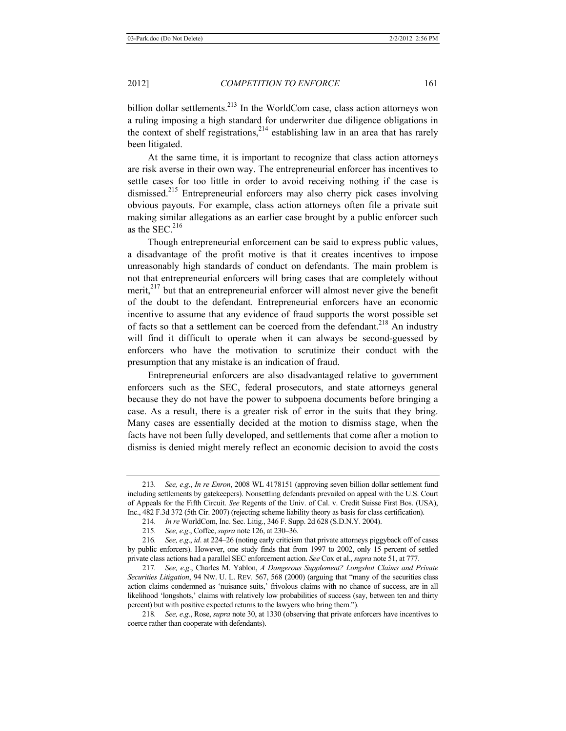billion dollar settlements.<sup>213</sup> In the WorldCom case, class action attorneys won a ruling imposing a high standard for underwriter due diligence obligations in the context of shelf registrations,  $2^{14}$  establishing law in an area that has rarely been litigated.

At the same time, it is important to recognize that class action attorneys are risk averse in their own way. The entrepreneurial enforcer has incentives to settle cases for too little in order to avoid receiving nothing if the case is dismissed.215 Entrepreneurial enforcers may also cherry pick cases involving obvious payouts. For example, class action attorneys often file a private suit making similar allegations as an earlier case brought by a public enforcer such as the SEC. $216$ 

Though entrepreneurial enforcement can be said to express public values, a disadvantage of the profit motive is that it creates incentives to impose unreasonably high standards of conduct on defendants. The main problem is not that entrepreneurial enforcers will bring cases that are completely without merit, $2^{17}$  but that an entrepreneurial enforcer will almost never give the benefit of the doubt to the defendant. Entrepreneurial enforcers have an economic incentive to assume that any evidence of fraud supports the worst possible set of facts so that a settlement can be coerced from the defendant.<sup>218</sup> An industry will find it difficult to operate when it can always be second-guessed by enforcers who have the motivation to scrutinize their conduct with the presumption that any mistake is an indication of fraud.

Entrepreneurial enforcers are also disadvantaged relative to government enforcers such as the SEC, federal prosecutors, and state attorneys general because they do not have the power to subpoena documents before bringing a case. As a result, there is a greater risk of error in the suits that they bring. Many cases are essentially decided at the motion to dismiss stage, when the facts have not been fully developed, and settlements that come after a motion to dismiss is denied might merely reflect an economic decision to avoid the costs

<sup>213</sup>*. See, e*.*g*., *In re Enron*, 2008 WL 4178151 (approving seven billion dollar settlement fund including settlements by gatekeepers). Nonsettling defendants prevailed on appeal with the U.S. Court of Appeals for the Fifth Circuit. *See* Regents of the Univ. of Cal. v. Credit Suisse First Bos. (USA), Inc., 482 F.3d 372 (5th Cir. 2007) (rejecting scheme liability theory as basis for class certification).

<sup>214</sup>*. In re* WorldCom, Inc. Sec. Litig., 346 F. Supp. 2d 628 (S.D.N.Y. 2004).

<sup>215</sup>*. See, e*.*g*., Coffee, *supra* note 126, at 230–36.

<sup>216</sup>*. See, e*.*g*., *id*. at 224–26 (noting early criticism that private attorneys piggyback off of cases by public enforcers). However, one study finds that from 1997 to 2002, only 15 percent of settled private class actions had a parallel SEC enforcement action. *See* Cox et al., *supra* note 51, at 777.

<sup>217</sup>*. See, e*.*g*., Charles M. Yablon, *A Dangerous Supplement? Longshot Claims and Private Securities Litigation*, 94 NW. U. L. REV. 567, 568 (2000) (arguing that "many of the securities class action claims condemned as 'nuisance suits,' frivolous claims with no chance of success, are in all likelihood 'longshots,' claims with relatively low probabilities of success (say, between ten and thirty percent) but with positive expected returns to the lawyers who bring them.").

<sup>218</sup>*. See, e*.*g*., Rose, *supra* note 30, at 1330 (observing that private enforcers have incentives to coerce rather than cooperate with defendants).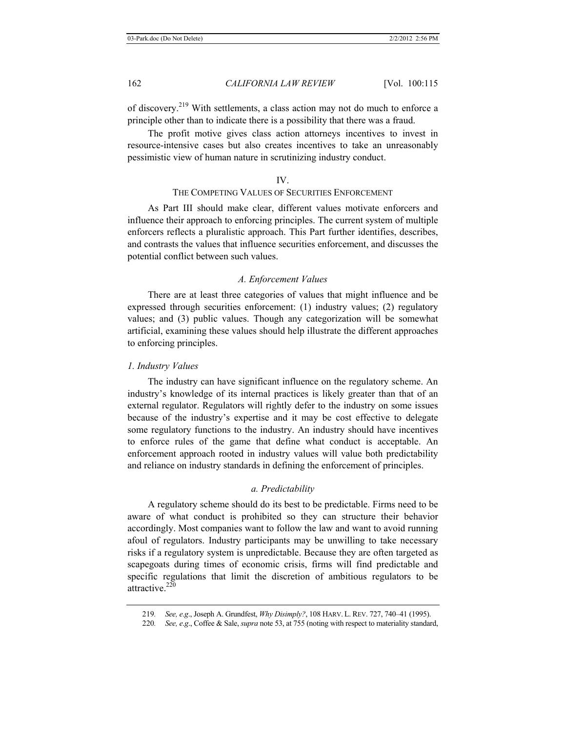of discovery.219 With settlements, a class action may not do much to enforce a principle other than to indicate there is a possibility that there was a fraud.

The profit motive gives class action attorneys incentives to invest in resource-intensive cases but also creates incentives to take an unreasonably pessimistic view of human nature in scrutinizing industry conduct.

#### IV.

# THE COMPETING VALUES OF SECURITIES ENFORCEMENT

As Part III should make clear, different values motivate enforcers and influence their approach to enforcing principles. The current system of multiple enforcers reflects a pluralistic approach. This Part further identifies, describes, and contrasts the values that influence securities enforcement, and discusses the potential conflict between such values.

#### *A. Enforcement Values*

There are at least three categories of values that might influence and be expressed through securities enforcement: (1) industry values; (2) regulatory values; and (3) public values. Though any categorization will be somewhat artificial, examining these values should help illustrate the different approaches to enforcing principles.

#### *1. Industry Values*

The industry can have significant influence on the regulatory scheme. An industry's knowledge of its internal practices is likely greater than that of an external regulator. Regulators will rightly defer to the industry on some issues because of the industry's expertise and it may be cost effective to delegate some regulatory functions to the industry. An industry should have incentives to enforce rules of the game that define what conduct is acceptable. An enforcement approach rooted in industry values will value both predictability and reliance on industry standards in defining the enforcement of principles.

#### *a. Predictability*

A regulatory scheme should do its best to be predictable. Firms need to be aware of what conduct is prohibited so they can structure their behavior accordingly. Most companies want to follow the law and want to avoid running afoul of regulators. Industry participants may be unwilling to take necessary risks if a regulatory system is unpredictable. Because they are often targeted as scapegoats during times of economic crisis, firms will find predictable and specific regulations that limit the discretion of ambitious regulators to be attractive.<sup>220</sup>

<sup>219</sup>*. See, e*.*g*., Joseph A. Grundfest, *Why Disimply?*, 108 HARV. L. REV. 727, 740–41 (1995).

<sup>220</sup>*. See, e*.*g*., Coffee & Sale, *supra* note 53, at 755 (noting with respect to materiality standard,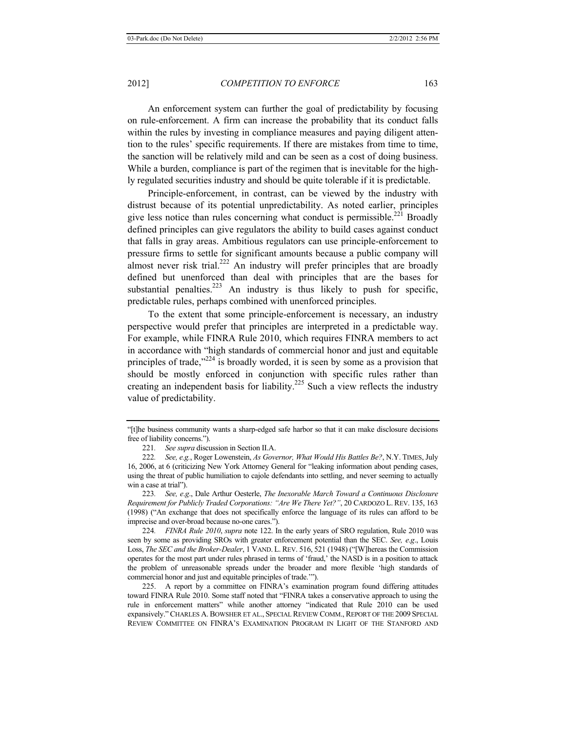An enforcement system can further the goal of predictability by focusing on rule-enforcement. A firm can increase the probability that its conduct falls within the rules by investing in compliance measures and paying diligent attention to the rules' specific requirements. If there are mistakes from time to time, the sanction will be relatively mild and can be seen as a cost of doing business. While a burden, compliance is part of the regimen that is inevitable for the highly regulated securities industry and should be quite tolerable if it is predictable.

Principle-enforcement, in contrast, can be viewed by the industry with distrust because of its potential unpredictability. As noted earlier, principles give less notice than rules concerning what conduct is permissible.<sup>221</sup> Broadly defined principles can give regulators the ability to build cases against conduct that falls in gray areas. Ambitious regulators can use principle-enforcement to pressure firms to settle for significant amounts because a public company will almost never risk trial.<sup>222</sup> An industry will prefer principles that are broadly defined but unenforced than deal with principles that are the bases for substantial penalties.<sup>223</sup> An industry is thus likely to push for specific, predictable rules, perhaps combined with unenforced principles.

To the extent that some principle-enforcement is necessary, an industry perspective would prefer that principles are interpreted in a predictable way. For example, while FINRA Rule 2010, which requires FINRA members to act in accordance with "high standards of commercial honor and just and equitable principles of trade, $v^{224}$  is broadly worded, it is seen by some as a provision that should be mostly enforced in conjunction with specific rules rather than creating an independent basis for liability.<sup>225</sup> Such a view reflects the industry value of predictability.

223*. See, e*.*g*., Dale Arthur Oesterle, *The Inexorable March Toward a Continuous Disclosure Requirement for Publicly Traded Corporations: "Are We There Yet?"*, 20 CARDOZO L. REV. 135, 163 (1998) ("An exchange that does not specifically enforce the language of its rules can afford to be imprecise and over-broad because no-one cares.").

224*. FINRA Rule 2010*, *supra* note 122. In the early years of SRO regulation, Rule 2010 was seen by some as providing SROs with greater enforcement potential than the SEC. *See, e*.*g*., Louis Loss, *The SEC and the Broker-Dealer*, 1 VAND. L. REV. 516, 521 (1948) ("[W]hereas the Commission operates for the most part under rules phrased in terms of 'fraud,' the NASD is in a position to attack the problem of unreasonable spreads under the broader and more flexible 'high standards of commercial honor and just and equitable principles of trade.'").

225. A report by a committee on FINRA's examination program found differing attitudes toward FINRA Rule 2010. Some staff noted that "FINRA takes a conservative approach to using the rule in enforcement matters" while another attorney "indicated that Rule 2010 can be used expansively." CHARLES A. BOWSHER ET AL., SPECIAL REVIEW COMM., REPORT OF THE 2009 SPECIAL REVIEW COMMITTEE ON FINRA'S EXAMINATION PROGRAM IN LIGHT OF THE STANFORD AND

<sup>&</sup>quot;[t]he business community wants a sharp-edged safe harbor so that it can make disclosure decisions free of liability concerns.").

<sup>221</sup>*. See supra* discussion in Section II.A.

<sup>222</sup>*. See, e.g.*, Roger Lowenstein, *As Governor, What Would His Battles Be?*, N.Y. TIMES, July 16, 2006, at 6 (criticizing New York Attorney General for "leaking information about pending cases, using the threat of public humiliation to cajole defendants into settling, and never seeming to actually win a case at trial").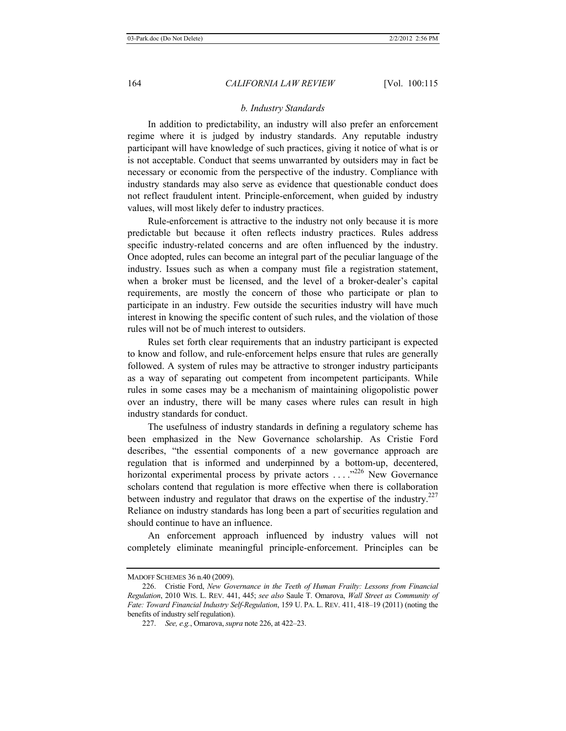#### *b. Industry Standards*

In addition to predictability, an industry will also prefer an enforcement regime where it is judged by industry standards. Any reputable industry participant will have knowledge of such practices, giving it notice of what is or is not acceptable. Conduct that seems unwarranted by outsiders may in fact be necessary or economic from the perspective of the industry. Compliance with industry standards may also serve as evidence that questionable conduct does not reflect fraudulent intent. Principle-enforcement, when guided by industry values, will most likely defer to industry practices.

Rule-enforcement is attractive to the industry not only because it is more predictable but because it often reflects industry practices. Rules address specific industry-related concerns and are often influenced by the industry. Once adopted, rules can become an integral part of the peculiar language of the industry. Issues such as when a company must file a registration statement, when a broker must be licensed, and the level of a broker-dealer's capital requirements, are mostly the concern of those who participate or plan to participate in an industry. Few outside the securities industry will have much interest in knowing the specific content of such rules, and the violation of those rules will not be of much interest to outsiders.

Rules set forth clear requirements that an industry participant is expected to know and follow, and rule-enforcement helps ensure that rules are generally followed. A system of rules may be attractive to stronger industry participants as a way of separating out competent from incompetent participants. While rules in some cases may be a mechanism of maintaining oligopolistic power over an industry, there will be many cases where rules can result in high industry standards for conduct.

The usefulness of industry standards in defining a regulatory scheme has been emphasized in the New Governance scholarship. As Cristie Ford describes, "the essential components of a new governance approach are regulation that is informed and underpinned by a bottom-up, decentered, horizontal experimental process by private actors ...."<sup>226</sup> New Governance scholars contend that regulation is more effective when there is collaboration between industry and regulator that draws on the expertise of the industry.<sup>227</sup> Reliance on industry standards has long been a part of securities regulation and should continue to have an influence.

An enforcement approach influenced by industry values will not completely eliminate meaningful principle-enforcement. Principles can be

MADOFF SCHEMES 36 n.40 (2009).

<sup>226.</sup> Cristie Ford, *New Governance in the Teeth of Human Frailty: Lessons from Financial Regulation*, 2010 WIS. L. REV. 441, 445; *see also* Saule T. Omarova, *Wall Street as Community of Fate: Toward Financial Industry Self-Regulation*, 159 U. PA. L. REV. 411, 418–19 (2011) (noting the benefits of industry self regulation).

<sup>227.</sup> *See, e.g.*, Omarova, *supra* note 226, at 422–23.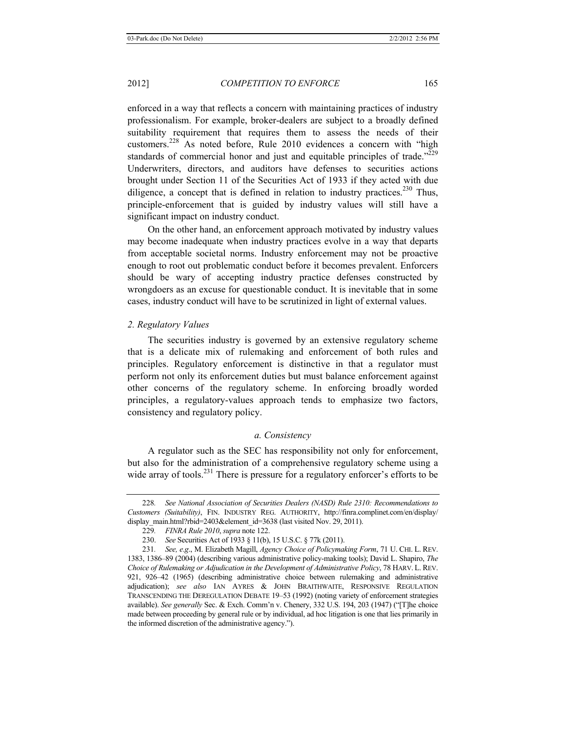enforced in a way that reflects a concern with maintaining practices of industry professionalism. For example, broker-dealers are subject to a broadly defined suitability requirement that requires them to assess the needs of their customers.228 As noted before, Rule 2010 evidences a concern with "high standards of commercial honor and just and equitable principles of trade.<sup> $229$ </sup> Underwriters, directors, and auditors have defenses to securities actions brought under Section 11 of the Securities Act of 1933 if they acted with due diligence, a concept that is defined in relation to industry practices.<sup>230</sup> Thus, principle-enforcement that is guided by industry values will still have a significant impact on industry conduct.

On the other hand, an enforcement approach motivated by industry values may become inadequate when industry practices evolve in a way that departs from acceptable societal norms. Industry enforcement may not be proactive enough to root out problematic conduct before it becomes prevalent. Enforcers should be wary of accepting industry practice defenses constructed by wrongdoers as an excuse for questionable conduct. It is inevitable that in some cases, industry conduct will have to be scrutinized in light of external values.

#### *2. Regulatory Values*

The securities industry is governed by an extensive regulatory scheme that is a delicate mix of rulemaking and enforcement of both rules and principles. Regulatory enforcement is distinctive in that a regulator must perform not only its enforcement duties but must balance enforcement against other concerns of the regulatory scheme. In enforcing broadly worded principles, a regulatory-values approach tends to emphasize two factors, consistency and regulatory policy.

#### *a. Consistency*

A regulator such as the SEC has responsibility not only for enforcement, but also for the administration of a comprehensive regulatory scheme using a wide array of tools.<sup>231</sup> There is pressure for a regulatory enforcer's efforts to be

<sup>228</sup>*. See National Association of Securities Dealers (NASD) Rule 2310: Recommendations to Customers (Suitability)*, FIN. INDUSTRY REG. AUTHORITY, http://finra.complinet.com/en/display/ display\_main.html?rbid=2403&element\_id=3638 (last visited Nov. 29, 2011).

<sup>229</sup>*. FINRA Rule 2010*, *supra* note 122.

<sup>230.</sup> *See* Securities Act of 1933 § 11(b), 15 U.S.C. § 77k (2011).

<sup>231</sup>*. See, e*.*g*., M. Elizabeth Magill, *Agency Choice of Policymaking Form*, 71 U. CHI. L. REV. 1383, 1386–89 (2004) (describing various administrative policy-making tools); David L. Shapiro, *The Choice of Rulemaking or Adjudication in the Development of Administrative Policy*, 78 HARV. L. REV. 921, 926–42 (1965) (describing administrative choice between rulemaking and administrative adjudication); *see also* IAN AYRES & JOHN BRAITHWAITE, RESPONSIVE REGULATION TRANSCENDING THE DEREGULATION DEBATE 19–53 (1992) (noting variety of enforcement strategies available). *See generally* Sec. & Exch. Comm'n v. Chenery, 332 U.S. 194, 203 (1947) ("[T]he choice made between proceeding by general rule or by individual, ad hoc litigation is one that lies primarily in the informed discretion of the administrative agency.").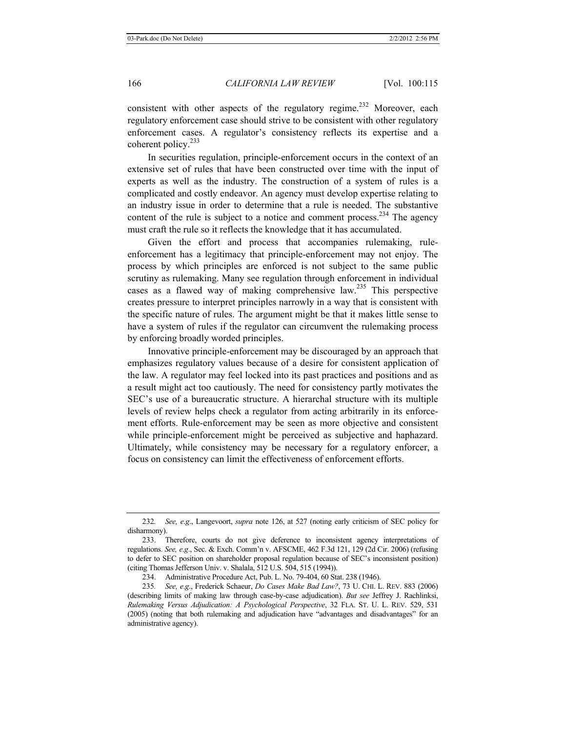consistent with other aspects of the regulatory regime.<sup>232</sup> Moreover, each regulatory enforcement case should strive to be consistent with other regulatory enforcement cases. A regulator's consistency reflects its expertise and a coherent policy. $233$ 

In securities regulation, principle-enforcement occurs in the context of an extensive set of rules that have been constructed over time with the input of experts as well as the industry. The construction of a system of rules is a complicated and costly endeavor. An agency must develop expertise relating to an industry issue in order to determine that a rule is needed. The substantive content of the rule is subject to a notice and comment process.<sup>234</sup> The agency must craft the rule so it reflects the knowledge that it has accumulated.

Given the effort and process that accompanies rulemaking, ruleenforcement has a legitimacy that principle-enforcement may not enjoy. The process by which principles are enforced is not subject to the same public scrutiny as rulemaking. Many see regulation through enforcement in individual cases as a flawed way of making comprehensive law.235 This perspective creates pressure to interpret principles narrowly in a way that is consistent with the specific nature of rules. The argument might be that it makes little sense to have a system of rules if the regulator can circumvent the rulemaking process by enforcing broadly worded principles.

Innovative principle-enforcement may be discouraged by an approach that emphasizes regulatory values because of a desire for consistent application of the law. A regulator may feel locked into its past practices and positions and as a result might act too cautiously. The need for consistency partly motivates the SEC's use of a bureaucratic structure. A hierarchal structure with its multiple levels of review helps check a regulator from acting arbitrarily in its enforcement efforts. Rule-enforcement may be seen as more objective and consistent while principle-enforcement might be perceived as subjective and haphazard. Ultimately, while consistency may be necessary for a regulatory enforcer, a focus on consistency can limit the effectiveness of enforcement efforts.

234. Administrative Procedure Act, Pub. L. No. 79-404, 60 Stat. 238 (1946).

<sup>232</sup>*. See, e*.*g*., Langevoort, *supra* note 126, at 527 (noting early criticism of SEC policy for disharmony).

<sup>233.</sup> Therefore, courts do not give deference to inconsistent agency interpretations of regulations. *See, e*.*g*., Sec. & Exch. Comm'n v. AFSCME, 462 F.3d 121, 129 (2d Cir. 2006) (refusing to defer to SEC position on shareholder proposal regulation because of SEC's inconsistent position) (citing Thomas Jefferson Univ. v. Shalala, 512 U.S. 504, 515 (1994)).

<sup>235</sup>*. See, e*.*g*., Frederick Schaeur, *Do Cases Make Bad Law?*, 73 U. CHI. L. REV. 883 (2006) (describing limits of making law through case-by-case adjudication). *But see* Jeffrey J. Rachlinksi, *Rulemaking Versus Adjudication: A Psychological Perspective*, 32 FLA. ST. U. L. REV. 529, 531 (2005) (noting that both rulemaking and adjudication have "advantages and disadvantages" for an administrative agency).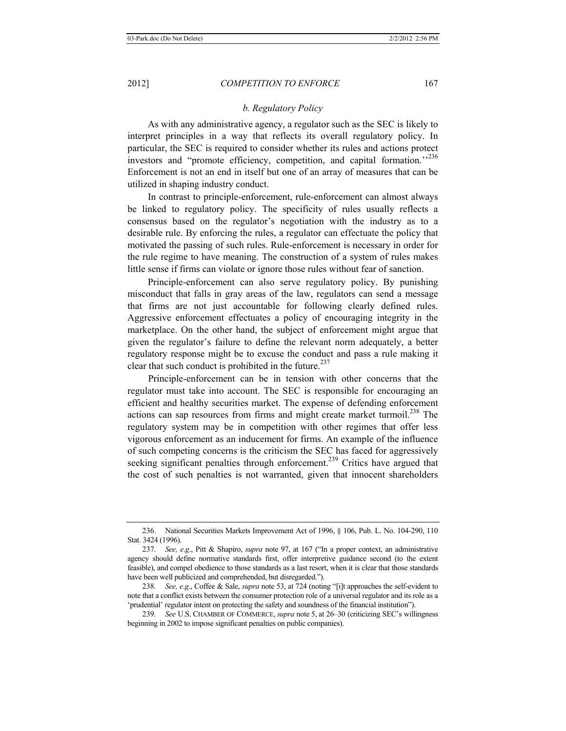As with any administrative agency, a regulator such as the SEC is likely to interpret principles in a way that reflects its overall regulatory policy. In particular, the SEC is required to consider whether its rules and actions protect investors and "promote efficiency, competition, and capital formation."<sup>236</sup> Enforcement is not an end in itself but one of an array of measures that can be utilized in shaping industry conduct.

In contrast to principle-enforcement, rule-enforcement can almost always be linked to regulatory policy. The specificity of rules usually reflects a consensus based on the regulator's negotiation with the industry as to a desirable rule. By enforcing the rules, a regulator can effectuate the policy that motivated the passing of such rules. Rule-enforcement is necessary in order for the rule regime to have meaning. The construction of a system of rules makes little sense if firms can violate or ignore those rules without fear of sanction.

Principle-enforcement can also serve regulatory policy. By punishing misconduct that falls in gray areas of the law, regulators can send a message that firms are not just accountable for following clearly defined rules. Aggressive enforcement effectuates a policy of encouraging integrity in the marketplace. On the other hand, the subject of enforcement might argue that given the regulator's failure to define the relevant norm adequately, a better regulatory response might be to excuse the conduct and pass a rule making it clear that such conduct is prohibited in the future. $237$ 

Principle-enforcement can be in tension with other concerns that the regulator must take into account. The SEC is responsible for encouraging an efficient and healthy securities market. The expense of defending enforcement actions can sap resources from firms and might create market turmoil.<sup>238</sup> The regulatory system may be in competition with other regimes that offer less vigorous enforcement as an inducement for firms. An example of the influence of such competing concerns is the criticism the SEC has faced for aggressively seeking significant penalties through enforcement.<sup>239</sup> Critics have argued that the cost of such penalties is not warranted, given that innocent shareholders

<sup>236.</sup> National Securities Markets Improvement Act of 1996, § 106, Pub. L. No. 104-290, 110 Stat. 3424 (1996).

<sup>237</sup>*. See, e*.*g*., Pitt & Shapiro, *supra* note 97, at 167 ("In a proper context, an administrative agency should define normative standards first, offer interpretive guidance second (to the extent feasible), and compel obedience to those standards as a last resort, when it is clear that those standards have been well publicized and comprehended, but disregarded.").

<sup>238</sup>*. See, e*.*g*., Coffee & Sale, *supra* note 53, at 724 (noting "[i]t approaches the self-evident to note that a conflict exists between the consumer protection role of a universal regulator and its role as a 'prudential' regulator intent on protecting the safety and soundness of the financial institution").

<sup>239</sup>*. See* U.S. CHAMBER OF COMMERCE, *supra* note 5, at 26–30 (criticizing SEC's willingness beginning in 2002 to impose significant penalties on public companies).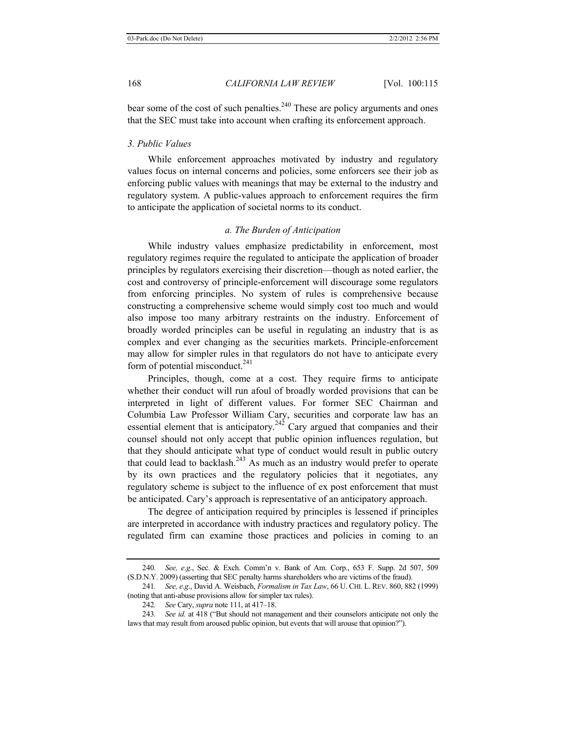bear some of the cost of such penalties. $240$  These are policy arguments and ones that the SEC must take into account when crafting its enforcement approach.

# *3. Public Values*

While enforcement approaches motivated by industry and regulatory values focus on internal concerns and policies, some enforcers see their job as enforcing public values with meanings that may be external to the industry and regulatory system. A public-values approach to enforcement requires the firm to anticipate the application of societal norms to its conduct.

# *a. The Burden of Anticipation*

While industry values emphasize predictability in enforcement, most regulatory regimes require the regulated to anticipate the application of broader principles by regulators exercising their discretion—though as noted earlier, the cost and controversy of principle-enforcement will discourage some regulators from enforcing principles. No system of rules is comprehensive because constructing a comprehensive scheme would simply cost too much and would also impose too many arbitrary restraints on the industry. Enforcement of broadly worded principles can be useful in regulating an industry that is as complex and ever changing as the securities markets. Principle-enforcement may allow for simpler rules in that regulators do not have to anticipate every form of potential misconduct. $241$ 

Principles, though, come at a cost. They require firms to anticipate whether their conduct will run afoul of broadly worded provisions that can be interpreted in light of different values. For former SEC Chairman and Columbia Law Professor William Cary, securities and corporate law has an essential element that is anticipatory.<sup>242</sup> Cary argued that companies and their counsel should not only accept that public opinion influences regulation, but that they should anticipate what type of conduct would result in public outcry that could lead to backlash. $243$  As much as an industry would prefer to operate by its own practices and the regulatory policies that it negotiates, any regulatory scheme is subject to the influence of ex post enforcement that must be anticipated. Cary's approach is representative of an anticipatory approach.

The degree of anticipation required by principles is lessened if principles are interpreted in accordance with industry practices and regulatory policy. The regulated firm can examine those practices and policies in coming to an

<sup>240</sup>*. See, e*.*g*., Sec. & Exch. Comm'n v. Bank of Am. Corp., 653 F. Supp. 2d 507, 509 (S.D.N.Y. 2009) (asserting that SEC penalty harms shareholders who are victims of the fraud).

<sup>241</sup>*. See, e*.*g*., David A. Weisbach, *Formalism in Tax Law*, 66 U. CHI. L. REV. 860, 882 (1999) (noting that anti-abuse provisions allow for simpler tax rules).

<sup>242</sup>*. See* Cary, *supra* note 111, at 417–18.

<sup>243</sup>*. See id.* at 418 ("But should not management and their counselors anticipate not only the laws that may result from aroused public opinion, but events that will arouse that opinion?").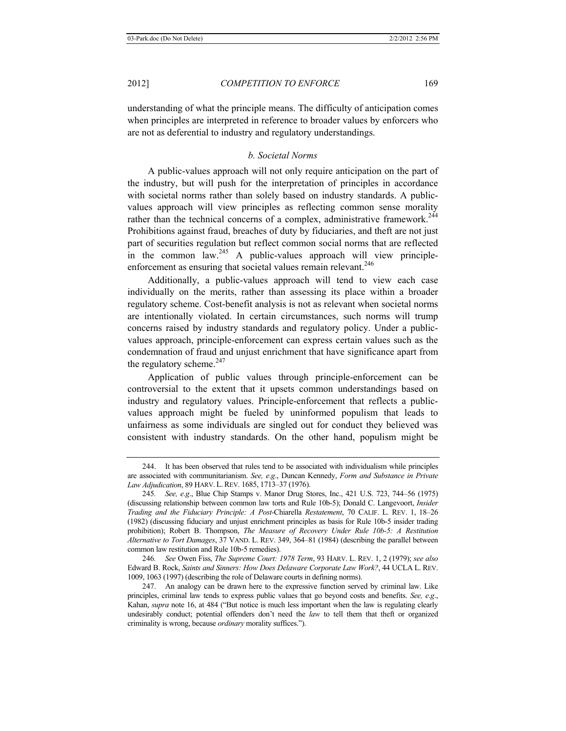understanding of what the principle means. The difficulty of anticipation comes when principles are interpreted in reference to broader values by enforcers who are not as deferential to industry and regulatory understandings.

# *b. Societal Norms*

A public-values approach will not only require anticipation on the part of the industry, but will push for the interpretation of principles in accordance with societal norms rather than solely based on industry standards. A publicvalues approach will view principles as reflecting common sense morality rather than the technical concerns of a complex, administrative framework.<sup>244</sup> Prohibitions against fraud, breaches of duty by fiduciaries, and theft are not just part of securities regulation but reflect common social norms that are reflected in the common law.<sup>245</sup> A public-values approach will view principleenforcement as ensuring that societal values remain relevant.<sup>246</sup>

Additionally, a public-values approach will tend to view each case individually on the merits, rather than assessing its place within a broader regulatory scheme. Cost-benefit analysis is not as relevant when societal norms are intentionally violated. In certain circumstances, such norms will trump concerns raised by industry standards and regulatory policy. Under a publicvalues approach, principle-enforcement can express certain values such as the condemnation of fraud and unjust enrichment that have significance apart from the regulatory scheme.<sup>247</sup>

Application of public values through principle-enforcement can be controversial to the extent that it upsets common understandings based on industry and regulatory values. Principle-enforcement that reflects a publicvalues approach might be fueled by uninformed populism that leads to unfairness as some individuals are singled out for conduct they believed was consistent with industry standards. On the other hand, populism might be

<sup>244.</sup> It has been observed that rules tend to be associated with individualism while principles are associated with communitarianism. *See, e*.*g*., Duncan Kennedy, *Form and Substance in Private Law Adjudication*, 89 HARV. L.REV. 1685, 1713–37 (1976).

<sup>245</sup>*. See, e*.*g*., Blue Chip Stamps v. Manor Drug Stores, Inc., 421 U.S. 723, 744–56 (1975) (discussing relationship between common law torts and Rule 10b-5); Donald C. Langevoort, *Insider Trading and the Fiduciary Principle: A Post-*Chiarella *Restatement*, 70 CALIF. L. REV. 1, 18–26 (1982) (discussing fiduciary and unjust enrichment principles as basis for Rule 10b-5 insider trading prohibition); Robert B. Thompson, *The Measure of Recovery Under Rule 10b-5: A Restitution Alternative to Tort Damages*, 37 VAND. L. REV. 349, 364–81 (1984) (describing the parallel between common law restitution and Rule 10b-5 remedies).

<sup>246</sup>*. See* Owen Fiss, *The Supreme Court: 1978 Term*, 93 HARV. L. REV. 1, 2 (1979); *see also* Edward B. Rock, *Saints and Sinners: How Does Delaware Corporate Law Work?*, 44 UCLA L. REV. 1009, 1063 (1997) (describing the role of Delaware courts in defining norms).

<sup>247.</sup> An analogy can be drawn here to the expressive function served by criminal law. Like principles, criminal law tends to express public values that go beyond costs and benefits. *See, e*.*g*., Kahan, *supra* note 16, at 484 ("But notice is much less important when the law is regulating clearly undesirably conduct; potential offenders don't need the *law* to tell them that theft or organized criminality is wrong, because *ordinary* morality suffices.").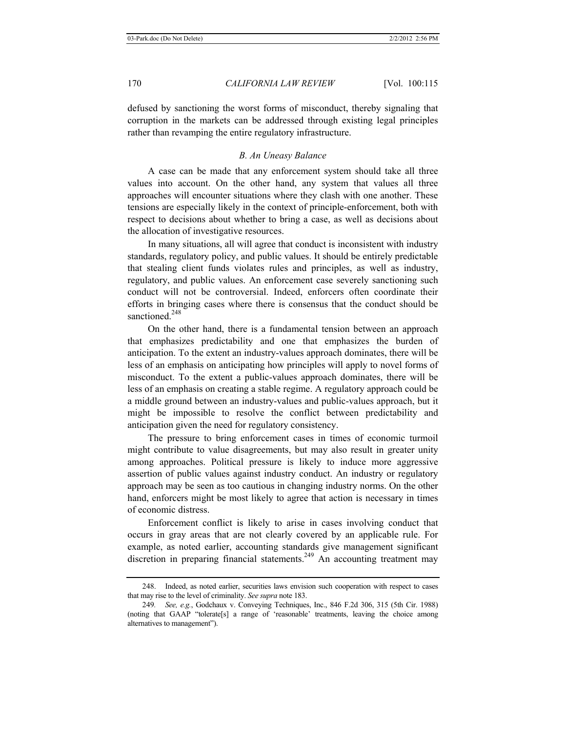defused by sanctioning the worst forms of misconduct, thereby signaling that corruption in the markets can be addressed through existing legal principles rather than revamping the entire regulatory infrastructure.

# *B. An Uneasy Balance*

A case can be made that any enforcement system should take all three values into account. On the other hand, any system that values all three approaches will encounter situations where they clash with one another. These tensions are especially likely in the context of principle-enforcement, both with respect to decisions about whether to bring a case, as well as decisions about the allocation of investigative resources.

In many situations, all will agree that conduct is inconsistent with industry standards, regulatory policy, and public values. It should be entirely predictable that stealing client funds violates rules and principles, as well as industry, regulatory, and public values. An enforcement case severely sanctioning such conduct will not be controversial. Indeed, enforcers often coordinate their efforts in bringing cases where there is consensus that the conduct should be sanctioned<sup>248</sup>

On the other hand, there is a fundamental tension between an approach that emphasizes predictability and one that emphasizes the burden of anticipation. To the extent an industry-values approach dominates, there will be less of an emphasis on anticipating how principles will apply to novel forms of misconduct. To the extent a public-values approach dominates, there will be less of an emphasis on creating a stable regime. A regulatory approach could be a middle ground between an industry-values and public-values approach, but it might be impossible to resolve the conflict between predictability and anticipation given the need for regulatory consistency.

The pressure to bring enforcement cases in times of economic turmoil might contribute to value disagreements, but may also result in greater unity among approaches. Political pressure is likely to induce more aggressive assertion of public values against industry conduct. An industry or regulatory approach may be seen as too cautious in changing industry norms. On the other hand, enforcers might be most likely to agree that action is necessary in times of economic distress.

Enforcement conflict is likely to arise in cases involving conduct that occurs in gray areas that are not clearly covered by an applicable rule. For example, as noted earlier, accounting standards give management significant discretion in preparing financial statements.<sup>249</sup> An accounting treatment may

<sup>248.</sup> Indeed, as noted earlier, securities laws envision such cooperation with respect to cases that may rise to the level of criminality. *See supra* note 183.

<sup>249</sup>*. See, e.g.*, Godchaux v. Conveying Techniques, Inc., 846 F.2d 306, 315 (5th Cir. 1988) (noting that GAAP "tolerate[s] a range of 'reasonable' treatments, leaving the choice among alternatives to management").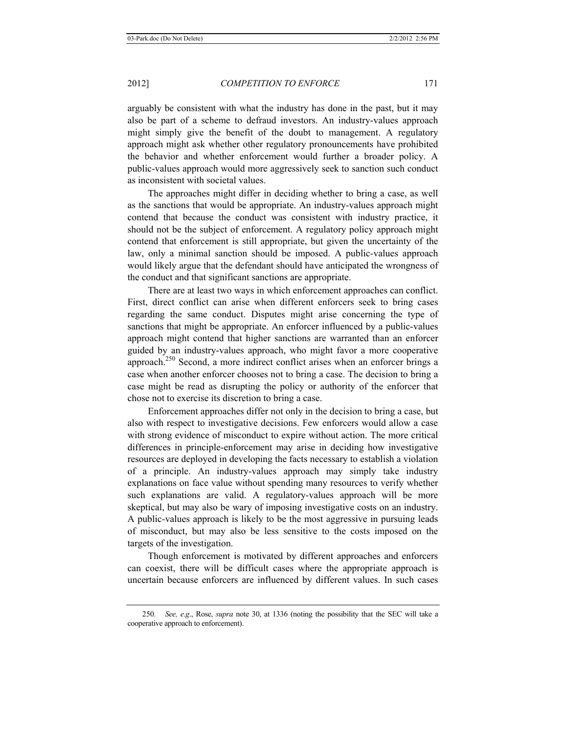arguably be consistent with what the industry has done in the past, but it may also be part of a scheme to defraud investors. An industry-values approach might simply give the benefit of the doubt to management. A regulatory approach might ask whether other regulatory pronouncements have prohibited the behavior and whether enforcement would further a broader policy. A public-values approach would more aggressively seek to sanction such conduct as inconsistent with societal values.

The approaches might differ in deciding whether to bring a case, as well as the sanctions that would be appropriate. An industry-values approach might contend that because the conduct was consistent with industry practice, it should not be the subject of enforcement. A regulatory policy approach might contend that enforcement is still appropriate, but given the uncertainty of the law, only a minimal sanction should be imposed. A public-values approach would likely argue that the defendant should have anticipated the wrongness of the conduct and that significant sanctions are appropriate.

There are at least two ways in which enforcement approaches can conflict. First, direct conflict can arise when different enforcers seek to bring cases regarding the same conduct. Disputes might arise concerning the type of sanctions that might be appropriate. An enforcer influenced by a public-values approach might contend that higher sanctions are warranted than an enforcer guided by an industry-values approach, who might favor a more cooperative approach.250 Second, a more indirect conflict arises when an enforcer brings a case when another enforcer chooses not to bring a case. The decision to bring a case might be read as disrupting the policy or authority of the enforcer that chose not to exercise its discretion to bring a case.

Enforcement approaches differ not only in the decision to bring a case, but also with respect to investigative decisions. Few enforcers would allow a case with strong evidence of misconduct to expire without action. The more critical differences in principle-enforcement may arise in deciding how investigative resources are deployed in developing the facts necessary to establish a violation of a principle. An industry-values approach may simply take industry explanations on face value without spending many resources to verify whether such explanations are valid. A regulatory-values approach will be more skeptical, but may also be wary of imposing investigative costs on an industry. A public-values approach is likely to be the most aggressive in pursuing leads of misconduct, but may also be less sensitive to the costs imposed on the targets of the investigation.

Though enforcement is motivated by different approaches and enforcers can coexist, there will be difficult cases where the appropriate approach is uncertain because enforcers are influenced by different values. In such cases

<sup>250</sup>*. See, e*.*g*., Rose, *supra* note 30, at 1336 (noting the possibility that the SEC will take a cooperative approach to enforcement).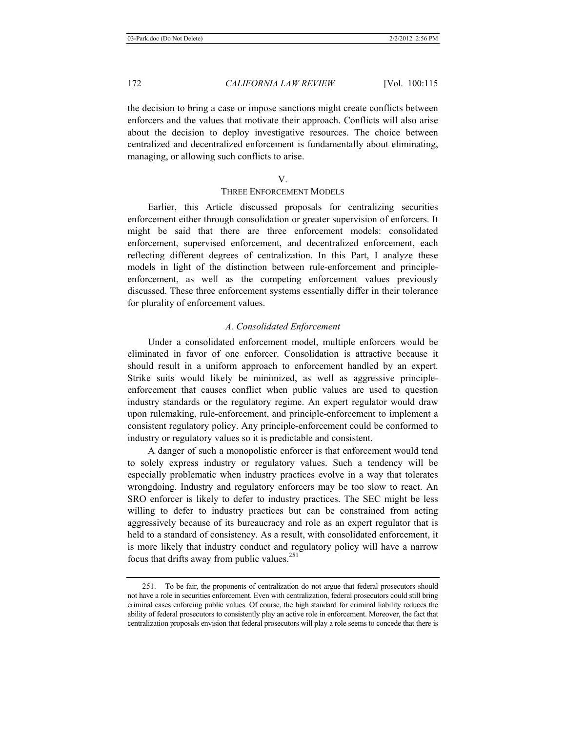the decision to bring a case or impose sanctions might create conflicts between enforcers and the values that motivate their approach. Conflicts will also arise about the decision to deploy investigative resources. The choice between centralized and decentralized enforcement is fundamentally about eliminating, managing, or allowing such conflicts to arise.

#### V.

# THREE ENFORCEMENT MODELS

Earlier, this Article discussed proposals for centralizing securities enforcement either through consolidation or greater supervision of enforcers. It might be said that there are three enforcement models: consolidated enforcement, supervised enforcement, and decentralized enforcement, each reflecting different degrees of centralization. In this Part, I analyze these models in light of the distinction between rule-enforcement and principleenforcement, as well as the competing enforcement values previously discussed. These three enforcement systems essentially differ in their tolerance for plurality of enforcement values.

# *A. Consolidated Enforcement*

Under a consolidated enforcement model, multiple enforcers would be eliminated in favor of one enforcer. Consolidation is attractive because it should result in a uniform approach to enforcement handled by an expert. Strike suits would likely be minimized, as well as aggressive principleenforcement that causes conflict when public values are used to question industry standards or the regulatory regime. An expert regulator would draw upon rulemaking, rule-enforcement, and principle-enforcement to implement a consistent regulatory policy. Any principle-enforcement could be conformed to industry or regulatory values so it is predictable and consistent.

A danger of such a monopolistic enforcer is that enforcement would tend to solely express industry or regulatory values. Such a tendency will be especially problematic when industry practices evolve in a way that tolerates wrongdoing. Industry and regulatory enforcers may be too slow to react. An SRO enforcer is likely to defer to industry practices. The SEC might be less willing to defer to industry practices but can be constrained from acting aggressively because of its bureaucracy and role as an expert regulator that is held to a standard of consistency. As a result, with consolidated enforcement, it is more likely that industry conduct and regulatory policy will have a narrow focus that drifts away from public values. $^{251}$ 

<sup>251.</sup> To be fair, the proponents of centralization do not argue that federal prosecutors should not have a role in securities enforcement. Even with centralization, federal prosecutors could still bring criminal cases enforcing public values. Of course, the high standard for criminal liability reduces the ability of federal prosecutors to consistently play an active role in enforcement. Moreover, the fact that centralization proposals envision that federal prosecutors will play a role seems to concede that there is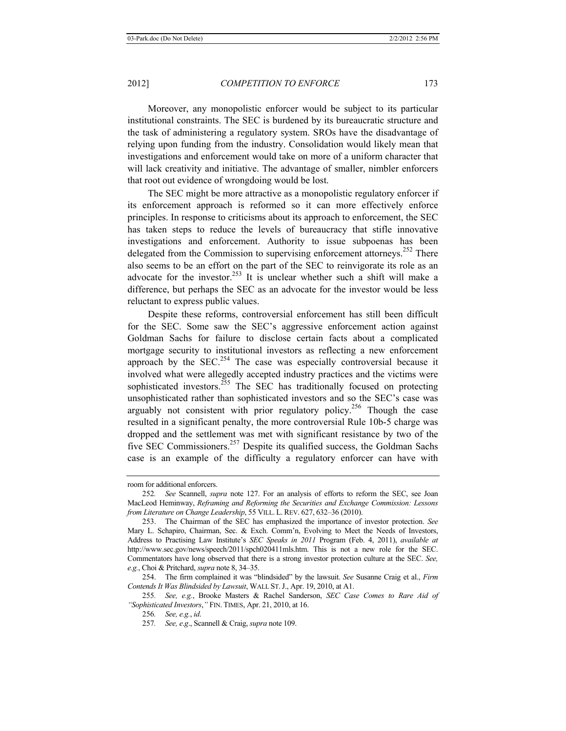Moreover, any monopolistic enforcer would be subject to its particular institutional constraints. The SEC is burdened by its bureaucratic structure and the task of administering a regulatory system. SROs have the disadvantage of relying upon funding from the industry. Consolidation would likely mean that investigations and enforcement would take on more of a uniform character that will lack creativity and initiative. The advantage of smaller, nimbler enforcers that root out evidence of wrongdoing would be lost.

The SEC might be more attractive as a monopolistic regulatory enforcer if its enforcement approach is reformed so it can more effectively enforce principles. In response to criticisms about its approach to enforcement, the SEC has taken steps to reduce the levels of bureaucracy that stifle innovative investigations and enforcement. Authority to issue subpoenas has been delegated from the Commission to supervising enforcement attorneys.<sup>252</sup> There also seems to be an effort on the part of the SEC to reinvigorate its role as an advocate for the investor.<sup>253</sup> It is unclear whether such a shift will make a difference, but perhaps the SEC as an advocate for the investor would be less reluctant to express public values.

Despite these reforms, controversial enforcement has still been difficult for the SEC. Some saw the SEC's aggressive enforcement action against Goldman Sachs for failure to disclose certain facts about a complicated mortgage security to institutional investors as reflecting a new enforcement approach by the  $SEC.^{254}$  The case was especially controversial because it involved what were allegedly accepted industry practices and the victims were sophisticated investors.<sup>255</sup> The SEC has traditionally focused on protecting unsophisticated rather than sophisticated investors and so the SEC's case was arguably not consistent with prior regulatory policy.<sup>256</sup> Though the case resulted in a significant penalty, the more controversial Rule 10b-5 charge was dropped and the settlement was met with significant resistance by two of the five SEC Commissioners.<sup>257</sup> Despite its qualified success, the Goldman Sachs case is an example of the difficulty a regulatory enforcer can have with

room for additional enforcers.

<sup>252</sup>*. See* Scannell, *supra* note 127. For an analysis of efforts to reform the SEC, see Joan MacLeod Heminway, *Reframing and Reforming the Securities and Exchange Commission: Lessons from Literature on Change Leadership*, 55 VILL. L. REV. 627, 632–36 (2010).

<sup>253.</sup> The Chairman of the SEC has emphasized the importance of investor protection. *See*  Mary L. Schapiro, Chairman, Sec. & Exch. Comm'n, Evolving to Meet the Needs of Investors, Address to Practising Law Institute's *SEC Speaks in 2011* Program (Feb. 4, 2011), *available at* http://www.sec.gov/news/speech/2011/spch020411mls.htm. This is not a new role for the SEC. Commentators have long observed that there is a strong investor protection culture at the SEC. *See, e.g.*, Choi & Pritchard, *supra* note 8, 34–35.

<sup>254.</sup> The firm complained it was "blindsided" by the lawsuit. *See* Susanne Craig et al., *Firm Contends It Was Blindsided by Lawsuit*, WALL ST.J., Apr. 19, 2010, at A1.

<sup>255</sup>*. See, e.g.*, Brooke Masters & Rachel Sanderson, *SEC Case Comes to Rare Aid of "Sophisticated Investors*,*"* FIN. TIMES, Apr. 21, 2010, at 16.

<sup>256</sup>*. See, e.g.*, *id*.

<sup>257</sup>*. See, e*.*g*., Scannell & Craig, *supra* note 109.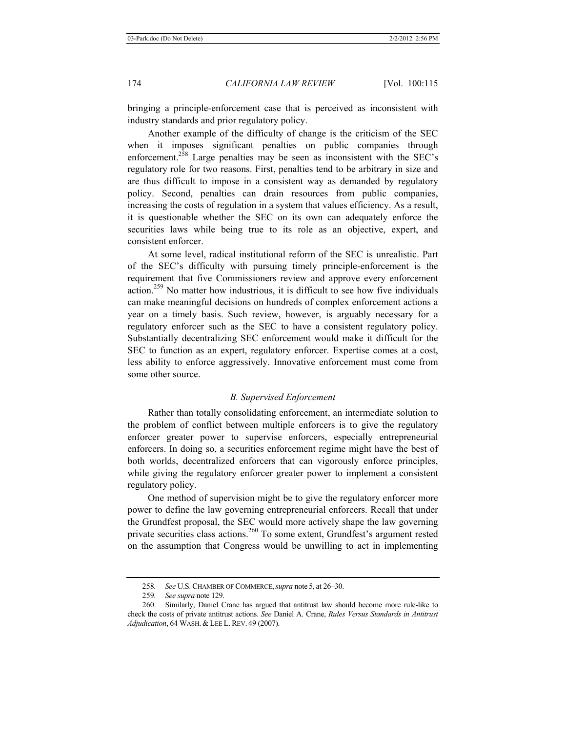bringing a principle-enforcement case that is perceived as inconsistent with industry standards and prior regulatory policy.

Another example of the difficulty of change is the criticism of the SEC when it imposes significant penalties on public companies through enforcement.<sup>258</sup> Large penalties may be seen as inconsistent with the SEC's regulatory role for two reasons. First, penalties tend to be arbitrary in size and are thus difficult to impose in a consistent way as demanded by regulatory policy. Second, penalties can drain resources from public companies, increasing the costs of regulation in a system that values efficiency. As a result, it is questionable whether the SEC on its own can adequately enforce the securities laws while being true to its role as an objective, expert, and consistent enforcer.

At some level, radical institutional reform of the SEC is unrealistic. Part of the SEC's difficulty with pursuing timely principle-enforcement is the requirement that five Commissioners review and approve every enforcement action.259 No matter how industrious, it is difficult to see how five individuals can make meaningful decisions on hundreds of complex enforcement actions a year on a timely basis. Such review, however, is arguably necessary for a regulatory enforcer such as the SEC to have a consistent regulatory policy. Substantially decentralizing SEC enforcement would make it difficult for the SEC to function as an expert, regulatory enforcer. Expertise comes at a cost, less ability to enforce aggressively. Innovative enforcement must come from some other source.

#### *B. Supervised Enforcement*

Rather than totally consolidating enforcement, an intermediate solution to the problem of conflict between multiple enforcers is to give the regulatory enforcer greater power to supervise enforcers, especially entrepreneurial enforcers. In doing so, a securities enforcement regime might have the best of both worlds, decentralized enforcers that can vigorously enforce principles, while giving the regulatory enforcer greater power to implement a consistent regulatory policy.

One method of supervision might be to give the regulatory enforcer more power to define the law governing entrepreneurial enforcers. Recall that under the Grundfest proposal, the SEC would more actively shape the law governing private securities class actions.<sup>260</sup> To some extent, Grundfest's argument rested on the assumption that Congress would be unwilling to act in implementing

<sup>258</sup>*. See* U.S. CHAMBER OF COMMERCE,*supra* note 5, at 26–30.

<sup>259</sup>*. See supra* note 129.

<sup>260.</sup> Similarly, Daniel Crane has argued that antitrust law should become more rule-like to check the costs of private antitrust actions. *See* Daniel A. Crane, *Rules Versus Standards in Antitrust Adjudication*, 64 WASH. & LEE L. REV. 49 (2007).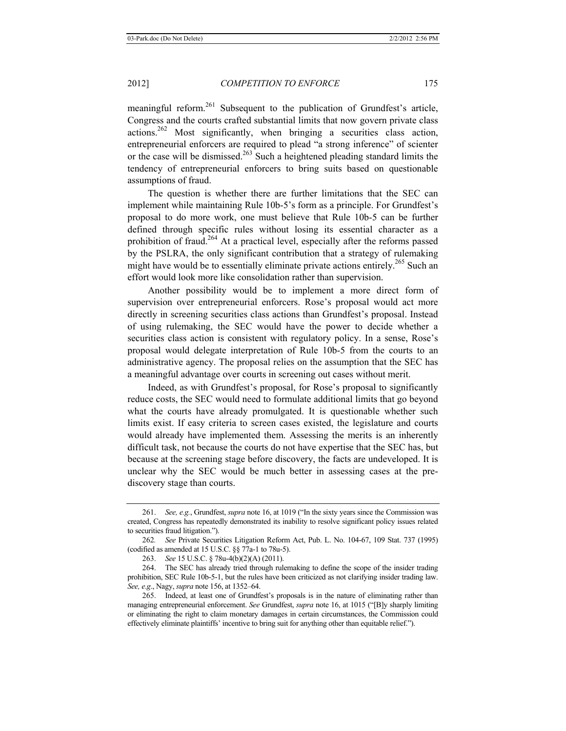meaningful reform.<sup>261</sup> Subsequent to the publication of Grundfest's article, Congress and the courts crafted substantial limits that now govern private class actions.<sup>262</sup> Most significantly, when bringing a securities class action, entrepreneurial enforcers are required to plead "a strong inference" of scienter or the case will be dismissed.<sup>263</sup> Such a heightened pleading standard limits the tendency of entrepreneurial enforcers to bring suits based on questionable assumptions of fraud.

The question is whether there are further limitations that the SEC can implement while maintaining Rule 10b-5's form as a principle. For Grundfest's proposal to do more work, one must believe that Rule 10b-5 can be further defined through specific rules without losing its essential character as a prohibition of fraud.264 At a practical level, especially after the reforms passed by the PSLRA, the only significant contribution that a strategy of rulemaking might have would be to essentially eliminate private actions entirely.<sup>265</sup> Such an effort would look more like consolidation rather than supervision.

Another possibility would be to implement a more direct form of supervision over entrepreneurial enforcers. Rose's proposal would act more directly in screening securities class actions than Grundfest's proposal. Instead of using rulemaking, the SEC would have the power to decide whether a securities class action is consistent with regulatory policy. In a sense, Rose's proposal would delegate interpretation of Rule 10b-5 from the courts to an administrative agency. The proposal relies on the assumption that the SEC has a meaningful advantage over courts in screening out cases without merit.

Indeed, as with Grundfest's proposal, for Rose's proposal to significantly reduce costs, the SEC would need to formulate additional limits that go beyond what the courts have already promulgated. It is questionable whether such limits exist. If easy criteria to screen cases existed, the legislature and courts would already have implemented them. Assessing the merits is an inherently difficult task, not because the courts do not have expertise that the SEC has, but because at the screening stage before discovery, the facts are undeveloped. It is unclear why the SEC would be much better in assessing cases at the prediscovery stage than courts.

<sup>261.</sup> *See, e.g.*, Grundfest, *supra* note 16, at 1019 ("In the sixty years since the Commission was created, Congress has repeatedly demonstrated its inability to resolve significant policy issues related to securities fraud litigation.").

<sup>262</sup>*. See* Private Securities Litigation Reform Act, Pub. L. No. 104-67, 109 Stat. 737 (1995) (codified as amended at 15 U.S.C. §§ 77a-1 to 78u-5).

<sup>263.</sup> *See* 15 U.S.C. § 78u-4(b)(2)(A) (2011).

<sup>264.</sup> The SEC has already tried through rulemaking to define the scope of the insider trading prohibition, SEC Rule 10b-5-1, but the rules have been criticized as not clarifying insider trading law. *See, e*.*g*., Nagy, *supra* note 156, at 1352–64.

<sup>265.</sup> Indeed, at least one of Grundfest's proposals is in the nature of eliminating rather than managing entrepreneurial enforcement. *See* Grundfest, *supra* note 16, at 1015 ("[B]y sharply limiting or eliminating the right to claim monetary damages in certain circumstances, the Commission could effectively eliminate plaintiffs' incentive to bring suit for anything other than equitable relief.").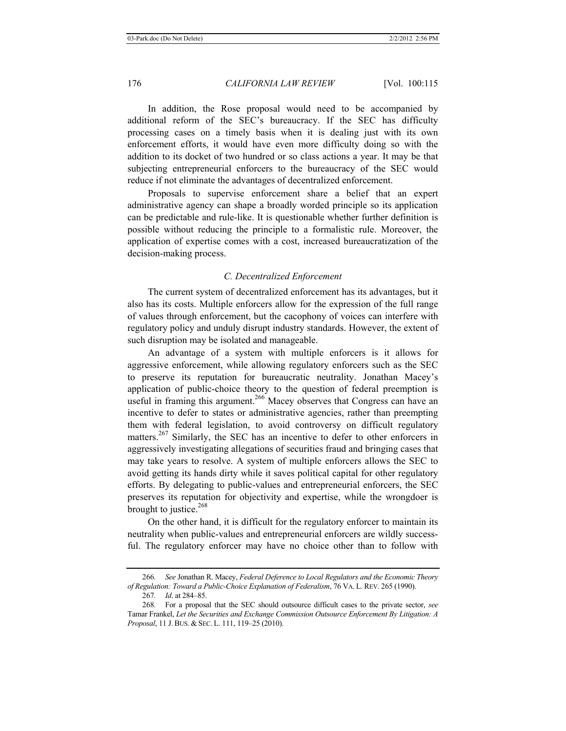In addition, the Rose proposal would need to be accompanied by additional reform of the SEC's bureaucracy. If the SEC has difficulty processing cases on a timely basis when it is dealing just with its own enforcement efforts, it would have even more difficulty doing so with the addition to its docket of two hundred or so class actions a year. It may be that subjecting entrepreneurial enforcers to the bureaucracy of the SEC would reduce if not eliminate the advantages of decentralized enforcement.

Proposals to supervise enforcement share a belief that an expert administrative agency can shape a broadly worded principle so its application can be predictable and rule-like. It is questionable whether further definition is possible without reducing the principle to a formalistic rule. Moreover, the application of expertise comes with a cost, increased bureaucratization of the decision-making process.

# *C. Decentralized Enforcement*

The current system of decentralized enforcement has its advantages, but it also has its costs. Multiple enforcers allow for the expression of the full range of values through enforcement, but the cacophony of voices can interfere with regulatory policy and unduly disrupt industry standards. However, the extent of such disruption may be isolated and manageable.

An advantage of a system with multiple enforcers is it allows for aggressive enforcement, while allowing regulatory enforcers such as the SEC to preserve its reputation for bureaucratic neutrality. Jonathan Macey's application of public-choice theory to the question of federal preemption is useful in framing this argument.<sup>266</sup> Macey observes that Congress can have an incentive to defer to states or administrative agencies, rather than preempting them with federal legislation, to avoid controversy on difficult regulatory matters.<sup>267</sup> Similarly, the SEC has an incentive to defer to other enforcers in aggressively investigating allegations of securities fraud and bringing cases that may take years to resolve. A system of multiple enforcers allows the SEC to avoid getting its hands dirty while it saves political capital for other regulatory efforts. By delegating to public-values and entrepreneurial enforcers, the SEC preserves its reputation for objectivity and expertise, while the wrongdoer is brought to justice.<sup>268</sup>

On the other hand, it is difficult for the regulatory enforcer to maintain its neutrality when public-values and entrepreneurial enforcers are wildly successful. The regulatory enforcer may have no choice other than to follow with

<sup>266</sup>*. See* Jonathan R. Macey, *Federal Deference to Local Regulators and the Economic Theory of Regulation: Toward a Public-Choice Explanation of Federalism*, 76 VA. L. REV. 265 (1990).

<sup>267</sup>*. Id*. at 284–85.

<sup>268</sup>*.* For a proposal that the SEC should outsource difficult cases to the private sector, *see*  Tamar Frankel, *Let the Securities and Exchange Commission Outsource Enforcement By Litigation: A Proposal*, 11 J.BUS. & SEC. L. 111, 119–25 (2010).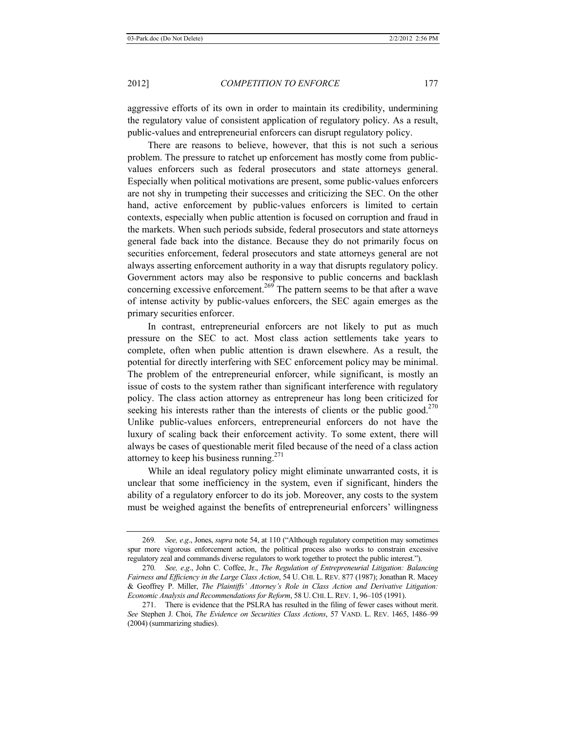aggressive efforts of its own in order to maintain its credibility, undermining the regulatory value of consistent application of regulatory policy. As a result, public-values and entrepreneurial enforcers can disrupt regulatory policy.

There are reasons to believe, however, that this is not such a serious problem. The pressure to ratchet up enforcement has mostly come from publicvalues enforcers such as federal prosecutors and state attorneys general. Especially when political motivations are present, some public-values enforcers are not shy in trumpeting their successes and criticizing the SEC. On the other hand, active enforcement by public-values enforcers is limited to certain contexts, especially when public attention is focused on corruption and fraud in the markets. When such periods subside, federal prosecutors and state attorneys general fade back into the distance. Because they do not primarily focus on securities enforcement, federal prosecutors and state attorneys general are not always asserting enforcement authority in a way that disrupts regulatory policy. Government actors may also be responsive to public concerns and backlash concerning excessive enforcement.<sup>269</sup> The pattern seems to be that after a wave of intense activity by public-values enforcers, the SEC again emerges as the primary securities enforcer.

In contrast, entrepreneurial enforcers are not likely to put as much pressure on the SEC to act. Most class action settlements take years to complete, often when public attention is drawn elsewhere. As a result, the potential for directly interfering with SEC enforcement policy may be minimal. The problem of the entrepreneurial enforcer, while significant, is mostly an issue of costs to the system rather than significant interference with regulatory policy. The class action attorney as entrepreneur has long been criticized for seeking his interests rather than the interests of clients or the public good.<sup>270</sup> Unlike public-values enforcers, entrepreneurial enforcers do not have the luxury of scaling back their enforcement activity. To some extent, there will always be cases of questionable merit filed because of the need of a class action attorney to keep his business running.<sup>271</sup>

While an ideal regulatory policy might eliminate unwarranted costs, it is unclear that some inefficiency in the system, even if significant, hinders the ability of a regulatory enforcer to do its job. Moreover, any costs to the system must be weighed against the benefits of entrepreneurial enforcers' willingness

<sup>269</sup>*. See, e*.*g*., Jones, *supra* note 54, at 110 ("Although regulatory competition may sometimes spur more vigorous enforcement action, the political process also works to constrain excessive regulatory zeal and commands diverse regulators to work together to protect the public interest.").

<sup>270</sup>*. See, e*.*g*., John C. Coffee, Jr., *The Regulation of Entrepreneurial Litigation: Balancing Fairness and Efficiency in the Large Class Action*, 54 U. CHI. L. REV. 877 (1987); Jonathan R. Macey & Geoffrey P. Miller, *The Plaintiffs' Attorney's Role in Class Action and Derivative Litigation: Economic Analysis and Recommendations for Reform*, 58 U.CHI. L.REV. 1, 96–105 (1991).

<sup>271.</sup> There is evidence that the PSLRA has resulted in the filing of fewer cases without merit. *See* Stephen J. Choi, *The Evidence on Securities Class Actions*, 57 VAND. L. REV. 1465, 1486–99 (2004) (summarizing studies).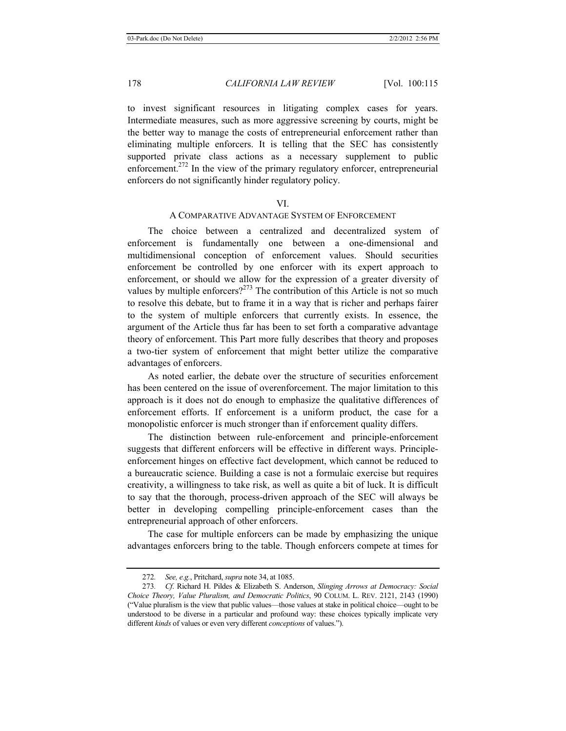to invest significant resources in litigating complex cases for years. Intermediate measures, such as more aggressive screening by courts, might be the better way to manage the costs of entrepreneurial enforcement rather than eliminating multiple enforcers. It is telling that the SEC has consistently supported private class actions as a necessary supplement to public enforcement.<sup>272</sup> In the view of the primary regulatory enforcer, entrepreneurial enforcers do not significantly hinder regulatory policy.

#### VI.

## A COMPARATIVE ADVANTAGE SYSTEM OF ENFORCEMENT

The choice between a centralized and decentralized system of enforcement is fundamentally one between a one-dimensional and multidimensional conception of enforcement values. Should securities enforcement be controlled by one enforcer with its expert approach to enforcement, or should we allow for the expression of a greater diversity of values by multiple enforcers?<sup>273</sup> The contribution of this Article is not so much to resolve this debate, but to frame it in a way that is richer and perhaps fairer to the system of multiple enforcers that currently exists. In essence, the argument of the Article thus far has been to set forth a comparative advantage theory of enforcement. This Part more fully describes that theory and proposes a two-tier system of enforcement that might better utilize the comparative advantages of enforcers.

As noted earlier, the debate over the structure of securities enforcement has been centered on the issue of overenforcement. The major limitation to this approach is it does not do enough to emphasize the qualitative differences of enforcement efforts. If enforcement is a uniform product, the case for a monopolistic enforcer is much stronger than if enforcement quality differs.

The distinction between rule-enforcement and principle-enforcement suggests that different enforcers will be effective in different ways. Principleenforcement hinges on effective fact development, which cannot be reduced to a bureaucratic science. Building a case is not a formulaic exercise but requires creativity, a willingness to take risk, as well as quite a bit of luck. It is difficult to say that the thorough, process-driven approach of the SEC will always be better in developing compelling principle-enforcement cases than the entrepreneurial approach of other enforcers.

The case for multiple enforcers can be made by emphasizing the unique advantages enforcers bring to the table. Though enforcers compete at times for

<sup>272</sup>*. See, e.g.*, Pritchard, *supra* note 34, at 1085.

<sup>273</sup>*. Cf*. Richard H. Pildes & Elizabeth S. Anderson, *Slinging Arrows at Democracy: Social Choice Theory, Value Pluralism, and Democratic Politics*, 90 COLUM. L. REV. 2121, 2143 (1990) ("Value pluralism is the view that public values—those values at stake in political choice—ought to be understood to be diverse in a particular and profound way: these choices typically implicate very different *kinds* of values or even very different *conceptions* of values.").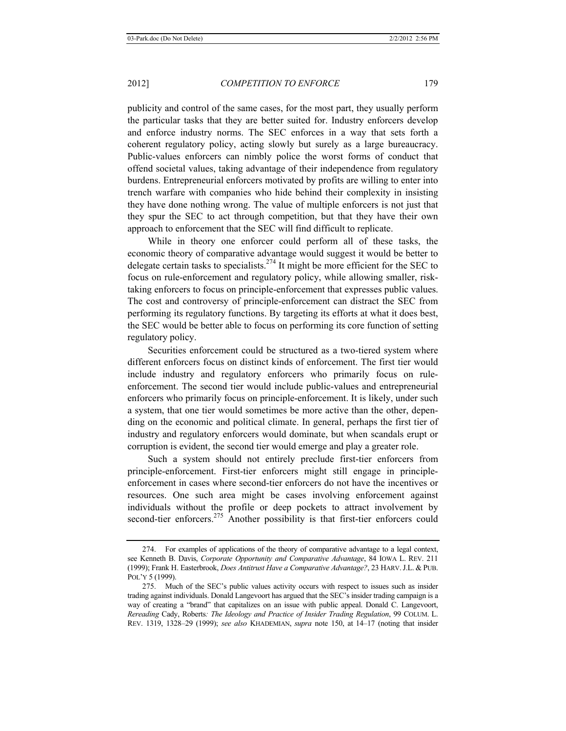publicity and control of the same cases, for the most part, they usually perform the particular tasks that they are better suited for. Industry enforcers develop and enforce industry norms. The SEC enforces in a way that sets forth a coherent regulatory policy, acting slowly but surely as a large bureaucracy. Public-values enforcers can nimbly police the worst forms of conduct that offend societal values, taking advantage of their independence from regulatory burdens. Entrepreneurial enforcers motivated by profits are willing to enter into trench warfare with companies who hide behind their complexity in insisting they have done nothing wrong. The value of multiple enforcers is not just that they spur the SEC to act through competition, but that they have their own approach to enforcement that the SEC will find difficult to replicate.

While in theory one enforcer could perform all of these tasks, the economic theory of comparative advantage would suggest it would be better to delegate certain tasks to specialists.<sup>274</sup> It might be more efficient for the SEC to focus on rule-enforcement and regulatory policy, while allowing smaller, risktaking enforcers to focus on principle-enforcement that expresses public values. The cost and controversy of principle-enforcement can distract the SEC from performing its regulatory functions. By targeting its efforts at what it does best, the SEC would be better able to focus on performing its core function of setting regulatory policy.

Securities enforcement could be structured as a two-tiered system where different enforcers focus on distinct kinds of enforcement. The first tier would include industry and regulatory enforcers who primarily focus on ruleenforcement. The second tier would include public-values and entrepreneurial enforcers who primarily focus on principle-enforcement. It is likely, under such a system, that one tier would sometimes be more active than the other, depending on the economic and political climate. In general, perhaps the first tier of industry and regulatory enforcers would dominate, but when scandals erupt or corruption is evident, the second tier would emerge and play a greater role.

Such a system should not entirely preclude first-tier enforcers from principle-enforcement. First-tier enforcers might still engage in principleenforcement in cases where second-tier enforcers do not have the incentives or resources. One such area might be cases involving enforcement against individuals without the profile or deep pockets to attract involvement by second-tier enforcers.<sup>275</sup> Another possibility is that first-tier enforcers could

<sup>274.</sup> For examples of applications of the theory of comparative advantage to a legal context, see Kenneth B. Davis, *Corporate Opportunity and Comparative Advantage*, 84 IOWA L. REV. 211 (1999); Frank H. Easterbrook, *Does Antitrust Have a Comparative Advantage?*, 23 HARV.J.L. & PUB. POL'Y 5 (1999).

<sup>275.</sup> Much of the SEC's public values activity occurs with respect to issues such as insider trading against individuals. Donald Langevoort has argued that the SEC's insider trading campaign is a way of creating a "brand" that capitalizes on an issue with public appeal. Donald C. Langevoort, *Rereading* Cady, Roberts*: The Ideology and Practice of Insider Trading Regulation*, 99 COLUM. L. REV. 1319, 1328–29 (1999); *see also* KHADEMIAN, *supra* note 150, at 14–17 (noting that insider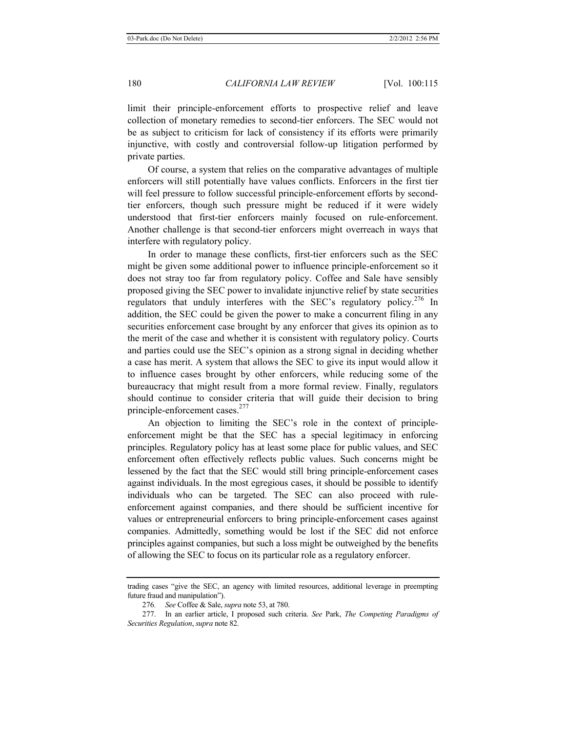limit their principle-enforcement efforts to prospective relief and leave collection of monetary remedies to second-tier enforcers. The SEC would not be as subject to criticism for lack of consistency if its efforts were primarily injunctive, with costly and controversial follow-up litigation performed by private parties.

Of course, a system that relies on the comparative advantages of multiple enforcers will still potentially have values conflicts. Enforcers in the first tier will feel pressure to follow successful principle-enforcement efforts by secondtier enforcers, though such pressure might be reduced if it were widely understood that first-tier enforcers mainly focused on rule-enforcement. Another challenge is that second-tier enforcers might overreach in ways that interfere with regulatory policy.

In order to manage these conflicts, first-tier enforcers such as the SEC might be given some additional power to influence principle-enforcement so it does not stray too far from regulatory policy. Coffee and Sale have sensibly proposed giving the SEC power to invalidate injunctive relief by state securities regulators that unduly interferes with the SEC's regulatory policy.<sup>276</sup> In addition, the SEC could be given the power to make a concurrent filing in any securities enforcement case brought by any enforcer that gives its opinion as to the merit of the case and whether it is consistent with regulatory policy. Courts and parties could use the SEC's opinion as a strong signal in deciding whether a case has merit. A system that allows the SEC to give its input would allow it to influence cases brought by other enforcers, while reducing some of the bureaucracy that might result from a more formal review. Finally, regulators should continue to consider criteria that will guide their decision to bring principle-enforcement cases.<sup>277</sup>

An objection to limiting the SEC's role in the context of principleenforcement might be that the SEC has a special legitimacy in enforcing principles. Regulatory policy has at least some place for public values, and SEC enforcement often effectively reflects public values. Such concerns might be lessened by the fact that the SEC would still bring principle-enforcement cases against individuals. In the most egregious cases, it should be possible to identify individuals who can be targeted. The SEC can also proceed with ruleenforcement against companies, and there should be sufficient incentive for values or entrepreneurial enforcers to bring principle-enforcement cases against companies. Admittedly, something would be lost if the SEC did not enforce principles against companies, but such a loss might be outweighed by the benefits of allowing the SEC to focus on its particular role as a regulatory enforcer.

trading cases "give the SEC, an agency with limited resources, additional leverage in preempting future fraud and manipulation").

<sup>276</sup>*. See* Coffee & Sale, *supra* note 53, at 780.

<sup>277.</sup> In an earlier article, I proposed such criteria. *See* Park, *The Competing Paradigms of Securities Regulation*, *supra* note 82.